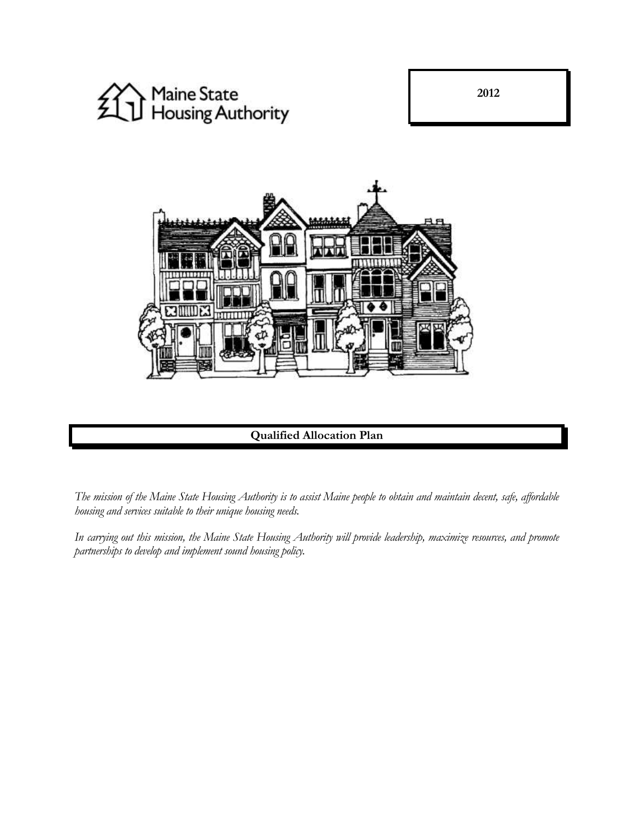

**2012**



# **Qualified Allocation Plan**

*The mission of the Maine State Housing Authority is to assist Maine people to obtain and maintain decent, safe, affordable housing and services suitable to their unique housing needs.*

*In carrying out this mission, the Maine State Housing Authority will provide leadership, maximize resources, and promote partnerships to develop and implement sound housing policy.*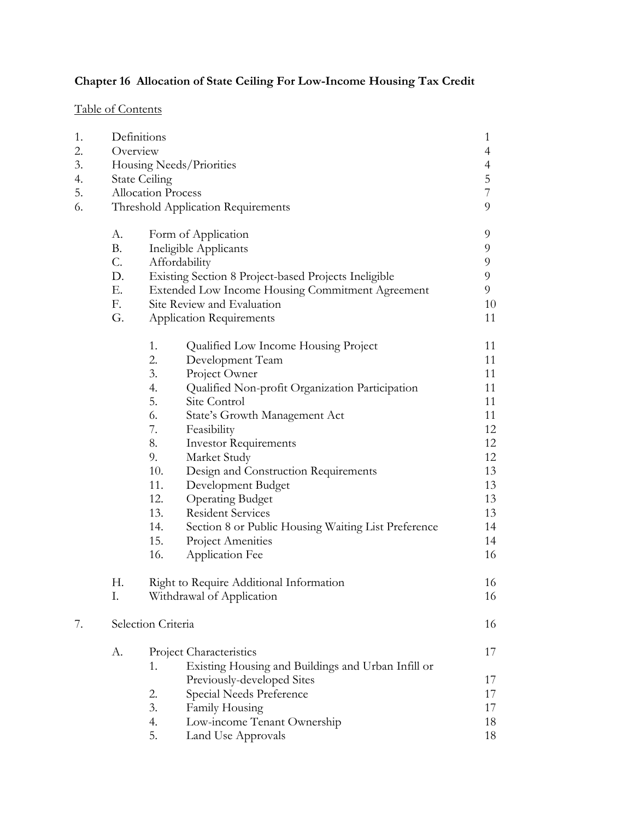# **Chapter 16 Allocation of State Ceiling For Low-Income Housing Tax Credit**

# Table of Contents

| 1.                              |                          | Definitions                                                |                |  |
|---------------------------------|--------------------------|------------------------------------------------------------|----------------|--|
| 2.                              | Overview                 |                                                            |                |  |
| 3.                              | Housing Needs/Priorities |                                                            |                |  |
| 4.                              | <b>State Ceiling</b>     |                                                            |                |  |
| 5.<br><b>Allocation Process</b> |                          |                                                            | $\overline{7}$ |  |
| 6.                              |                          | Threshold Application Requirements                         |                |  |
|                                 | A.                       | Form of Application                                        | 9              |  |
|                                 | <b>B.</b>                | Ineligible Applicants                                      | 9              |  |
|                                 | $C$ .                    | Affordability                                              |                |  |
|                                 | D.                       | Existing Section 8 Project-based Projects Ineligible       |                |  |
|                                 | Ε.                       | Extended Low Income Housing Commitment Agreement           |                |  |
|                                 | F.                       | Site Review and Evaluation                                 |                |  |
|                                 | G.                       | <b>Application Requirements</b>                            | 11             |  |
|                                 |                          | 1.<br>Qualified Low Income Housing Project                 | 11             |  |
|                                 |                          | 2.<br>Development Team                                     | 11             |  |
|                                 |                          | 3.<br>Project Owner                                        | 11             |  |
|                                 |                          | 4.<br>Qualified Non-profit Organization Participation      | 11             |  |
|                                 |                          | 5.<br>Site Control                                         | 11             |  |
|                                 |                          | 6.<br>State's Growth Management Act                        | 11             |  |
|                                 |                          | 7.<br>Feasibility                                          | 12             |  |
|                                 |                          | 8.<br><b>Investor Requirements</b>                         | 12             |  |
|                                 |                          | 9.<br>Market Study                                         | 12             |  |
|                                 |                          | 10.<br>Design and Construction Requirements                | 13             |  |
|                                 |                          | 11.<br>Development Budget                                  | 13             |  |
|                                 |                          | 12.<br><b>Operating Budget</b>                             | 13             |  |
|                                 |                          | 13.<br><b>Resident Services</b>                            | 13             |  |
|                                 |                          | 14.<br>Section 8 or Public Housing Waiting List Preference | 14             |  |
|                                 |                          | 15.<br>Project Amenities                                   | 14             |  |
|                                 |                          | 16.<br><b>Application Fee</b>                              | 16             |  |
|                                 | Н.                       | Right to Require Additional Information                    | 16             |  |
|                                 | Ι.                       | Withdrawal of Application                                  | 16             |  |
| 7.                              | Selection Criteria       |                                                            | 16             |  |
|                                 | А.                       | Project Characteristics                                    | 17             |  |
|                                 |                          | Existing Housing and Buildings and Urban Infill or<br>1.   |                |  |
|                                 |                          | Previously-developed Sites                                 | 17             |  |
|                                 |                          | Special Needs Preference<br>2.                             | 17             |  |
|                                 |                          | 3.<br>Family Housing                                       | 17             |  |
|                                 |                          | Low-income Tenant Ownership<br>4.                          | 18             |  |
|                                 |                          | 5.<br>Land Use Approvals                                   | 18             |  |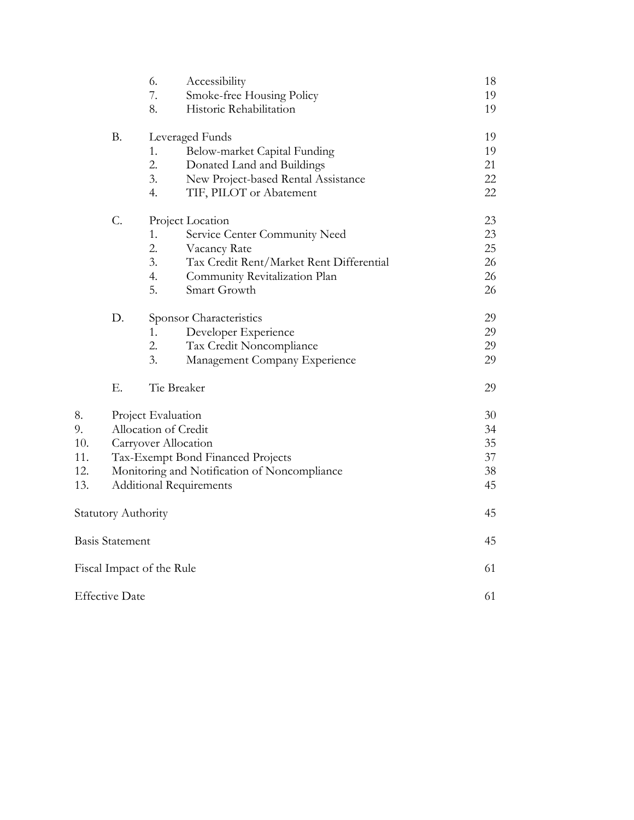|     |                                              | 6.                        | Accessibility                            | 18 |
|-----|----------------------------------------------|---------------------------|------------------------------------------|----|
|     |                                              | 7.                        | Smoke-free Housing Policy                | 19 |
|     |                                              | 8.                        | Historic Rehabilitation                  | 19 |
|     | <b>B.</b>                                    | Leveraged Funds           |                                          | 19 |
|     |                                              | 1.                        | Below-market Capital Funding             | 19 |
|     |                                              | 2.                        | Donated Land and Buildings               | 21 |
|     |                                              | 3.                        | New Project-based Rental Assistance      | 22 |
|     |                                              | 4.                        | TIF, PILOT or Abatement                  | 22 |
|     | $C$ .                                        |                           | Project Location                         | 23 |
|     |                                              | 1.                        | Service Center Community Need            | 23 |
|     |                                              | 2.                        | Vacancy Rate                             | 25 |
|     |                                              | 3.                        | Tax Credit Rent/Market Rent Differential | 26 |
|     |                                              | 4.                        | Community Revitalization Plan            | 26 |
|     |                                              | 5.                        | Smart Growth                             | 26 |
|     | D.                                           |                           | Sponsor Characteristics                  | 29 |
|     |                                              | 1.                        | Developer Experience                     | 29 |
|     |                                              | 2.                        | Tax Credit Noncompliance                 | 29 |
|     |                                              | 3.                        | Management Company Experience            | 29 |
|     | Ε.                                           |                           | Tie Breaker                              | 29 |
| 8.  |                                              | Project Evaluation        |                                          | 30 |
| 9.  |                                              |                           | Allocation of Credit                     | 34 |
| 10. |                                              |                           | Carryover Allocation                     | 35 |
| 11. |                                              |                           | Tax-Exempt Bond Financed Projects        | 37 |
| 12. | Monitoring and Notification of Noncompliance |                           | 38                                       |    |
| 13. | <b>Additional Requirements</b>               |                           |                                          | 45 |
|     | <b>Statutory Authority</b>                   |                           |                                          | 45 |
|     | Basis Statement                              |                           |                                          | 45 |
|     |                                              | Fiscal Impact of the Rule |                                          | 61 |
|     | <b>Effective Date</b>                        |                           |                                          | 61 |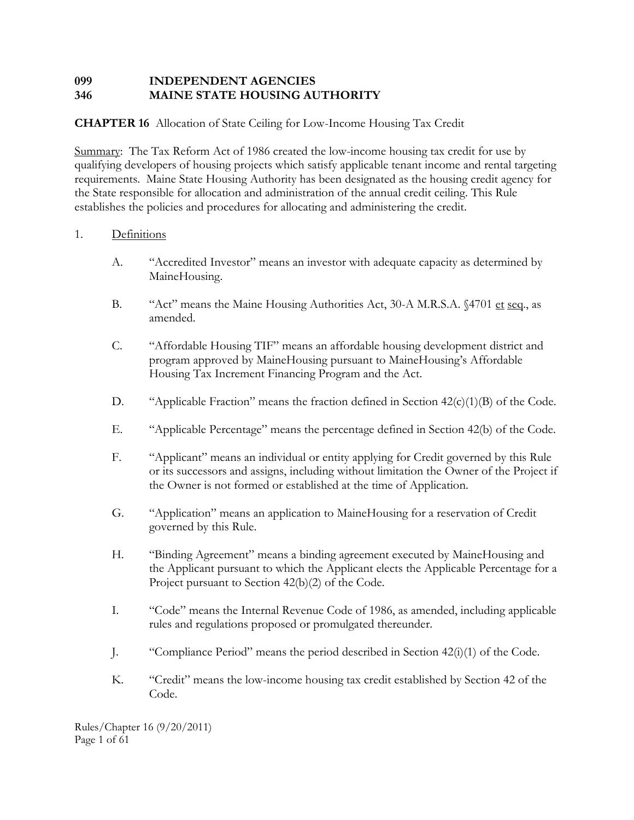# **099 INDEPENDENT AGENCIES 346 MAINE STATE HOUSING AUTHORITY**

# **CHAPTER 16** Allocation of State Ceiling for Low-Income Housing Tax Credit

Summary: The Tax Reform Act of 1986 created the low-income housing tax credit for use by qualifying developers of housing projects which satisfy applicable tenant income and rental targeting requirements. Maine State Housing Authority has been designated as the housing credit agency for the State responsible for allocation and administration of the annual credit ceiling. This Rule establishes the policies and procedures for allocating and administering the credit.

## 1. Definitions

- A. "Accredited Investor" means an investor with adequate capacity as determined by MaineHousing.
- B. "Act" means the Maine Housing Authorities Act, 30-A M.R.S.A. §4701 et seq., as amended.
- C. "Affordable Housing TIF" means an affordable housing development district and program approved by MaineHousing pursuant to MaineHousing's Affordable Housing Tax Increment Financing Program and the Act.
- D. "Applicable Fraction" means the fraction defined in Section  $42(c)(1)(B)$  of the Code.
- E. "Applicable Percentage" means the percentage defined in Section 42(b) of the Code.
- F. "Applicant" means an individual or entity applying for Credit governed by this Rule or its successors and assigns, including without limitation the Owner of the Project if the Owner is not formed or established at the time of Application.
- G. "Application" means an application to MaineHousing for a reservation of Credit governed by this Rule.
- H. "Binding Agreement" means a binding agreement executed by MaineHousing and the Applicant pursuant to which the Applicant elects the Applicable Percentage for a Project pursuant to Section 42(b)(2) of the Code.
- I. "Code" means the Internal Revenue Code of 1986, as amended, including applicable rules and regulations proposed or promulgated thereunder.
- J. "Compliance Period" means the period described in Section 42(i)(1) of the Code.
- K. "Credit" means the low-income housing tax credit established by Section 42 of the Code.

Rules/Chapter 16 (9/20/2011) Page 1 of 61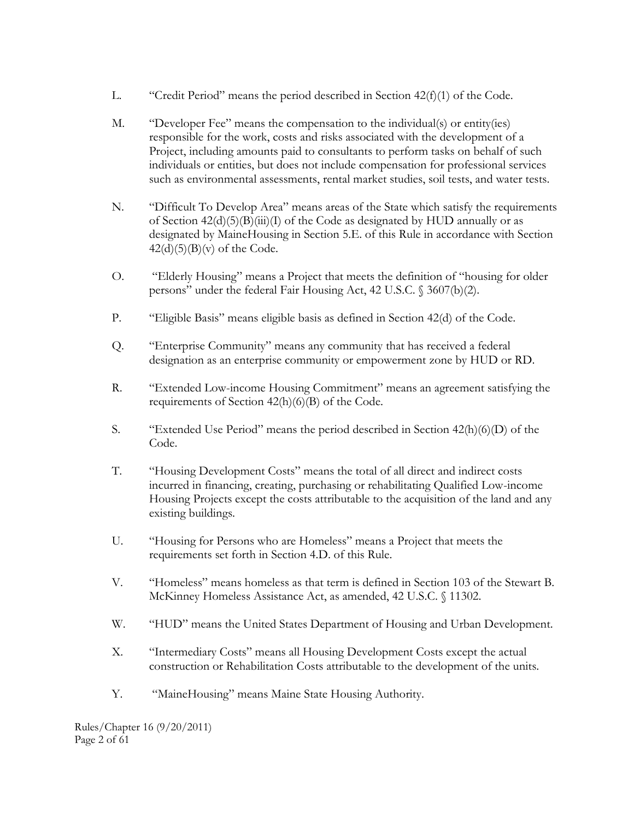- L. "Credit Period" means the period described in Section  $42(f)(1)$  of the Code.
- M. "Developer Fee" means the compensation to the individual(s) or entity(ies) responsible for the work, costs and risks associated with the development of a Project, including amounts paid to consultants to perform tasks on behalf of such individuals or entities, but does not include compensation for professional services such as environmental assessments, rental market studies, soil tests, and water tests.
- N. "Difficult To Develop Area" means areas of the State which satisfy the requirements of Section  $42(d)(5)(B)(iii)(I)$  of the Code as designated by HUD annually or as designated by MaineHousing in Section 5.E. of this Rule in accordance with Section  $42(d)(5)(B)(v)$  of the Code.
- O. "Elderly Housing" means a Project that meets the definition of "housing for older persons" under the federal Fair Housing Act, 42 U.S.C. § 3607(b)(2).
- P. "Eligible Basis" means eligible basis as defined in Section 42(d) of the Code.
- Q. "Enterprise Community" means any community that has received a federal designation as an enterprise community or empowerment zone by HUD or RD.
- R. "Extended Low-income Housing Commitment" means an agreement satisfying the requirements of Section 42(h)(6)(B) of the Code.
- S. "Extended Use Period" means the period described in Section 42(h)(6)(D) of the Code.
- T. "Housing Development Costs" means the total of all direct and indirect costs incurred in financing, creating, purchasing or rehabilitating Qualified Low-income Housing Projects except the costs attributable to the acquisition of the land and any existing buildings.
- U. "Housing for Persons who are Homeless" means a Project that meets the requirements set forth in Section 4.D. of this Rule.
- V. "Homeless" means homeless as that term is defined in Section 103 of the Stewart B. McKinney Homeless Assistance Act, as amended, 42 U.S.C. § 11302.
- W. "HUD" means the United States Department of Housing and Urban Development.
- X. "Intermediary Costs" means all Housing Development Costs except the actual construction or Rehabilitation Costs attributable to the development of the units.
- Y. "MaineHousing" means Maine State Housing Authority.

Rules/Chapter 16 (9/20/2011) Page 2 of 61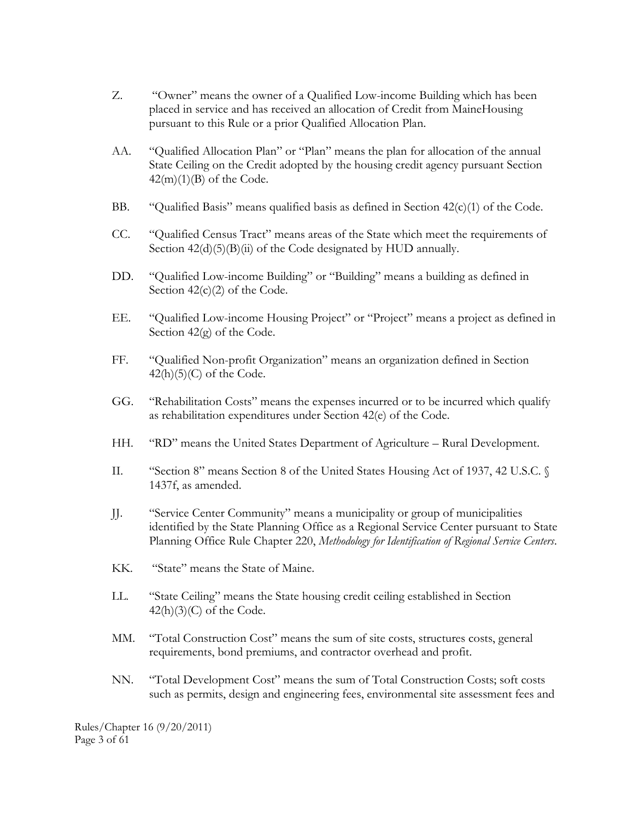- Z. "Owner" means the owner of a Qualified Low-income Building which has been placed in service and has received an allocation of Credit from MaineHousing pursuant to this Rule or a prior Qualified Allocation Plan.
- AA. "Qualified Allocation Plan" or "Plan" means the plan for allocation of the annual State Ceiling on the Credit adopted by the housing credit agency pursuant Section  $42(m)(1)(B)$  of the Code.
- BB. "Qualified Basis" means qualified basis as defined in Section 42(c)(1) of the Code.
- CC. "Qualified Census Tract" means areas of the State which meet the requirements of Section  $42(d)(5)(B)(ii)$  of the Code designated by HUD annually.
- DD. "Qualified Low-income Building" or "Building" means a building as defined in Section  $42(c)(2)$  of the Code.
- EE. "Qualified Low-income Housing Project" or "Project" means a project as defined in Section 42(g) of the Code.
- FF. "Qualified Non-profit Organization" means an organization defined in Section  $42(h)(5)(C)$  of the Code.
- GG. "Rehabilitation Costs" means the expenses incurred or to be incurred which qualify as rehabilitation expenditures under Section 42(e) of the Code.
- HH. "RD" means the United States Department of Agriculture Rural Development.
- II. "Section 8" means Section 8 of the United States Housing Act of 1937, 42 U.S.C. § 1437f, as amended.
- JJ. "Service Center Community" means a municipality or group of municipalities identified by the State Planning Office as a Regional Service Center pursuant to State Planning Office Rule Chapter 220, *Methodology for Identification of Regional Service Centers*.
- KK. "State" means the State of Maine.
- LL. "State Ceiling" means the State housing credit ceiling established in Section  $42(h)(3)(C)$  of the Code.
- MM. "Total Construction Cost" means the sum of site costs, structures costs, general requirements, bond premiums, and contractor overhead and profit.
- NN. "Total Development Cost" means the sum of Total Construction Costs; soft costs such as permits, design and engineering fees, environmental site assessment fees and

Rules/Chapter 16 (9/20/2011) Page 3 of 61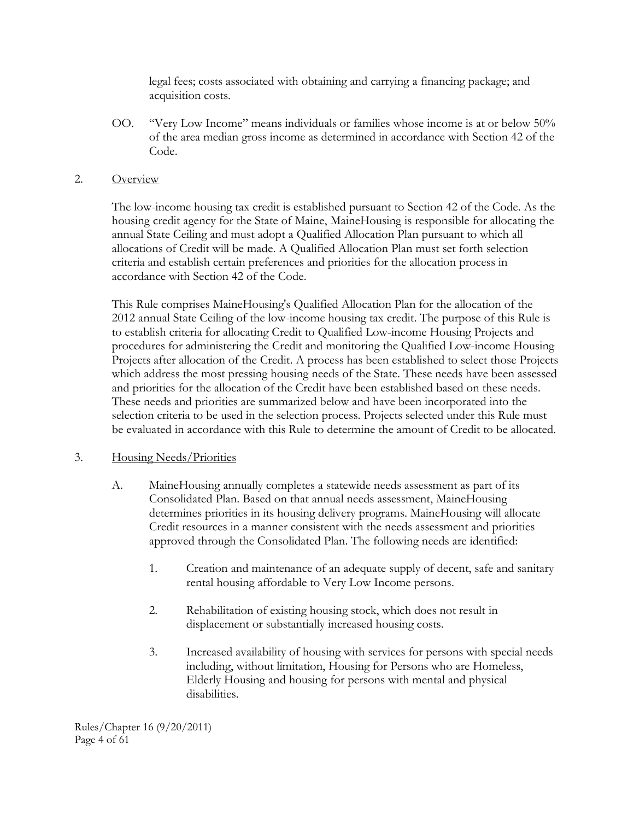legal fees; costs associated with obtaining and carrying a financing package; and acquisition costs.

OO. "Very Low Income" means individuals or families whose income is at or below 50% of the area median gross income as determined in accordance with Section 42 of the Code.

#### 2. Overview

The low-income housing tax credit is established pursuant to Section 42 of the Code. As the housing credit agency for the State of Maine, MaineHousing is responsible for allocating the annual State Ceiling and must adopt a Qualified Allocation Plan pursuant to which all allocations of Credit will be made. A Qualified Allocation Plan must set forth selection criteria and establish certain preferences and priorities for the allocation process in accordance with Section 42 of the Code.

This Rule comprises MaineHousing's Qualified Allocation Plan for the allocation of the 2012 annual State Ceiling of the low-income housing tax credit. The purpose of this Rule is to establish criteria for allocating Credit to Qualified Low-income Housing Projects and procedures for administering the Credit and monitoring the Qualified Low-income Housing Projects after allocation of the Credit. A process has been established to select those Projects which address the most pressing housing needs of the State. These needs have been assessed and priorities for the allocation of the Credit have been established based on these needs. These needs and priorities are summarized below and have been incorporated into the selection criteria to be used in the selection process. Projects selected under this Rule must be evaluated in accordance with this Rule to determine the amount of Credit to be allocated.

#### 3. Housing Needs/Priorities

- A. MaineHousing annually completes a statewide needs assessment as part of its Consolidated Plan. Based on that annual needs assessment, MaineHousing determines priorities in its housing delivery programs. MaineHousing will allocate Credit resources in a manner consistent with the needs assessment and priorities approved through the Consolidated Plan. The following needs are identified:
	- 1. Creation and maintenance of an adequate supply of decent, safe and sanitary rental housing affordable to Very Low Income persons.
	- 2. Rehabilitation of existing housing stock, which does not result in displacement or substantially increased housing costs.
	- 3. Increased availability of housing with services for persons with special needs including, without limitation, Housing for Persons who are Homeless, Elderly Housing and housing for persons with mental and physical disabilities.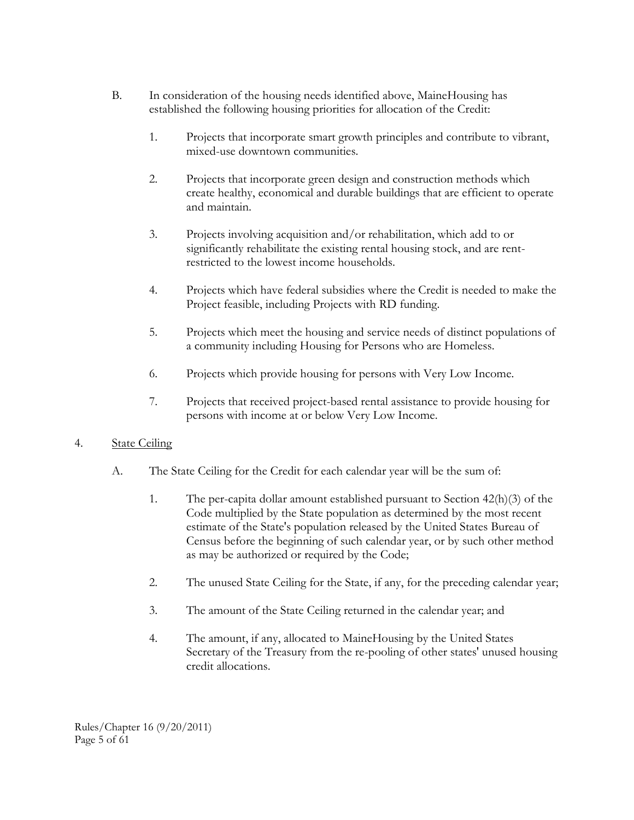- B. In consideration of the housing needs identified above, MaineHousing has established the following housing priorities for allocation of the Credit:
	- 1. Projects that incorporate smart growth principles and contribute to vibrant, mixed-use downtown communities.
	- 2. Projects that incorporate green design and construction methods which create healthy, economical and durable buildings that are efficient to operate and maintain.
	- 3. Projects involving acquisition and/or rehabilitation, which add to or significantly rehabilitate the existing rental housing stock, and are rentrestricted to the lowest income households.
	- 4. Projects which have federal subsidies where the Credit is needed to make the Project feasible, including Projects with RD funding.
	- 5. Projects which meet the housing and service needs of distinct populations of a community including Housing for Persons who are Homeless.
	- 6. Projects which provide housing for persons with Very Low Income.
	- 7. Projects that received project-based rental assistance to provide housing for persons with income at or below Very Low Income.

## 4. State Ceiling

- A. The State Ceiling for the Credit for each calendar year will be the sum of:
	- 1. The per-capita dollar amount established pursuant to Section 42(h)(3) of the Code multiplied by the State population as determined by the most recent estimate of the State's population released by the United States Bureau of Census before the beginning of such calendar year, or by such other method as may be authorized or required by the Code;
	- 2. The unused State Ceiling for the State, if any, for the preceding calendar year;
	- 3. The amount of the State Ceiling returned in the calendar year; and
	- 4. The amount, if any, allocated to MaineHousing by the United States Secretary of the Treasury from the re-pooling of other states' unused housing credit allocations.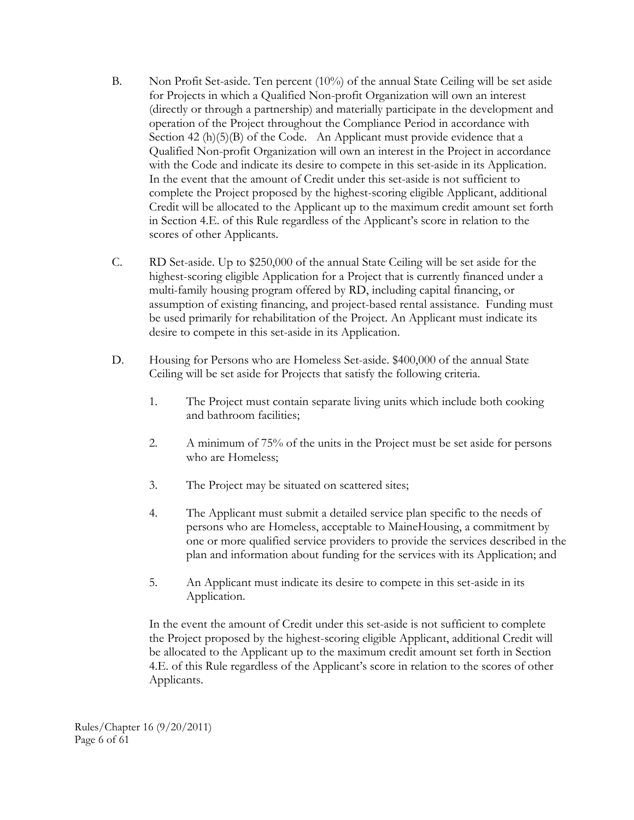- B. Non Profit Set-aside. Ten percent (10%) of the annual State Ceiling will be set aside for Projects in which a Qualified Non-profit Organization will own an interest (directly or through a partnership) and materially participate in the development and operation of the Project throughout the Compliance Period in accordance with Section 42 (h)(5)(B) of the Code. An Applicant must provide evidence that a Qualified Non-profit Organization will own an interest in the Project in accordance with the Code and indicate its desire to compete in this set-aside in its Application. In the event that the amount of Credit under this set-aside is not sufficient to complete the Project proposed by the highest-scoring eligible Applicant, additional Credit will be allocated to the Applicant up to the maximum credit amount set forth in Section 4.E. of this Rule regardless of the Applicant's score in relation to the scores of other Applicants.
- C. RD Set-aside. Up to \$250,000 of the annual State Ceiling will be set aside for the highest-scoring eligible Application for a Project that is currently financed under a multi-family housing program offered by RD, including capital financing, or assumption of existing financing, and project-based rental assistance. Funding must be used primarily for rehabilitation of the Project. An Applicant must indicate its desire to compete in this set-aside in its Application.
- D. Housing for Persons who are Homeless Set-aside. \$400,000 of the annual State Ceiling will be set aside for Projects that satisfy the following criteria.
	- 1. The Project must contain separate living units which include both cooking and bathroom facilities;
	- 2. A minimum of 75% of the units in the Project must be set aside for persons who are Homeless;
	- 3. The Project may be situated on scattered sites;
	- 4. The Applicant must submit a detailed service plan specific to the needs of persons who are Homeless, acceptable to MaineHousing, a commitment by one or more qualified service providers to provide the services described in the plan and information about funding for the services with its Application; and
	- 5. An Applicant must indicate its desire to compete in this set-aside in its Application.

In the event the amount of Credit under this set-aside is not sufficient to complete the Project proposed by the highest-scoring eligible Applicant, additional Credit will be allocated to the Applicant up to the maximum credit amount set forth in Section 4.E. of this Rule regardless of the Applicant's score in relation to the scores of other Applicants.

Rules/Chapter 16 (9/20/2011) Page 6 of 61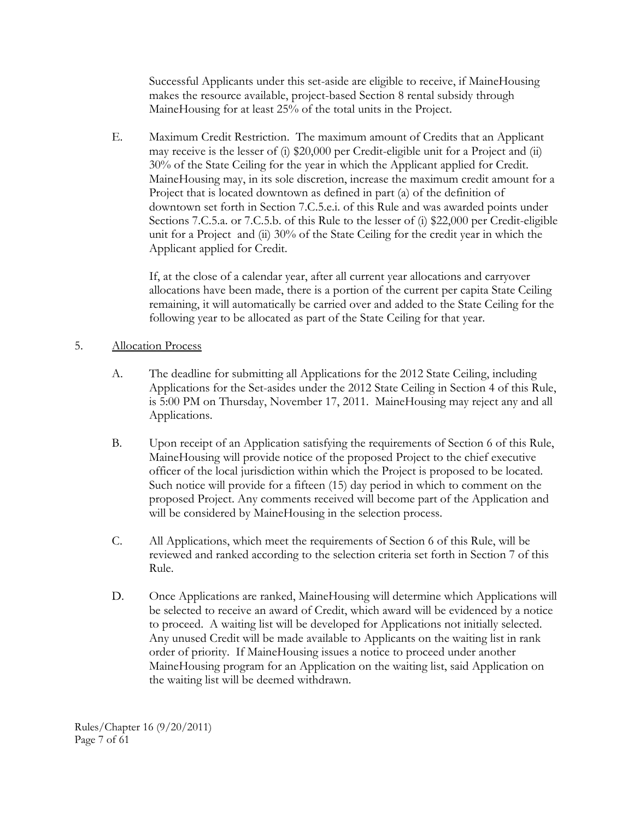Successful Applicants under this set-aside are eligible to receive, if MaineHousing makes the resource available, project-based Section 8 rental subsidy through MaineHousing for at least 25% of the total units in the Project.

E. Maximum Credit Restriction. The maximum amount of Credits that an Applicant may receive is the lesser of (i) \$20,000 per Credit-eligible unit for a Project and (ii) 30% of the State Ceiling for the year in which the Applicant applied for Credit. MaineHousing may, in its sole discretion, increase the maximum credit amount for a Project that is located downtown as defined in part (a) of the definition of downtown set forth in Section 7.C.5.e.i. of this Rule and was awarded points under Sections 7.C.5.a. or 7.C.5.b. of this Rule to the lesser of (i) \$22,000 per Credit-eligible unit for a Project and (ii) 30% of the State Ceiling for the credit year in which the Applicant applied for Credit.

If, at the close of a calendar year, after all current year allocations and carryover allocations have been made, there is a portion of the current per capita State Ceiling remaining, it will automatically be carried over and added to the State Ceiling for the following year to be allocated as part of the State Ceiling for that year.

## 5. Allocation Process

- A. The deadline for submitting all Applications for the 2012 State Ceiling, including Applications for the Set-asides under the 2012 State Ceiling in Section 4 of this Rule, is 5:00 PM on Thursday, November 17, 2011. MaineHousing may reject any and all Applications.
- B. Upon receipt of an Application satisfying the requirements of Section 6 of this Rule, MaineHousing will provide notice of the proposed Project to the chief executive officer of the local jurisdiction within which the Project is proposed to be located. Such notice will provide for a fifteen (15) day period in which to comment on the proposed Project. Any comments received will become part of the Application and will be considered by MaineHousing in the selection process.
- C. All Applications, which meet the requirements of Section 6 of this Rule, will be reviewed and ranked according to the selection criteria set forth in Section 7 of this Rule.
- D. Once Applications are ranked, MaineHousing will determine which Applications will be selected to receive an award of Credit, which award will be evidenced by a notice to proceed. A waiting list will be developed for Applications not initially selected. Any unused Credit will be made available to Applicants on the waiting list in rank order of priority. If MaineHousing issues a notice to proceed under another MaineHousing program for an Application on the waiting list, said Application on the waiting list will be deemed withdrawn.

Rules/Chapter 16 (9/20/2011) Page 7 of 61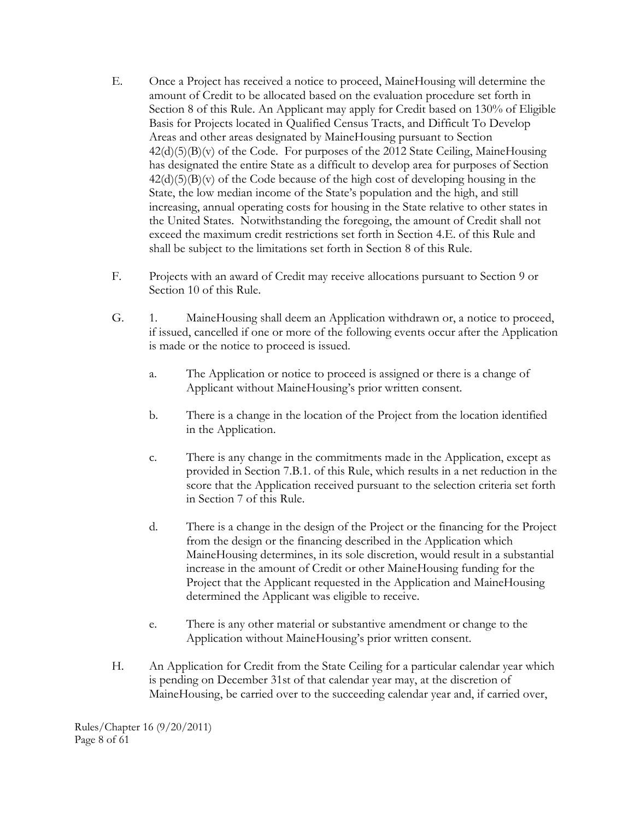- E. Once a Project has received a notice to proceed, MaineHousing will determine the amount of Credit to be allocated based on the evaluation procedure set forth in Section 8 of this Rule. An Applicant may apply for Credit based on 130% of Eligible Basis for Projects located in Qualified Census Tracts, and Difficult To Develop Areas and other areas designated by MaineHousing pursuant to Section  $42(d)(5)(B)(v)$  of the Code. For purposes of the 2012 State Ceiling, MaineHousing has designated the entire State as a difficult to develop area for purposes of Section  $42(d)(5)(B)(v)$  of the Code because of the high cost of developing housing in the State, the low median income of the State's population and the high, and still increasing, annual operating costs for housing in the State relative to other states in the United States. Notwithstanding the foregoing, the amount of Credit shall not exceed the maximum credit restrictions set forth in Section 4.E. of this Rule and shall be subject to the limitations set forth in Section 8 of this Rule.
- F. Projects with an award of Credit may receive allocations pursuant to Section 9 or Section 10 of this Rule.
- G. 1. MaineHousing shall deem an Application withdrawn or, a notice to proceed, if issued, cancelled if one or more of the following events occur after the Application is made or the notice to proceed is issued.
	- a. The Application or notice to proceed is assigned or there is a change of Applicant without MaineHousing's prior written consent.
	- b. There is a change in the location of the Project from the location identified in the Application.
	- c. There is any change in the commitments made in the Application, except as provided in Section 7.B.1. of this Rule, which results in a net reduction in the score that the Application received pursuant to the selection criteria set forth in Section 7 of this Rule.
	- d. There is a change in the design of the Project or the financing for the Project from the design or the financing described in the Application which MaineHousing determines, in its sole discretion, would result in a substantial increase in the amount of Credit or other MaineHousing funding for the Project that the Applicant requested in the Application and MaineHousing determined the Applicant was eligible to receive.
	- e. There is any other material or substantive amendment or change to the Application without MaineHousing's prior written consent.
- H. An Application for Credit from the State Ceiling for a particular calendar year which is pending on December 31st of that calendar year may, at the discretion of MaineHousing, be carried over to the succeeding calendar year and, if carried over,

Rules/Chapter 16 (9/20/2011) Page 8 of 61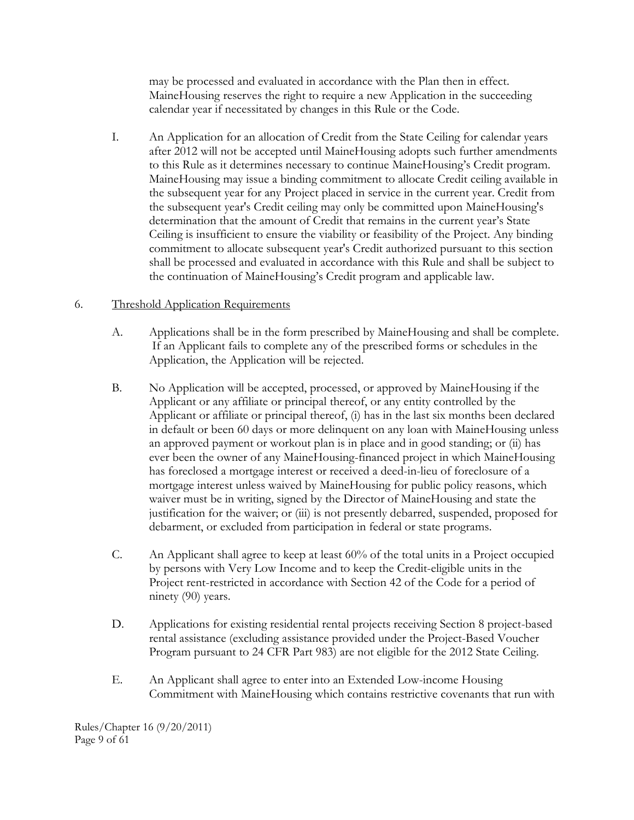may be processed and evaluated in accordance with the Plan then in effect. MaineHousing reserves the right to require a new Application in the succeeding calendar year if necessitated by changes in this Rule or the Code.

I. An Application for an allocation of Credit from the State Ceiling for calendar years after 2012 will not be accepted until MaineHousing adopts such further amendments to this Rule as it determines necessary to continue MaineHousing's Credit program. MaineHousing may issue a binding commitment to allocate Credit ceiling available in the subsequent year for any Project placed in service in the current year. Credit from the subsequent year's Credit ceiling may only be committed upon MaineHousing's determination that the amount of Credit that remains in the current year's State Ceiling is insufficient to ensure the viability or feasibility of the Project. Any binding commitment to allocate subsequent year's Credit authorized pursuant to this section shall be processed and evaluated in accordance with this Rule and shall be subject to the continuation of MaineHousing's Credit program and applicable law.

## 6. Threshold Application Requirements

- A. Applications shall be in the form prescribed by MaineHousing and shall be complete. If an Applicant fails to complete any of the prescribed forms or schedules in the Application, the Application will be rejected.
- B. No Application will be accepted, processed, or approved by MaineHousing if the Applicant or any affiliate or principal thereof, or any entity controlled by the Applicant or affiliate or principal thereof, (i) has in the last six months been declared in default or been 60 days or more delinquent on any loan with MaineHousing unless an approved payment or workout plan is in place and in good standing; or (ii) has ever been the owner of any MaineHousing-financed project in which MaineHousing has foreclosed a mortgage interest or received a deed-in-lieu of foreclosure of a mortgage interest unless waived by MaineHousing for public policy reasons, which waiver must be in writing, signed by the Director of MaineHousing and state the justification for the waiver; or (iii) is not presently debarred, suspended, proposed for debarment, or excluded from participation in federal or state programs.
- C. An Applicant shall agree to keep at least 60% of the total units in a Project occupied by persons with Very Low Income and to keep the Credit-eligible units in the Project rent-restricted in accordance with Section 42 of the Code for a period of ninety (90) years.
- D. Applications for existing residential rental projects receiving Section 8 project-based rental assistance (excluding assistance provided under the Project-Based Voucher Program pursuant to 24 CFR Part 983) are not eligible for the 2012 State Ceiling.
- E. An Applicant shall agree to enter into an Extended Low-income Housing Commitment with MaineHousing which contains restrictive covenants that run with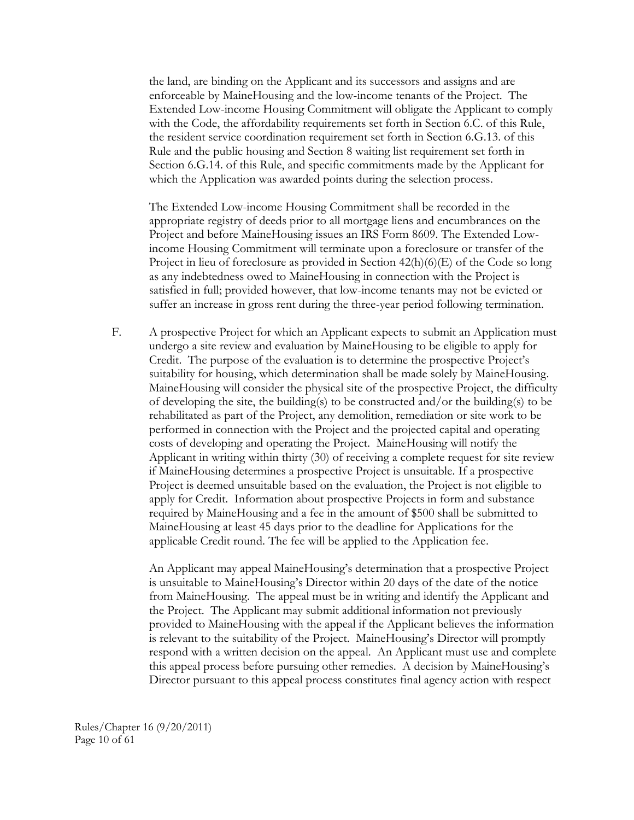the land, are binding on the Applicant and its successors and assigns and are enforceable by MaineHousing and the low-income tenants of the Project. The Extended Low-income Housing Commitment will obligate the Applicant to comply with the Code, the affordability requirements set forth in Section 6.C. of this Rule, the resident service coordination requirement set forth in Section 6.G.13. of this Rule and the public housing and Section 8 waiting list requirement set forth in Section 6.G.14. of this Rule, and specific commitments made by the Applicant for which the Application was awarded points during the selection process.

The Extended Low-income Housing Commitment shall be recorded in the appropriate registry of deeds prior to all mortgage liens and encumbrances on the Project and before MaineHousing issues an IRS Form 8609. The Extended Lowincome Housing Commitment will terminate upon a foreclosure or transfer of the Project in lieu of foreclosure as provided in Section 42(h)(6)(E) of the Code so long as any indebtedness owed to MaineHousing in connection with the Project is satisfied in full; provided however, that low-income tenants may not be evicted or suffer an increase in gross rent during the three-year period following termination.

F. A prospective Project for which an Applicant expects to submit an Application must undergo a site review and evaluation by MaineHousing to be eligible to apply for Credit. The purpose of the evaluation is to determine the prospective Project's suitability for housing, which determination shall be made solely by MaineHousing. MaineHousing will consider the physical site of the prospective Project, the difficulty of developing the site, the building(s) to be constructed and/or the building(s) to be rehabilitated as part of the Project, any demolition, remediation or site work to be performed in connection with the Project and the projected capital and operating costs of developing and operating the Project. MaineHousing will notify the Applicant in writing within thirty (30) of receiving a complete request for site review if MaineHousing determines a prospective Project is unsuitable. If a prospective Project is deemed unsuitable based on the evaluation, the Project is not eligible to apply for Credit. Information about prospective Projects in form and substance required by MaineHousing and a fee in the amount of \$500 shall be submitted to MaineHousing at least 45 days prior to the deadline for Applications for the applicable Credit round. The fee will be applied to the Application fee.

An Applicant may appeal MaineHousing's determination that a prospective Project is unsuitable to MaineHousing's Director within 20 days of the date of the notice from MaineHousing. The appeal must be in writing and identify the Applicant and the Project. The Applicant may submit additional information not previously provided to MaineHousing with the appeal if the Applicant believes the information is relevant to the suitability of the Project. MaineHousing's Director will promptly respond with a written decision on the appeal. An Applicant must use and complete this appeal process before pursuing other remedies. A decision by MaineHousing's Director pursuant to this appeal process constitutes final agency action with respect

Rules/Chapter 16 (9/20/2011) Page 10 of 61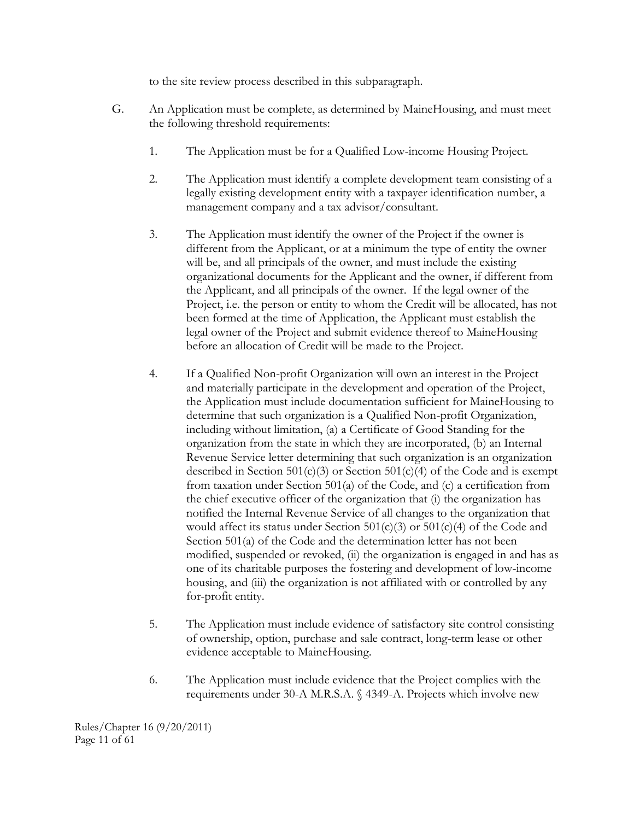to the site review process described in this subparagraph.

- G. An Application must be complete, as determined by MaineHousing, and must meet the following threshold requirements:
	- 1. The Application must be for a Qualified Low-income Housing Project.
	- 2. The Application must identify a complete development team consisting of a legally existing development entity with a taxpayer identification number, a management company and a tax advisor/consultant.
	- 3. The Application must identify the owner of the Project if the owner is different from the Applicant, or at a minimum the type of entity the owner will be, and all principals of the owner, and must include the existing organizational documents for the Applicant and the owner, if different from the Applicant, and all principals of the owner. If the legal owner of the Project, i.e. the person or entity to whom the Credit will be allocated, has not been formed at the time of Application, the Applicant must establish the legal owner of the Project and submit evidence thereof to MaineHousing before an allocation of Credit will be made to the Project.
	- 4. If a Qualified Non-profit Organization will own an interest in the Project and materially participate in the development and operation of the Project, the Application must include documentation sufficient for MaineHousing to determine that such organization is a Qualified Non-profit Organization, including without limitation, (a) a Certificate of Good Standing for the organization from the state in which they are incorporated, (b) an Internal Revenue Service letter determining that such organization is an organization described in Section  $501(c)(3)$  or Section  $501(c)(4)$  of the Code and is exempt from taxation under Section 501(a) of the Code, and (c) a certification from the chief executive officer of the organization that (i) the organization has notified the Internal Revenue Service of all changes to the organization that would affect its status under Section  $501(c)(3)$  or  $501(c)(4)$  of the Code and Section 501(a) of the Code and the determination letter has not been modified, suspended or revoked, (ii) the organization is engaged in and has as one of its charitable purposes the fostering and development of low-income housing, and (iii) the organization is not affiliated with or controlled by any for-profit entity.
	- 5. The Application must include evidence of satisfactory site control consisting of ownership, option, purchase and sale contract, long-term lease or other evidence acceptable to MaineHousing.
	- 6. The Application must include evidence that the Project complies with the requirements under 30-A M.R.S.A. § 4349-A. Projects which involve new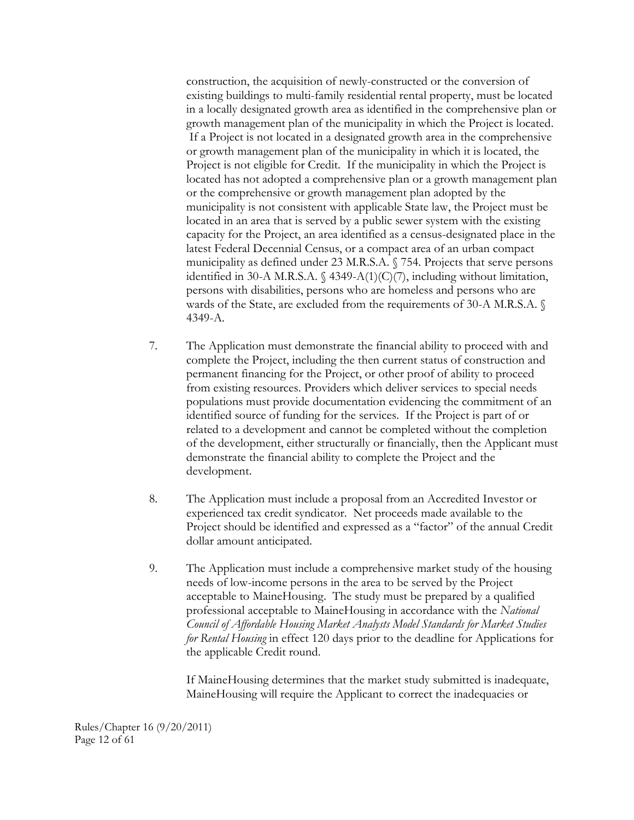construction, the acquisition of newly-constructed or the conversion of existing buildings to multi-family residential rental property, must be located in a locally designated growth area as identified in the comprehensive plan or growth management plan of the municipality in which the Project is located. If a Project is not located in a designated growth area in the comprehensive or growth management plan of the municipality in which it is located, the Project is not eligible for Credit. If the municipality in which the Project is located has not adopted a comprehensive plan or a growth management plan or the comprehensive or growth management plan adopted by the municipality is not consistent with applicable State law, the Project must be located in an area that is served by a public sewer system with the existing capacity for the Project, an area identified as a census-designated place in the latest Federal Decennial Census, or a compact area of an urban compact municipality as defined under 23 M.R.S.A. § 754. Projects that serve persons identified in 30-A M.R.S.A. § 4349-A(1)(C)(7), including without limitation, persons with disabilities, persons who are homeless and persons who are wards of the State, are excluded from the requirements of 30-A M.R.S.A. § 4349-A.

- 7. The Application must demonstrate the financial ability to proceed with and complete the Project, including the then current status of construction and permanent financing for the Project, or other proof of ability to proceed from existing resources. Providers which deliver services to special needs populations must provide documentation evidencing the commitment of an identified source of funding for the services. If the Project is part of or related to a development and cannot be completed without the completion of the development, either structurally or financially, then the Applicant must demonstrate the financial ability to complete the Project and the development.
- 8. The Application must include a proposal from an Accredited Investor or experienced tax credit syndicator. Net proceeds made available to the Project should be identified and expressed as a "factor" of the annual Credit dollar amount anticipated.
- 9. The Application must include a comprehensive market study of the housing needs of low-income persons in the area to be served by the Project acceptable to MaineHousing. The study must be prepared by a qualified professional acceptable to MaineHousing in accordance with the *National Council of Affordable Housing Market Analysts Model Standards for Market Studies for Rental Housing* in effect 120 days prior to the deadline for Applications for the applicable Credit round.

If MaineHousing determines that the market study submitted is inadequate, MaineHousing will require the Applicant to correct the inadequacies or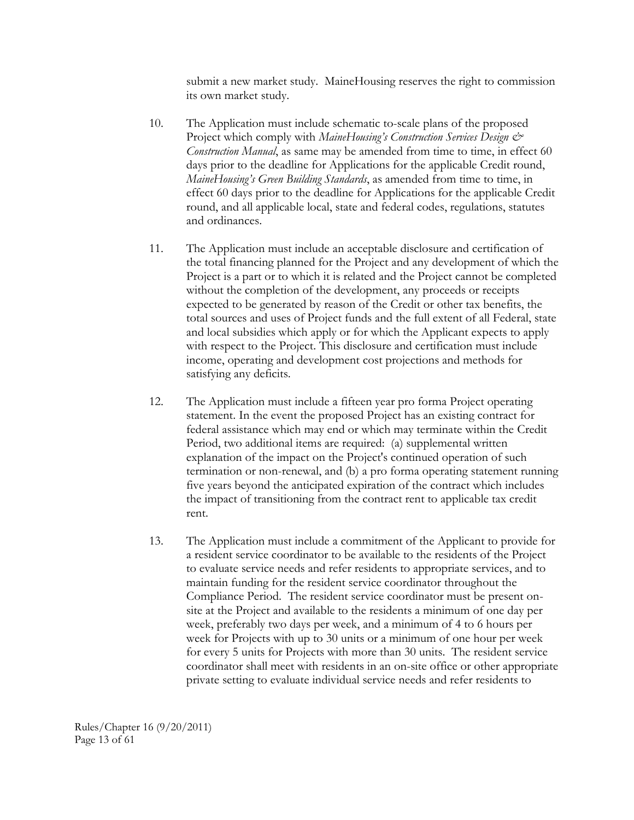submit a new market study. MaineHousing reserves the right to commission its own market study.

- 10. The Application must include schematic to-scale plans of the proposed Project which comply with *MaineHousing's Construction Services Design & Construction Manual*, as same may be amended from time to time, in effect 60 days prior to the deadline for Applications for the applicable Credit round, *MaineHousing's Green Building Standards*, as amended from time to time, in effect 60 days prior to the deadline for Applications for the applicable Credit round, and all applicable local, state and federal codes, regulations, statutes and ordinances.
- 11. The Application must include an acceptable disclosure and certification of the total financing planned for the Project and any development of which the Project is a part or to which it is related and the Project cannot be completed without the completion of the development, any proceeds or receipts expected to be generated by reason of the Credit or other tax benefits, the total sources and uses of Project funds and the full extent of all Federal, state and local subsidies which apply or for which the Applicant expects to apply with respect to the Project. This disclosure and certification must include income, operating and development cost projections and methods for satisfying any deficits.
- 12. The Application must include a fifteen year pro forma Project operating statement. In the event the proposed Project has an existing contract for federal assistance which may end or which may terminate within the Credit Period, two additional items are required: (a) supplemental written explanation of the impact on the Project's continued operation of such termination or non-renewal, and (b) a pro forma operating statement running five years beyond the anticipated expiration of the contract which includes the impact of transitioning from the contract rent to applicable tax credit rent.
- 13. The Application must include a commitment of the Applicant to provide for a resident service coordinator to be available to the residents of the Project to evaluate service needs and refer residents to appropriate services, and to maintain funding for the resident service coordinator throughout the Compliance Period. The resident service coordinator must be present onsite at the Project and available to the residents a minimum of one day per week, preferably two days per week, and a minimum of 4 to 6 hours per week for Projects with up to 30 units or a minimum of one hour per week for every 5 units for Projects with more than 30 units. The resident service coordinator shall meet with residents in an on-site office or other appropriate private setting to evaluate individual service needs and refer residents to

Rules/Chapter 16 (9/20/2011) Page 13 of 61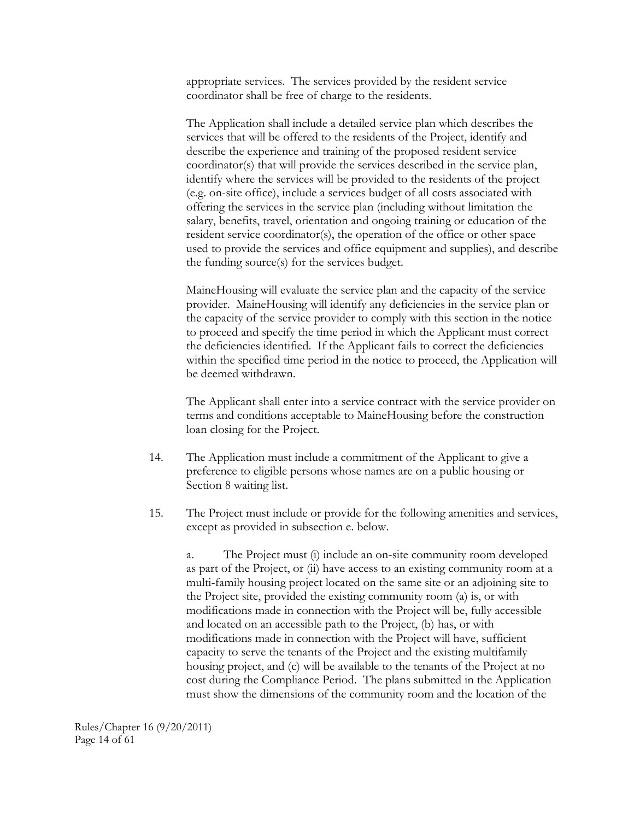appropriate services. The services provided by the resident service coordinator shall be free of charge to the residents.

The Application shall include a detailed service plan which describes the services that will be offered to the residents of the Project, identify and describe the experience and training of the proposed resident service coordinator(s) that will provide the services described in the service plan, identify where the services will be provided to the residents of the project (e.g. on-site office), include a services budget of all costs associated with offering the services in the service plan (including without limitation the salary, benefits, travel, orientation and ongoing training or education of the resident service coordinator(s), the operation of the office or other space used to provide the services and office equipment and supplies), and describe the funding source(s) for the services budget.

MaineHousing will evaluate the service plan and the capacity of the service provider. MaineHousing will identify any deficiencies in the service plan or the capacity of the service provider to comply with this section in the notice to proceed and specify the time period in which the Applicant must correct the deficiencies identified. If the Applicant fails to correct the deficiencies within the specified time period in the notice to proceed, the Application will be deemed withdrawn.

The Applicant shall enter into a service contract with the service provider on terms and conditions acceptable to MaineHousing before the construction loan closing for the Project.

- 14. The Application must include a commitment of the Applicant to give a preference to eligible persons whose names are on a public housing or Section 8 waiting list.
- 15. The Project must include or provide for the following amenities and services, except as provided in subsection e. below.

a. The Project must (i) include an on-site community room developed as part of the Project, or (ii) have access to an existing community room at a multi-family housing project located on the same site or an adjoining site to the Project site, provided the existing community room (a) is, or with modifications made in connection with the Project will be, fully accessible and located on an accessible path to the Project, (b) has, or with modifications made in connection with the Project will have, sufficient capacity to serve the tenants of the Project and the existing multifamily housing project, and (c) will be available to the tenants of the Project at no cost during the Compliance Period. The plans submitted in the Application must show the dimensions of the community room and the location of the

Rules/Chapter 16 (9/20/2011) Page 14 of 61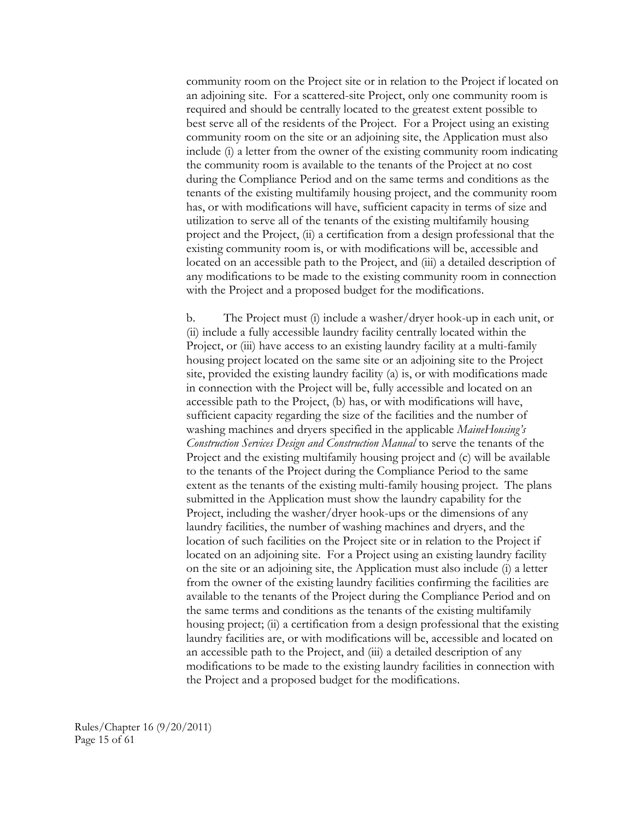community room on the Project site or in relation to the Project if located on an adjoining site. For a scattered-site Project, only one community room is required and should be centrally located to the greatest extent possible to best serve all of the residents of the Project. For a Project using an existing community room on the site or an adjoining site, the Application must also include (i) a letter from the owner of the existing community room indicating the community room is available to the tenants of the Project at no cost during the Compliance Period and on the same terms and conditions as the tenants of the existing multifamily housing project, and the community room has, or with modifications will have, sufficient capacity in terms of size and utilization to serve all of the tenants of the existing multifamily housing project and the Project, (ii) a certification from a design professional that the existing community room is, or with modifications will be, accessible and located on an accessible path to the Project, and (iii) a detailed description of any modifications to be made to the existing community room in connection with the Project and a proposed budget for the modifications.

b. The Project must (i) include a washer/dryer hook-up in each unit, or (ii) include a fully accessible laundry facility centrally located within the Project, or (iii) have access to an existing laundry facility at a multi-family housing project located on the same site or an adjoining site to the Project site, provided the existing laundry facility (a) is, or with modifications made in connection with the Project will be, fully accessible and located on an accessible path to the Project, (b) has, or with modifications will have, sufficient capacity regarding the size of the facilities and the number of washing machines and dryers specified in the applicable *MaineHousing's Construction Services Design and Construction Manual* to serve the tenants of the Project and the existing multifamily housing project and (c) will be available to the tenants of the Project during the Compliance Period to the same extent as the tenants of the existing multi-family housing project. The plans submitted in the Application must show the laundry capability for the Project, including the washer/dryer hook-ups or the dimensions of any laundry facilities, the number of washing machines and dryers, and the location of such facilities on the Project site or in relation to the Project if located on an adjoining site. For a Project using an existing laundry facility on the site or an adjoining site, the Application must also include (i) a letter from the owner of the existing laundry facilities confirming the facilities are available to the tenants of the Project during the Compliance Period and on the same terms and conditions as the tenants of the existing multifamily housing project; (ii) a certification from a design professional that the existing laundry facilities are, or with modifications will be, accessible and located on an accessible path to the Project, and (iii) a detailed description of any modifications to be made to the existing laundry facilities in connection with the Project and a proposed budget for the modifications.

Rules/Chapter 16 (9/20/2011) Page 15 of 61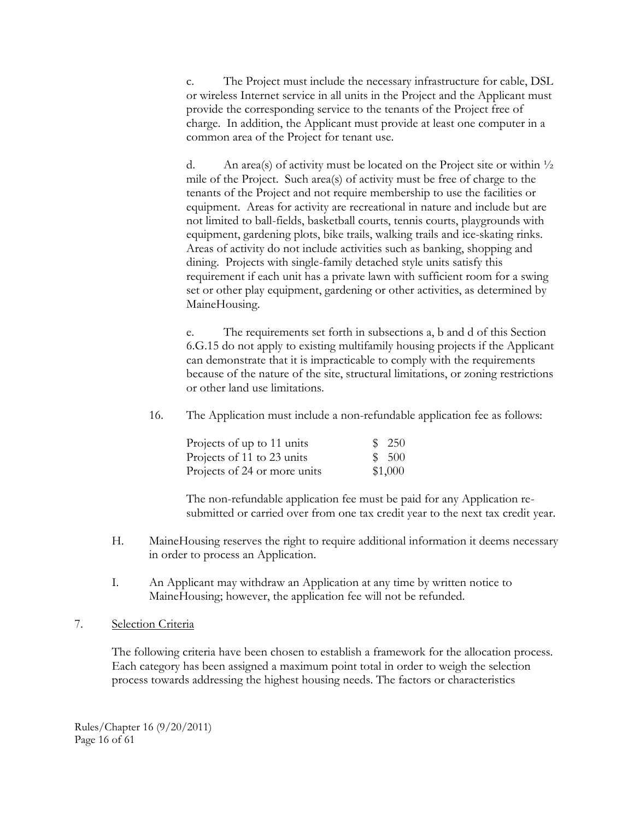c. The Project must include the necessary infrastructure for cable, DSL or wireless Internet service in all units in the Project and the Applicant must provide the corresponding service to the tenants of the Project free of charge. In addition, the Applicant must provide at least one computer in a common area of the Project for tenant use.

d. An area(s) of activity must be located on the Project site or within  $\frac{1}{2}$ mile of the Project. Such area(s) of activity must be free of charge to the tenants of the Project and not require membership to use the facilities or equipment. Areas for activity are recreational in nature and include but are not limited to ball-fields, basketball courts, tennis courts, playgrounds with equipment, gardening plots, bike trails, walking trails and ice-skating rinks. Areas of activity do not include activities such as banking, shopping and dining. Projects with single-family detached style units satisfy this requirement if each unit has a private lawn with sufficient room for a swing set or other play equipment, gardening or other activities, as determined by MaineHousing.

e. The requirements set forth in subsections a, b and d of this Section 6.G.15 do not apply to existing multifamily housing projects if the Applicant can demonstrate that it is impracticable to comply with the requirements because of the nature of the site, structural limitations, or zoning restrictions or other land use limitations.

16. The Application must include a non-refundable application fee as follows:

| Projects of up to 11 units   | \$250   |
|------------------------------|---------|
| Projects of 11 to 23 units   | \$500   |
| Projects of 24 or more units | \$1,000 |

The non-refundable application fee must be paid for any Application resubmitted or carried over from one tax credit year to the next tax credit year.

- H. MaineHousing reserves the right to require additional information it deems necessary in order to process an Application.
- I. An Applicant may withdraw an Application at any time by written notice to MaineHousing; however, the application fee will not be refunded.

#### 7. Selection Criteria

The following criteria have been chosen to establish a framework for the allocation process. Each category has been assigned a maximum point total in order to weigh the selection process towards addressing the highest housing needs. The factors or characteristics

Rules/Chapter 16 (9/20/2011) Page 16 of 61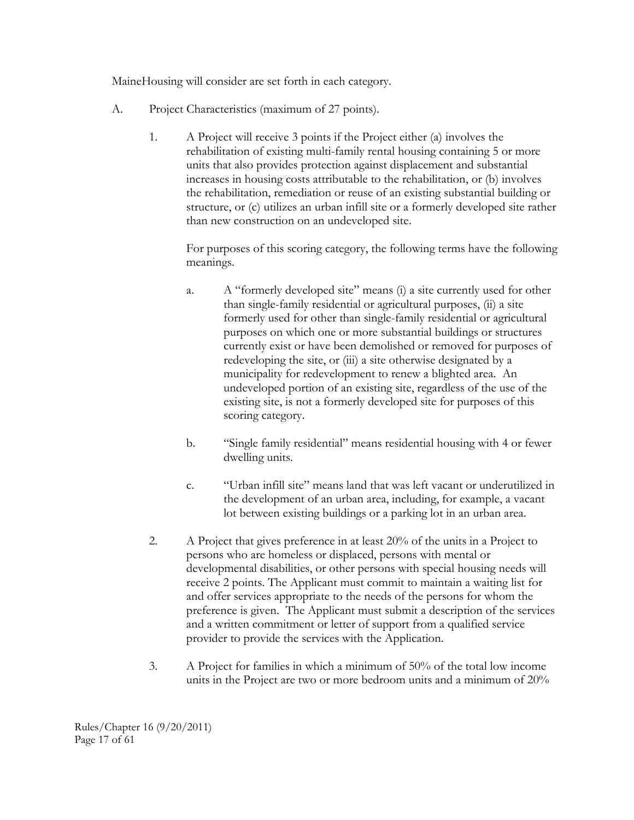MaineHousing will consider are set forth in each category.

- A. Project Characteristics (maximum of 27 points).
	- 1. A Project will receive 3 points if the Project either (a) involves the rehabilitation of existing multi-family rental housing containing 5 or more units that also provides protection against displacement and substantial increases in housing costs attributable to the rehabilitation, or (b) involves the rehabilitation, remediation or reuse of an existing substantial building or structure, or (c) utilizes an urban infill site or a formerly developed site rather than new construction on an undeveloped site.

For purposes of this scoring category, the following terms have the following meanings.

- a. A "formerly developed site" means (i) a site currently used for other than single-family residential or agricultural purposes, (ii) a site formerly used for other than single-family residential or agricultural purposes on which one or more substantial buildings or structures currently exist or have been demolished or removed for purposes of redeveloping the site, or (iii) a site otherwise designated by a municipality for redevelopment to renew a blighted area. An undeveloped portion of an existing site, regardless of the use of the existing site, is not a formerly developed site for purposes of this scoring category.
- b. "Single family residential" means residential housing with 4 or fewer dwelling units.
- c. "Urban infill site" means land that was left vacant or underutilized in the development of an urban area, including, for example, a vacant lot between existing buildings or a parking lot in an urban area.
- 2. A Project that gives preference in at least 20% of the units in a Project to persons who are homeless or displaced, persons with mental or developmental disabilities, or other persons with special housing needs will receive 2 points. The Applicant must commit to maintain a waiting list for and offer services appropriate to the needs of the persons for whom the preference is given. The Applicant must submit a description of the services and a written commitment or letter of support from a qualified service provider to provide the services with the Application.
- 3. A Project for families in which a minimum of 50% of the total low income units in the Project are two or more bedroom units and a minimum of 20%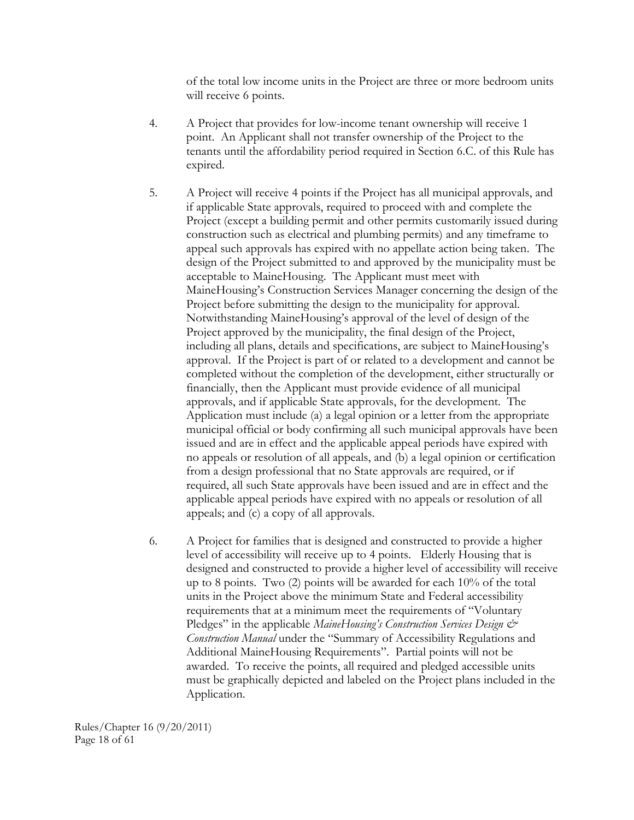of the total low income units in the Project are three or more bedroom units will receive 6 points.

- 4. A Project that provides for low-income tenant ownership will receive 1 point. An Applicant shall not transfer ownership of the Project to the tenants until the affordability period required in Section 6.C. of this Rule has expired.
- 5. A Project will receive 4 points if the Project has all municipal approvals, and if applicable State approvals, required to proceed with and complete the Project (except a building permit and other permits customarily issued during construction such as electrical and plumbing permits) and any timeframe to appeal such approvals has expired with no appellate action being taken. The design of the Project submitted to and approved by the municipality must be acceptable to MaineHousing. The Applicant must meet with MaineHousing's Construction Services Manager concerning the design of the Project before submitting the design to the municipality for approval. Notwithstanding MaineHousing's approval of the level of design of the Project approved by the municipality, the final design of the Project, including all plans, details and specifications, are subject to MaineHousing's approval. If the Project is part of or related to a development and cannot be completed without the completion of the development, either structurally or financially, then the Applicant must provide evidence of all municipal approvals, and if applicable State approvals, for the development. The Application must include (a) a legal opinion or a letter from the appropriate municipal official or body confirming all such municipal approvals have been issued and are in effect and the applicable appeal periods have expired with no appeals or resolution of all appeals, and (b) a legal opinion or certification from a design professional that no State approvals are required, or if required, all such State approvals have been issued and are in effect and the applicable appeal periods have expired with no appeals or resolution of all appeals; and (c) a copy of all approvals.
- 6. A Project for families that is designed and constructed to provide a higher level of accessibility will receive up to 4 points. Elderly Housing that is designed and constructed to provide a higher level of accessibility will receive up to 8 points. Two (2) points will be awarded for each 10% of the total units in the Project above the minimum State and Federal accessibility requirements that at a minimum meet the requirements of "Voluntary Pledges" in the applicable *MaineHousing's Construction Services Design & Construction Manual* under the "Summary of Accessibility Regulations and Additional MaineHousing Requirements". Partial points will not be awarded. To receive the points, all required and pledged accessible units must be graphically depicted and labeled on the Project plans included in the Application.

Rules/Chapter 16 (9/20/2011) Page 18 of 61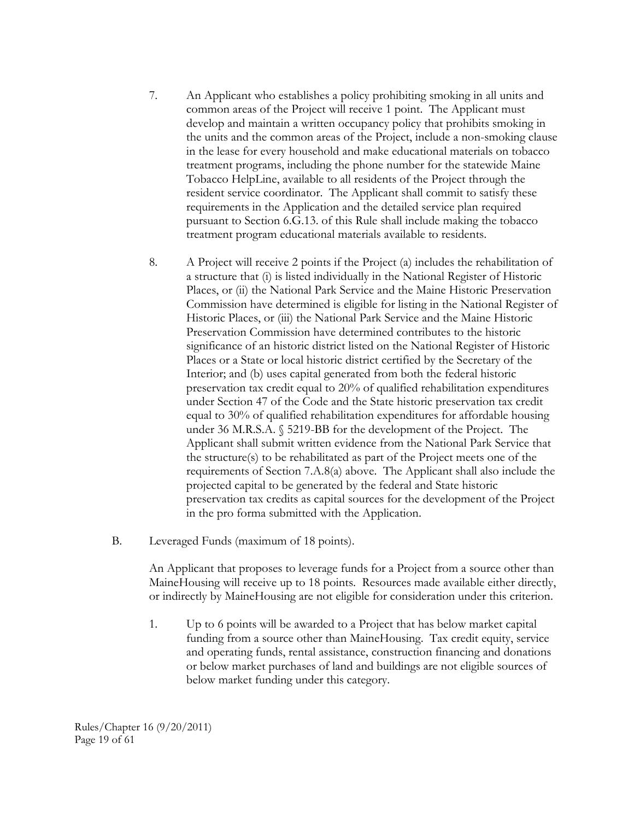- 7. An Applicant who establishes a policy prohibiting smoking in all units and common areas of the Project will receive 1 point. The Applicant must develop and maintain a written occupancy policy that prohibits smoking in the units and the common areas of the Project, include a non-smoking clause in the lease for every household and make educational materials on tobacco treatment programs, including the phone number for the statewide Maine Tobacco HelpLine, available to all residents of the Project through the resident service coordinator. The Applicant shall commit to satisfy these requirements in the Application and the detailed service plan required pursuant to Section 6.G.13. of this Rule shall include making the tobacco treatment program educational materials available to residents.
- 8. A Project will receive 2 points if the Project (a) includes the rehabilitation of a structure that (i) is listed individually in the National Register of Historic Places, or (ii) the National Park Service and the Maine Historic Preservation Commission have determined is eligible for listing in the National Register of Historic Places, or (iii) the National Park Service and the Maine Historic Preservation Commission have determined contributes to the historic significance of an historic district listed on the National Register of Historic Places or a State or local historic district certified by the Secretary of the Interior; and (b) uses capital generated from both the federal historic preservation tax credit equal to 20% of qualified rehabilitation expenditures under Section 47 of the Code and the State historic preservation tax credit equal to 30% of qualified rehabilitation expenditures for affordable housing under 36 M.R.S.A. § 5219-BB for the development of the Project. The Applicant shall submit written evidence from the National Park Service that the structure(s) to be rehabilitated as part of the Project meets one of the requirements of Section 7.A.8(a) above. The Applicant shall also include the projected capital to be generated by the federal and State historic preservation tax credits as capital sources for the development of the Project in the pro forma submitted with the Application.
- B. Leveraged Funds (maximum of 18 points).

An Applicant that proposes to leverage funds for a Project from a source other than MaineHousing will receive up to 18 points. Resources made available either directly, or indirectly by MaineHousing are not eligible for consideration under this criterion.

1. Up to 6 points will be awarded to a Project that has below market capital funding from a source other than MaineHousing. Tax credit equity, service and operating funds, rental assistance, construction financing and donations or below market purchases of land and buildings are not eligible sources of below market funding under this category.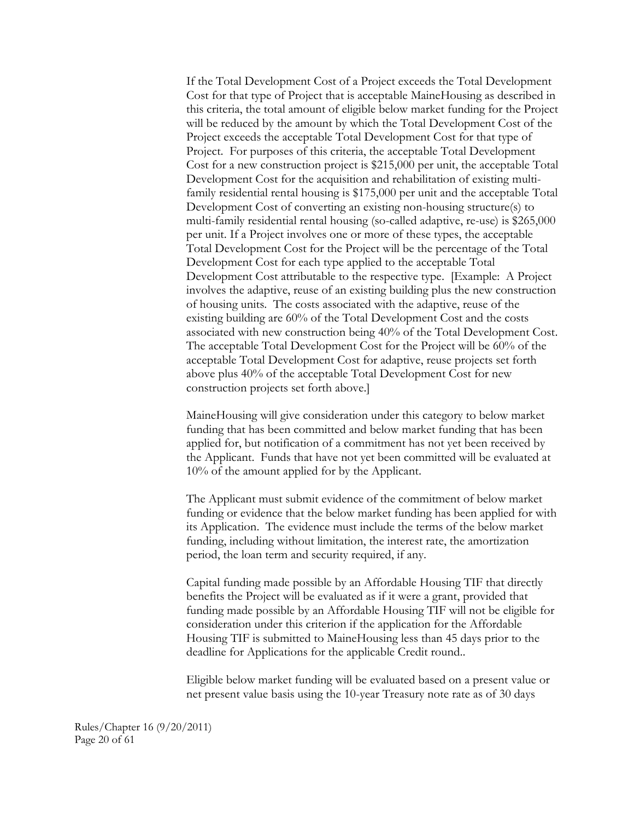If the Total Development Cost of a Project exceeds the Total Development Cost for that type of Project that is acceptable MaineHousing as described in this criteria, the total amount of eligible below market funding for the Project will be reduced by the amount by which the Total Development Cost of the Project exceeds the acceptable Total Development Cost for that type of Project. For purposes of this criteria, the acceptable Total Development Cost for a new construction project is \$215,000 per unit, the acceptable Total Development Cost for the acquisition and rehabilitation of existing multifamily residential rental housing is \$175,000 per unit and the acceptable Total Development Cost of converting an existing non-housing structure(s) to multi-family residential rental housing (so-called adaptive, re-use) is \$265,000 per unit. If a Project involves one or more of these types, the acceptable Total Development Cost for the Project will be the percentage of the Total Development Cost for each type applied to the acceptable Total Development Cost attributable to the respective type. [Example: A Project involves the adaptive, reuse of an existing building plus the new construction of housing units. The costs associated with the adaptive, reuse of the existing building are 60% of the Total Development Cost and the costs associated with new construction being 40% of the Total Development Cost. The acceptable Total Development Cost for the Project will be 60% of the acceptable Total Development Cost for adaptive, reuse projects set forth above plus 40% of the acceptable Total Development Cost for new construction projects set forth above.]

MaineHousing will give consideration under this category to below market funding that has been committed and below market funding that has been applied for, but notification of a commitment has not yet been received by the Applicant. Funds that have not yet been committed will be evaluated at 10% of the amount applied for by the Applicant.

The Applicant must submit evidence of the commitment of below market funding or evidence that the below market funding has been applied for with its Application. The evidence must include the terms of the below market funding, including without limitation, the interest rate, the amortization period, the loan term and security required, if any.

Capital funding made possible by an Affordable Housing TIF that directly benefits the Project will be evaluated as if it were a grant, provided that funding made possible by an Affordable Housing TIF will not be eligible for consideration under this criterion if the application for the Affordable Housing TIF is submitted to MaineHousing less than 45 days prior to the deadline for Applications for the applicable Credit round..

Eligible below market funding will be evaluated based on a present value or net present value basis using the 10-year Treasury note rate as of 30 days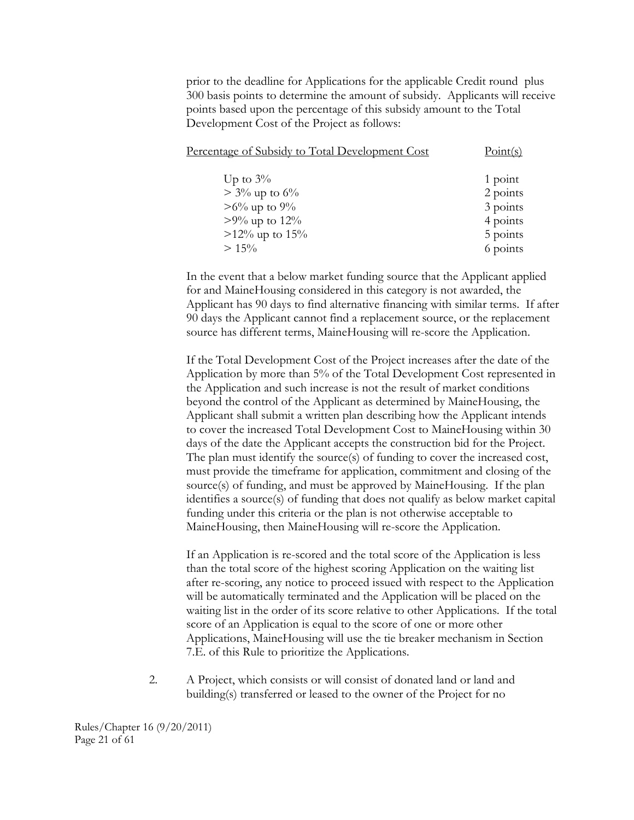prior to the deadline for Applications for the applicable Credit round plus 300 basis points to determine the amount of subsidy. Applicants will receive points based upon the percentage of this subsidy amount to the Total Development Cost of the Project as follows:

| Percentage of Subsidy to Total Development Cost | Point(s) |
|-------------------------------------------------|----------|
| Up to $3\%$                                     | 1 point  |
| $> 3\%$ up to 6%                                | 2 points |
| $>6\%$ up to 9%                                 | 3 points |
| $>9\%$ up to 12%                                | 4 points |
| $>12\%$ up to $15\%$                            | 5 points |
| $> 15\%$                                        | 6 points |
|                                                 |          |

In the event that a below market funding source that the Applicant applied for and MaineHousing considered in this category is not awarded, the Applicant has 90 days to find alternative financing with similar terms. If after 90 days the Applicant cannot find a replacement source, or the replacement source has different terms, MaineHousing will re-score the Application.

If the Total Development Cost of the Project increases after the date of the Application by more than 5% of the Total Development Cost represented in the Application and such increase is not the result of market conditions beyond the control of the Applicant as determined by MaineHousing, the Applicant shall submit a written plan describing how the Applicant intends to cover the increased Total Development Cost to MaineHousing within 30 days of the date the Applicant accepts the construction bid for the Project. The plan must identify the source(s) of funding to cover the increased cost, must provide the timeframe for application, commitment and closing of the source(s) of funding, and must be approved by MaineHousing. If the plan identifies a source(s) of funding that does not qualify as below market capital funding under this criteria or the plan is not otherwise acceptable to MaineHousing, then MaineHousing will re-score the Application.

If an Application is re-scored and the total score of the Application is less than the total score of the highest scoring Application on the waiting list after re-scoring, any notice to proceed issued with respect to the Application will be automatically terminated and the Application will be placed on the waiting list in the order of its score relative to other Applications. If the total score of an Application is equal to the score of one or more other Applications, MaineHousing will use the tie breaker mechanism in Section 7.E. of this Rule to prioritize the Applications.

2. A Project, which consists or will consist of donated land or land and building(s) transferred or leased to the owner of the Project for no

Rules/Chapter 16 (9/20/2011) Page 21 of 61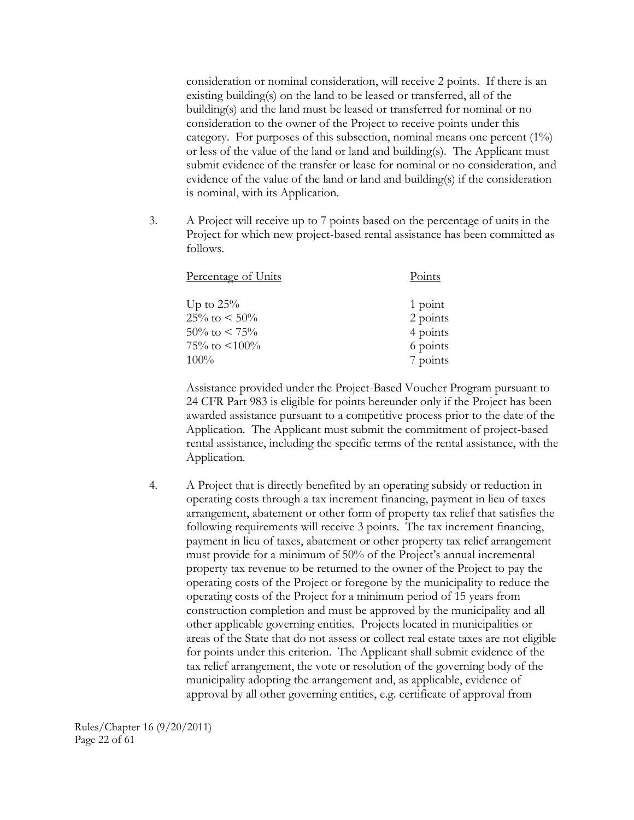consideration or nominal consideration, will receive 2 points. If there is an existing building(s) on the land to be leased or transferred, all of the building(s) and the land must be leased or transferred for nominal or no consideration to the owner of the Project to receive points under this category. For purposes of this subsection, nominal means one percent  $(1\%)$ or less of the value of the land or land and building(s). The Applicant must submit evidence of the transfer or lease for nominal or no consideration, and evidence of the value of the land or land and building(s) if the consideration is nominal, with its Application.

3. A Project will receive up to 7 points based on the percentage of units in the Project for which new project-based rental assistance has been committed as follows.

| Percentage of Units  | Points   |
|----------------------|----------|
| Up to $25\%$         | 1 point  |
| $25\%$ to $\lt 50\%$ | 2 points |
| $50\%$ to $\lt 75\%$ | 4 points |
| 75\% to $\leq 100\%$ | 6 points |
| 100%                 | 7 points |

Assistance provided under the Project-Based Voucher Program pursuant to 24 CFR Part 983 is eligible for points hereunder only if the Project has been awarded assistance pursuant to a competitive process prior to the date of the Application. The Applicant must submit the commitment of project-based rental assistance, including the specific terms of the rental assistance, with the Application.

4. A Project that is directly benefited by an operating subsidy or reduction in operating costs through a tax increment financing, payment in lieu of taxes arrangement, abatement or other form of property tax relief that satisfies the following requirements will receive 3 points. The tax increment financing, payment in lieu of taxes, abatement or other property tax relief arrangement must provide for a minimum of 50% of the Project's annual incremental property tax revenue to be returned to the owner of the Project to pay the operating costs of the Project or foregone by the municipality to reduce the operating costs of the Project for a minimum period of 15 years from construction completion and must be approved by the municipality and all other applicable governing entities. Projects located in municipalities or areas of the State that do not assess or collect real estate taxes are not eligible for points under this criterion. The Applicant shall submit evidence of the tax relief arrangement, the vote or resolution of the governing body of the municipality adopting the arrangement and, as applicable, evidence of approval by all other governing entities, e.g. certificate of approval from

Rules/Chapter 16 (9/20/2011) Page 22 of 61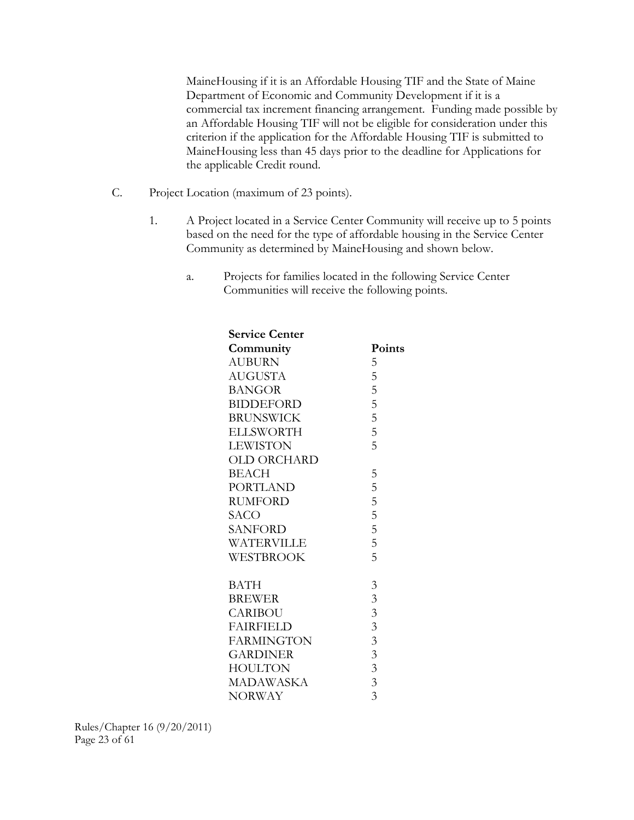MaineHousing if it is an Affordable Housing TIF and the State of Maine Department of Economic and Community Development if it is a commercial tax increment financing arrangement. Funding made possible by an Affordable Housing TIF will not be eligible for consideration under this criterion if the application for the Affordable Housing TIF is submitted to MaineHousing less than 45 days prior to the deadline for Applications for the applicable Credit round.

- C. Project Location (maximum of 23 points).
	- 1. A Project located in a Service Center Community will receive up to 5 points based on the need for the type of affordable housing in the Service Center Community as determined by MaineHousing and shown below.
		- a. Projects for families located in the following Service Center Communities will receive the following points.

| <b>Service Center</b> |                |
|-----------------------|----------------|
| Community             | Points         |
| <b>AUBURN</b>         | 5              |
| <b>AUGUSTA</b>        | 5              |
| <b>BANGOR</b>         | 5              |
| <b>BIDDEFORD</b>      | $\frac{5}{5}$  |
| <b>BRUNSWICK</b>      |                |
| <b>ELLSWORTH</b>      | $\overline{5}$ |
| <b>LEWISTON</b>       | 5              |
| OLD ORCHARD           |                |
| <b>BEACH</b>          | 5              |
| <b>PORTLAND</b>       | 5              |
| <b>RUMFORD</b>        | $\overline{5}$ |
| SACO                  | $\overline{5}$ |
| <b>SANFORD</b>        | 5              |
| WATERVILLE            | $\overline{5}$ |
| <b>WESTBROOK</b>      | 5              |
| <b>BATH</b>           | $\mathfrak{Z}$ |
| <b>BREWER</b>         | $\overline{3}$ |
| <b>CARIBOU</b>        | $\overline{3}$ |
| <b>FAIRFIELD</b>      | $\overline{3}$ |
| <b>FARMINGTON</b>     | $\overline{3}$ |
| <b>GARDINER</b>       | $\overline{3}$ |
| <b>HOULTON</b>        | $\overline{3}$ |
| <b>MADAWASKA</b>      | $\overline{3}$ |
| <b>NORWAY</b>         | 3              |
|                       |                |

Rules/Chapter 16 (9/20/2011) Page 23 of 61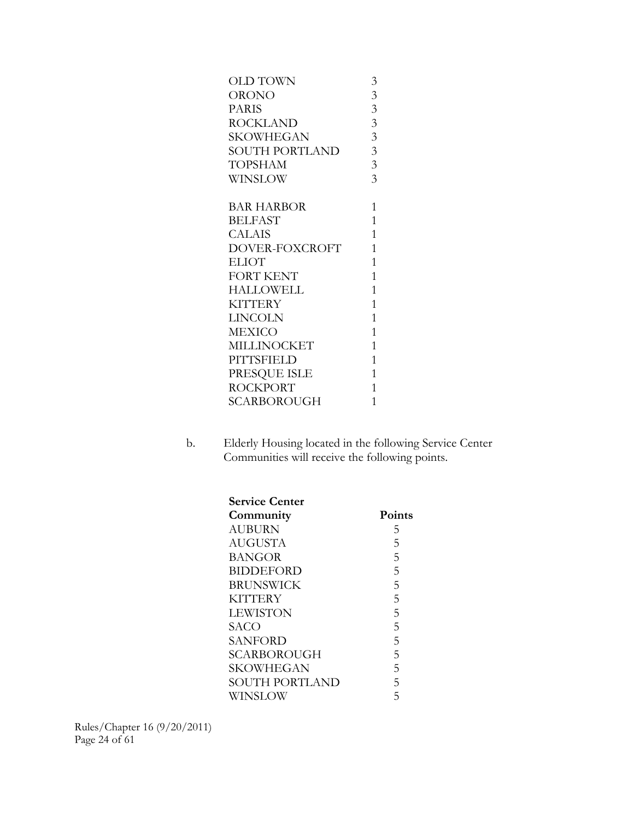| OLD TOWN         | $\mathfrak{Z}$ |
|------------------|----------------|
| ORONO            | 3              |
| <b>PARIS</b>     | $\overline{3}$ |
| ROCKLAND         | $\overline{3}$ |
| SKOWHEGAN        | $\overline{3}$ |
| SOUTH PORTLAND   | $\overline{3}$ |
| <b>TOPSHAM</b>   | $\overline{3}$ |
| WINSLOW          | $\overline{3}$ |
|                  |                |
| BAR HARBOR       | $\mathbf{1}$   |
| <b>BELFAST</b>   | $\mathbf{1}$   |
| CALAIS           | $\mathbf{1}$   |
| DOVER-FOXCROFT   | $\mathbf{1}$   |
| <b>ELIOT</b>     | $\mathbf{1}$   |
| <b>FORT KENT</b> | $\mathbf{1}$   |
| HALLOWELL        | $\mathbf{1}$   |
| KITTERY          | $\mathbf{1}$   |
| LINCOLN          | $\overline{1}$ |
| MEXICO           | $\mathbf{1}$   |
| MILLINOCKET      | $\mathbf{1}$   |
| PITTSFIELD       | $\mathbf{1}$   |
| PRESQUE ISLE     | $\mathbf{1}$   |
| ROCKPORT         | $\mathbf{1}$   |
| SCARBOROUGH      | $\overline{1}$ |
|                  |                |

b. Elderly Housing located in the following Service Center Communities will receive the following points.

| <b>Service Center</b> |               |
|-----------------------|---------------|
| Community             | <b>Points</b> |
| AUBURN                | 5             |
| AUGUSTA               | 5             |
| BANGOR                | 5             |
| <b>BIDDEFORD</b>      | 5             |
| <b>BRUNSWICK</b>      | 5             |
| <b>KITTERY</b>        | 5             |
| <b>LEWISTON</b>       | 5             |
| SACO                  | 5             |
| SANFORD               | 5             |
| <b>SCARBOROUGH</b>    | 5             |
| SKOWHEGAN             | 5             |
| SOUTH PORTLAND        | 5             |
| WINSLOW               | 5             |

Rules/Chapter 16 (9/20/2011) Page 24 of 61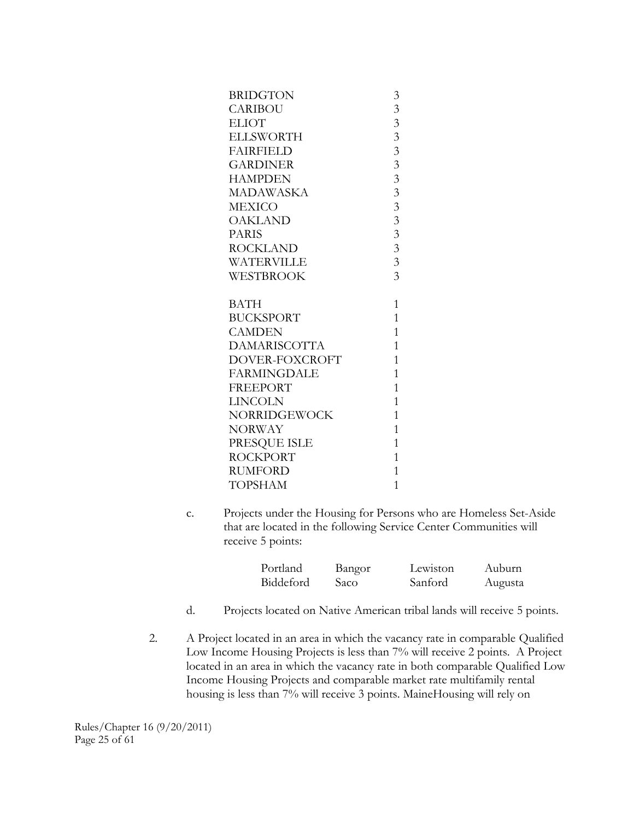| <b>BRIDGTON</b>     | 3                       |
|---------------------|-------------------------|
| <b>CARIBOU</b>      | 3                       |
| <b>ELIOT</b>        | $\overline{3}$          |
| <b>ELLSWORTH</b>    | $\overline{3}$          |
| <b>FAIRFIELD</b>    | $\overline{\mathbf{3}}$ |
| <b>GARDINER</b>     | $\overline{3}$          |
| <b>HAMPDEN</b>      | $\overline{\mathbf{3}}$ |
| MADAWASKA           | $\overline{\mathbf{3}}$ |
| MEXICO              | $\overline{3}$          |
| <b>OAKLAND</b>      | $\overline{3}$          |
| <b>PARIS</b>        | $\overline{3}$          |
| ROCKLAND            | $\overline{3}$          |
| WATERVILLE          | $\overline{3}$          |
| WESTBROOK           | $\overline{3}$          |
|                     |                         |
|                     |                         |
| <b>BATH</b>         | $\mathbf{1}$            |
| <b>BUCKSPORT</b>    | $\overline{1}$          |
| <b>CAMDEN</b>       | $\mathbf{1}$            |
| <b>DAMARISCOTTA</b> | $\overline{1}$          |
| DOVER-FOXCROFT      | $\mathbf{1}$            |
| <b>FARMINGDALE</b>  | $\mathbf{1}$            |
| <b>FREEPORT</b>     | $\overline{1}$          |
| LINCOLN             | $\overline{1}$          |
| NORRIDGEWOCK        | $\overline{1}$          |
| <b>NORWAY</b>       | $\mathbf{1}$            |
| PRESQUE ISLE        | $\mathbf{1}$            |
| <b>ROCKPORT</b>     | $\overline{1}$          |
| <b>RUMFORD</b>      | $\overline{1}$          |

c. Projects under the Housing for Persons who are Homeless Set-Aside that are located in the following Service Center Communities will receive 5 points:

| Portland  | Bangor | Lewiston | Auburn  |
|-----------|--------|----------|---------|
| Biddeford | Saco   | Sanford  | Augusta |

- d. Projects located on Native American tribal lands will receive 5 points.
- 2. A Project located in an area in which the vacancy rate in comparable Qualified Low Income Housing Projects is less than 7% will receive 2 points. A Project located in an area in which the vacancy rate in both comparable Qualified Low Income Housing Projects and comparable market rate multifamily rental housing is less than 7% will receive 3 points. MaineHousing will rely on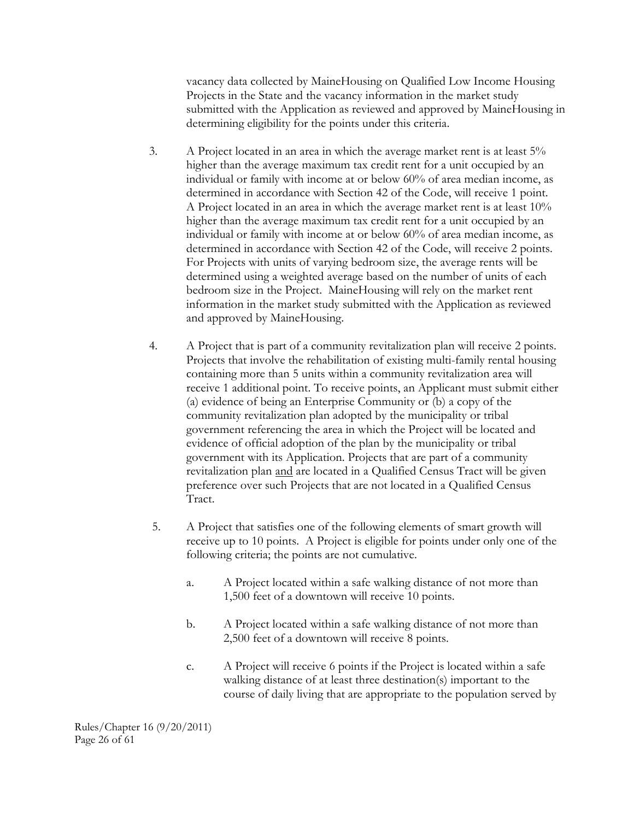vacancy data collected by MaineHousing on Qualified Low Income Housing Projects in the State and the vacancy information in the market study submitted with the Application as reviewed and approved by MaineHousing in determining eligibility for the points under this criteria.

- 3. A Project located in an area in which the average market rent is at least 5% higher than the average maximum tax credit rent for a unit occupied by an individual or family with income at or below 60% of area median income, as determined in accordance with Section 42 of the Code, will receive 1 point. A Project located in an area in which the average market rent is at least 10% higher than the average maximum tax credit rent for a unit occupied by an individual or family with income at or below 60% of area median income, as determined in accordance with Section 42 of the Code, will receive 2 points. For Projects with units of varying bedroom size, the average rents will be determined using a weighted average based on the number of units of each bedroom size in the Project. MaineHousing will rely on the market rent information in the market study submitted with the Application as reviewed and approved by MaineHousing.
- 4. A Project that is part of a community revitalization plan will receive 2 points. Projects that involve the rehabilitation of existing multi-family rental housing containing more than 5 units within a community revitalization area will receive 1 additional point. To receive points, an Applicant must submit either (a) evidence of being an Enterprise Community or (b) a copy of the community revitalization plan adopted by the municipality or tribal government referencing the area in which the Project will be located and evidence of official adoption of the plan by the municipality or tribal government with its Application. Projects that are part of a community revitalization plan and are located in a Qualified Census Tract will be given preference over such Projects that are not located in a Qualified Census Tract.
- 5. A Project that satisfies one of the following elements of smart growth will receive up to 10 points. A Project is eligible for points under only one of the following criteria; the points are not cumulative.
	- a. A Project located within a safe walking distance of not more than 1,500 feet of a downtown will receive 10 points.
	- b. A Project located within a safe walking distance of not more than 2,500 feet of a downtown will receive 8 points.
	- c. A Project will receive 6 points if the Project is located within a safe walking distance of at least three destination(s) important to the course of daily living that are appropriate to the population served by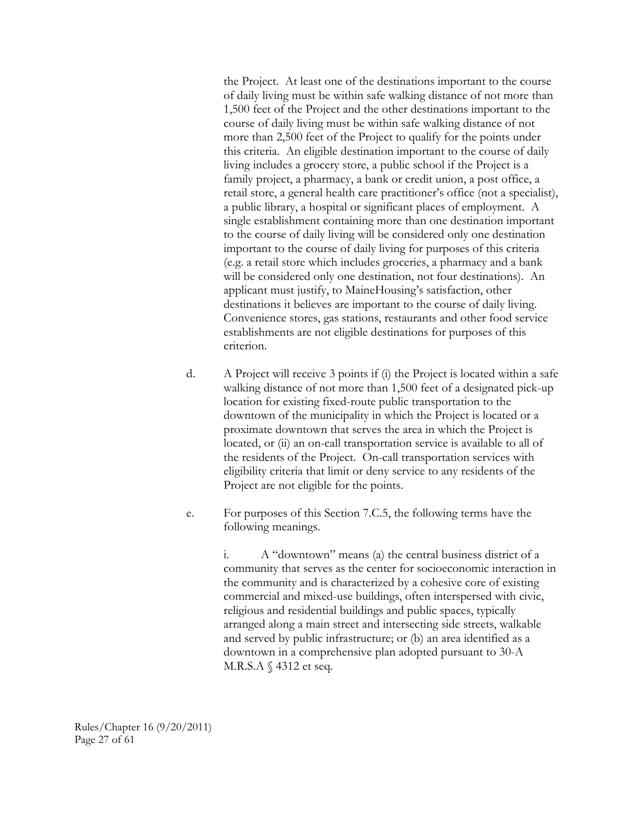the Project. At least one of the destinations important to the course of daily living must be within safe walking distance of not more than 1,500 feet of the Project and the other destinations important to the course of daily living must be within safe walking distance of not more than 2,500 feet of the Project to qualify for the points under this criteria. An eligible destination important to the course of daily living includes a grocery store, a public school if the Project is a family project, a pharmacy, a bank or credit union, a post office, a retail store, a general health care practitioner's office (not a specialist), a public library, a hospital or significant places of employment. A single establishment containing more than one destination important to the course of daily living will be considered only one destination important to the course of daily living for purposes of this criteria (e.g. a retail store which includes groceries, a pharmacy and a bank will be considered only one destination, not four destinations). An applicant must justify, to MaineHousing's satisfaction, other destinations it believes are important to the course of daily living. Convenience stores, gas stations, restaurants and other food service establishments are not eligible destinations for purposes of this criterion.

- d. A Project will receive 3 points if (i) the Project is located within a safe walking distance of not more than 1,500 feet of a designated pick-up location for existing fixed-route public transportation to the downtown of the municipality in which the Project is located or a proximate downtown that serves the area in which the Project is located, or (ii) an on-call transportation service is available to all of the residents of the Project. On-call transportation services with eligibility criteria that limit or deny service to any residents of the Project are not eligible for the points.
- e. For purposes of this Section 7.C.5, the following terms have the following meanings.

i. A "downtown" means (a) the central business district of a community that serves as the center for socioeconomic interaction in the community and is characterized by a cohesive core of existing commercial and mixed-use buildings, often interspersed with civic, religious and residential buildings and public spaces, typically arranged along a main street and intersecting side streets, walkable and served by public infrastructure; or (b) an area identified as a downtown in a comprehensive plan adopted pursuant to 30-A M.R.S.A § 4312 et seq.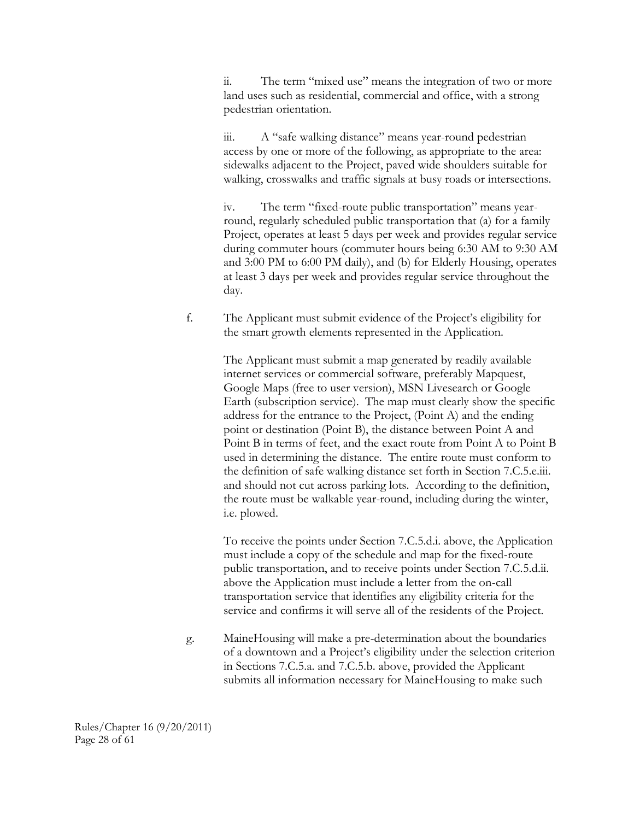ii. The term "mixed use" means the integration of two or more land uses such as residential, commercial and office, with a strong pedestrian orientation.

iii. A "safe walking distance" means year-round pedestrian access by one or more of the following, as appropriate to the area: sidewalks adjacent to the Project, paved wide shoulders suitable for walking, crosswalks and traffic signals at busy roads or intersections.

iv. The term "fixed-route public transportation" means yearround, regularly scheduled public transportation that (a) for a family Project, operates at least 5 days per week and provides regular service during commuter hours (commuter hours being 6:30 AM to 9:30 AM and 3:00 PM to 6:00 PM daily), and (b) for Elderly Housing, operates at least 3 days per week and provides regular service throughout the day.

f. The Applicant must submit evidence of the Project's eligibility for the smart growth elements represented in the Application.

> The Applicant must submit a map generated by readily available internet services or commercial software, preferably Mapquest, Google Maps (free to user version), MSN Livesearch or Google Earth (subscription service). The map must clearly show the specific address for the entrance to the Project, (Point A) and the ending point or destination (Point B), the distance between Point A and Point B in terms of feet, and the exact route from Point A to Point B used in determining the distance. The entire route must conform to the definition of safe walking distance set forth in Section 7.C.5.e.iii. and should not cut across parking lots. According to the definition, the route must be walkable year-round, including during the winter, i.e. plowed.

> To receive the points under Section 7.C.5.d.i. above, the Application must include a copy of the schedule and map for the fixed-route public transportation, and to receive points under Section 7.C.5.d.ii. above the Application must include a letter from the on-call transportation service that identifies any eligibility criteria for the service and confirms it will serve all of the residents of the Project.

g. MaineHousing will make a pre-determination about the boundaries of a downtown and a Project's eligibility under the selection criterion in Sections 7.C.5.a. and 7.C.5.b. above, provided the Applicant submits all information necessary for MaineHousing to make such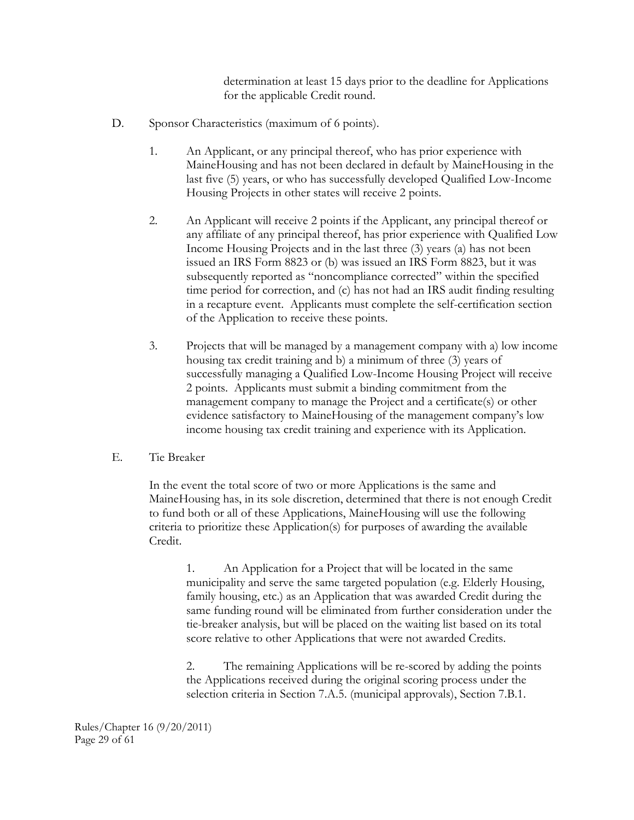determination at least 15 days prior to the deadline for Applications for the applicable Credit round.

- D. Sponsor Characteristics (maximum of 6 points).
	- 1. An Applicant, or any principal thereof, who has prior experience with MaineHousing and has not been declared in default by MaineHousing in the last five (5) years, or who has successfully developed Qualified Low-Income Housing Projects in other states will receive 2 points.
	- 2. An Applicant will receive 2 points if the Applicant, any principal thereof or any affiliate of any principal thereof, has prior experience with Qualified Low Income Housing Projects and in the last three (3) years (a) has not been issued an IRS Form 8823 or (b) was issued an IRS Form 8823, but it was subsequently reported as "noncompliance corrected" within the specified time period for correction, and (c) has not had an IRS audit finding resulting in a recapture event. Applicants must complete the self-certification section of the Application to receive these points.
	- 3. Projects that will be managed by a management company with a) low income housing tax credit training and b) a minimum of three (3) years of successfully managing a Qualified Low-Income Housing Project will receive 2 points. Applicants must submit a binding commitment from the management company to manage the Project and a certificate(s) or other evidence satisfactory to MaineHousing of the management company's low income housing tax credit training and experience with its Application.

#### E. Tie Breaker

In the event the total score of two or more Applications is the same and MaineHousing has, in its sole discretion, determined that there is not enough Credit to fund both or all of these Applications, MaineHousing will use the following criteria to prioritize these Application(s) for purposes of awarding the available Credit.

1. An Application for a Project that will be located in the same municipality and serve the same targeted population (e.g. Elderly Housing, family housing, etc.) as an Application that was awarded Credit during the same funding round will be eliminated from further consideration under the tie-breaker analysis, but will be placed on the waiting list based on its total score relative to other Applications that were not awarded Credits.

2. The remaining Applications will be re-scored by adding the points the Applications received during the original scoring process under the selection criteria in Section 7.A.5. (municipal approvals), Section 7.B.1.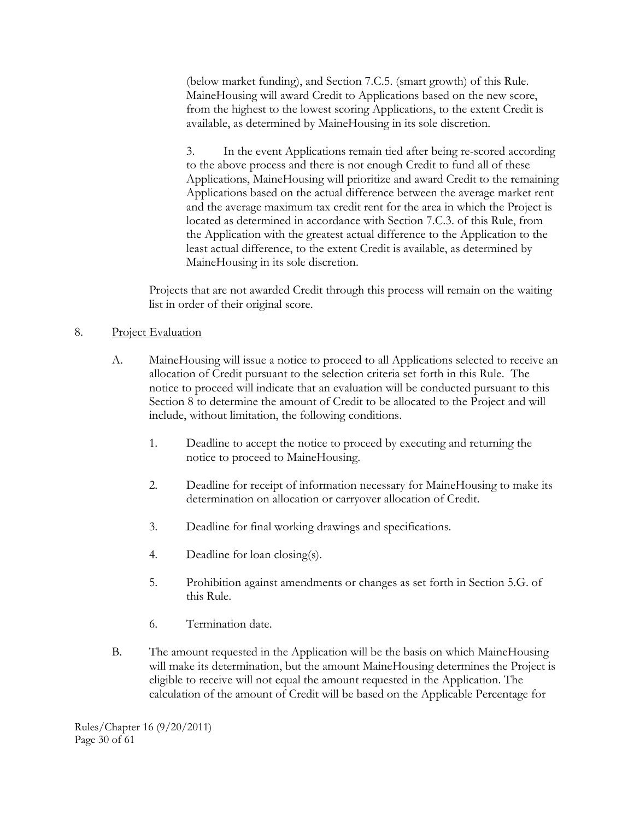(below market funding), and Section 7.C.5. (smart growth) of this Rule. MaineHousing will award Credit to Applications based on the new score, from the highest to the lowest scoring Applications, to the extent Credit is available, as determined by MaineHousing in its sole discretion.

3. In the event Applications remain tied after being re-scored according to the above process and there is not enough Credit to fund all of these Applications, MaineHousing will prioritize and award Credit to the remaining Applications based on the actual difference between the average market rent and the average maximum tax credit rent for the area in which the Project is located as determined in accordance with Section 7.C.3. of this Rule, from the Application with the greatest actual difference to the Application to the least actual difference, to the extent Credit is available, as determined by MaineHousing in its sole discretion.

Projects that are not awarded Credit through this process will remain on the waiting list in order of their original score.

#### 8. Project Evaluation

- A. MaineHousing will issue a notice to proceed to all Applications selected to receive an allocation of Credit pursuant to the selection criteria set forth in this Rule. The notice to proceed will indicate that an evaluation will be conducted pursuant to this Section 8 to determine the amount of Credit to be allocated to the Project and will include, without limitation, the following conditions.
	- 1. Deadline to accept the notice to proceed by executing and returning the notice to proceed to MaineHousing.
	- 2. Deadline for receipt of information necessary for MaineHousing to make its determination on allocation or carryover allocation of Credit.
	- 3. Deadline for final working drawings and specifications.
	- 4. Deadline for loan closing(s).
	- 5. Prohibition against amendments or changes as set forth in Section 5.G. of this Rule.
	- 6. Termination date.
- B. The amount requested in the Application will be the basis on which MaineHousing will make its determination, but the amount MaineHousing determines the Project is eligible to receive will not equal the amount requested in the Application. The calculation of the amount of Credit will be based on the Applicable Percentage for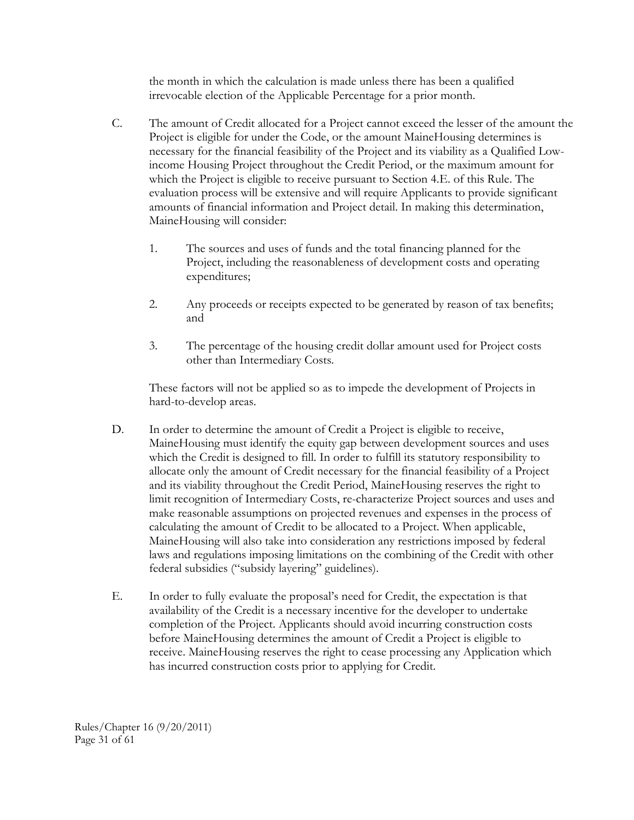the month in which the calculation is made unless there has been a qualified irrevocable election of the Applicable Percentage for a prior month.

- C. The amount of Credit allocated for a Project cannot exceed the lesser of the amount the Project is eligible for under the Code, or the amount MaineHousing determines is necessary for the financial feasibility of the Project and its viability as a Qualified Lowincome Housing Project throughout the Credit Period, or the maximum amount for which the Project is eligible to receive pursuant to Section 4.E. of this Rule. The evaluation process will be extensive and will require Applicants to provide significant amounts of financial information and Project detail. In making this determination, MaineHousing will consider:
	- 1. The sources and uses of funds and the total financing planned for the Project, including the reasonableness of development costs and operating expenditures;
	- 2. Any proceeds or receipts expected to be generated by reason of tax benefits; and
	- 3. The percentage of the housing credit dollar amount used for Project costs other than Intermediary Costs.

These factors will not be applied so as to impede the development of Projects in hard-to-develop areas.

- D. In order to determine the amount of Credit a Project is eligible to receive, MaineHousing must identify the equity gap between development sources and uses which the Credit is designed to fill. In order to fulfill its statutory responsibility to allocate only the amount of Credit necessary for the financial feasibility of a Project and its viability throughout the Credit Period, MaineHousing reserves the right to limit recognition of Intermediary Costs, re-characterize Project sources and uses and make reasonable assumptions on projected revenues and expenses in the process of calculating the amount of Credit to be allocated to a Project. When applicable, MaineHousing will also take into consideration any restrictions imposed by federal laws and regulations imposing limitations on the combining of the Credit with other federal subsidies ("subsidy layering" guidelines).
- E. In order to fully evaluate the proposal's need for Credit, the expectation is that availability of the Credit is a necessary incentive for the developer to undertake completion of the Project. Applicants should avoid incurring construction costs before MaineHousing determines the amount of Credit a Project is eligible to receive. MaineHousing reserves the right to cease processing any Application which has incurred construction costs prior to applying for Credit.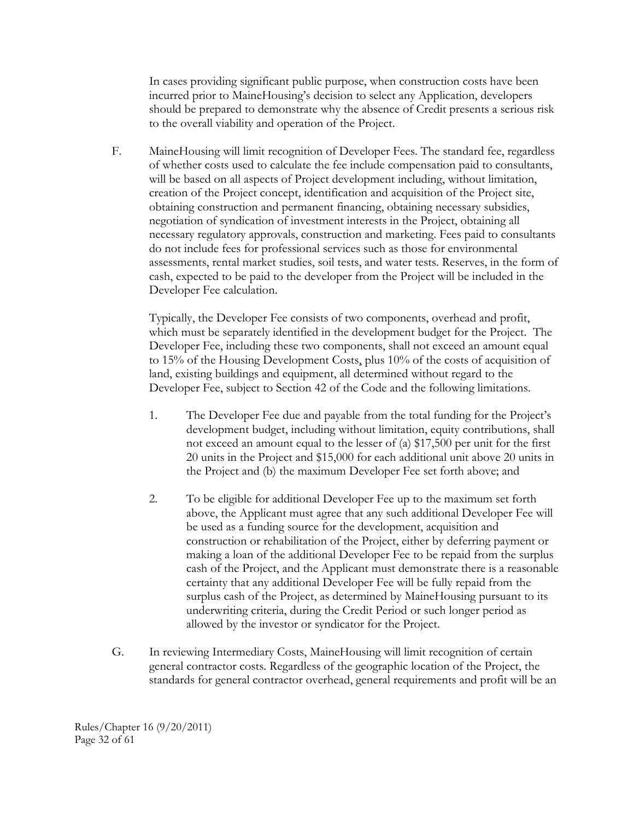In cases providing significant public purpose, when construction costs have been incurred prior to MaineHousing's decision to select any Application, developers should be prepared to demonstrate why the absence of Credit presents a serious risk to the overall viability and operation of the Project.

F. MaineHousing will limit recognition of Developer Fees. The standard fee, regardless of whether costs used to calculate the fee include compensation paid to consultants, will be based on all aspects of Project development including, without limitation, creation of the Project concept, identification and acquisition of the Project site, obtaining construction and permanent financing, obtaining necessary subsidies, negotiation of syndication of investment interests in the Project, obtaining all necessary regulatory approvals, construction and marketing. Fees paid to consultants do not include fees for professional services such as those for environmental assessments, rental market studies, soil tests, and water tests. Reserves, in the form of cash, expected to be paid to the developer from the Project will be included in the Developer Fee calculation.

Typically, the Developer Fee consists of two components, overhead and profit, which must be separately identified in the development budget for the Project. The Developer Fee, including these two components, shall not exceed an amount equal to 15% of the Housing Development Costs, plus 10% of the costs of acquisition of land, existing buildings and equipment, all determined without regard to the Developer Fee, subject to Section 42 of the Code and the following limitations.

- 1. The Developer Fee due and payable from the total funding for the Project's development budget, including without limitation, equity contributions, shall not exceed an amount equal to the lesser of (a) \$17,500 per unit for the first 20 units in the Project and \$15,000 for each additional unit above 20 units in the Project and (b) the maximum Developer Fee set forth above; and
- 2. To be eligible for additional Developer Fee up to the maximum set forth above, the Applicant must agree that any such additional Developer Fee will be used as a funding source for the development, acquisition and construction or rehabilitation of the Project, either by deferring payment or making a loan of the additional Developer Fee to be repaid from the surplus cash of the Project, and the Applicant must demonstrate there is a reasonable certainty that any additional Developer Fee will be fully repaid from the surplus cash of the Project, as determined by MaineHousing pursuant to its underwriting criteria, during the Credit Period or such longer period as allowed by the investor or syndicator for the Project.
- G. In reviewing Intermediary Costs, MaineHousing will limit recognition of certain general contractor costs. Regardless of the geographic location of the Project, the standards for general contractor overhead, general requirements and profit will be an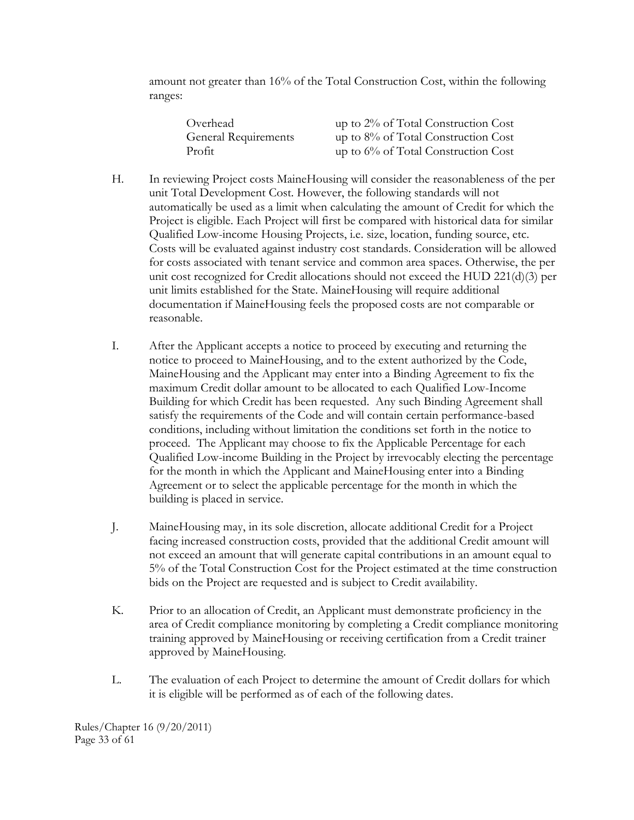amount not greater than 16% of the Total Construction Cost, within the following ranges:

| Overhead                    | up to 2% of Total Construction Cost    |
|-----------------------------|----------------------------------------|
| <b>General Requirements</b> | up to $8\%$ of Total Construction Cost |
| Profit                      | up to $6\%$ of Total Construction Cost |

- H. In reviewing Project costs MaineHousing will consider the reasonableness of the per unit Total Development Cost. However, the following standards will not automatically be used as a limit when calculating the amount of Credit for which the Project is eligible. Each Project will first be compared with historical data for similar Qualified Low-income Housing Projects, i.e. size, location, funding source, etc. Costs will be evaluated against industry cost standards. Consideration will be allowed for costs associated with tenant service and common area spaces. Otherwise, the per unit cost recognized for Credit allocations should not exceed the HUD 221(d)(3) per unit limits established for the State. MaineHousing will require additional documentation if MaineHousing feels the proposed costs are not comparable or reasonable.
- I. After the Applicant accepts a notice to proceed by executing and returning the notice to proceed to MaineHousing, and to the extent authorized by the Code, MaineHousing and the Applicant may enter into a Binding Agreement to fix the maximum Credit dollar amount to be allocated to each Qualified Low-Income Building for which Credit has been requested. Any such Binding Agreement shall satisfy the requirements of the Code and will contain certain performance-based conditions, including without limitation the conditions set forth in the notice to proceed. The Applicant may choose to fix the Applicable Percentage for each Qualified Low-income Building in the Project by irrevocably electing the percentage for the month in which the Applicant and MaineHousing enter into a Binding Agreement or to select the applicable percentage for the month in which the building is placed in service.
- J. MaineHousing may, in its sole discretion, allocate additional Credit for a Project facing increased construction costs, provided that the additional Credit amount will not exceed an amount that will generate capital contributions in an amount equal to 5% of the Total Construction Cost for the Project estimated at the time construction bids on the Project are requested and is subject to Credit availability.
- K. Prior to an allocation of Credit, an Applicant must demonstrate proficiency in the area of Credit compliance monitoring by completing a Credit compliance monitoring training approved by MaineHousing or receiving certification from a Credit trainer approved by MaineHousing.
- L. The evaluation of each Project to determine the amount of Credit dollars for which it is eligible will be performed as of each of the following dates.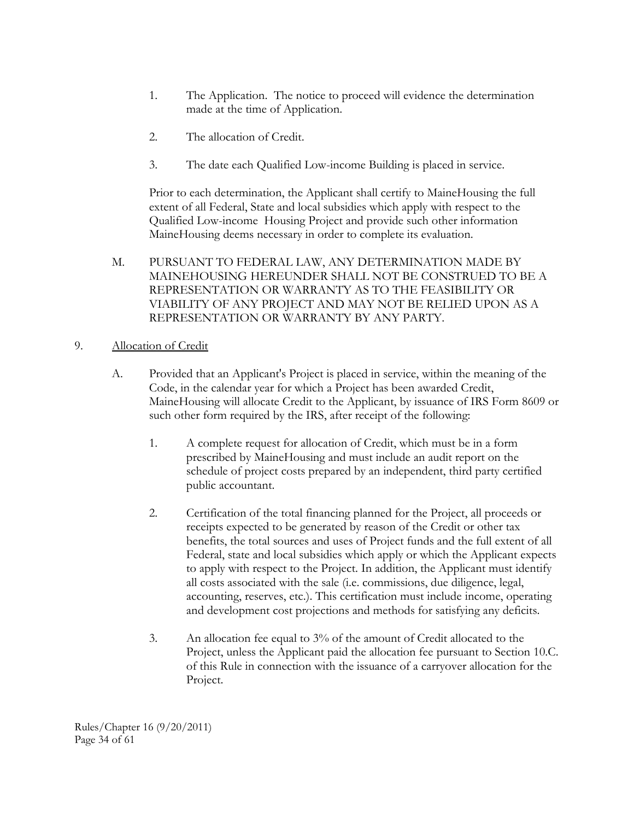- 1. The Application. The notice to proceed will evidence the determination made at the time of Application.
- 2. The allocation of Credit.
- 3. The date each Qualified Low-income Building is placed in service.

Prior to each determination, the Applicant shall certify to MaineHousing the full extent of all Federal, State and local subsidies which apply with respect to the Qualified Low-income Housing Project and provide such other information MaineHousing deems necessary in order to complete its evaluation.

M. PURSUANT TO FEDERAL LAW, ANY DETERMINATION MADE BY MAINEHOUSING HEREUNDER SHALL NOT BE CONSTRUED TO BE A REPRESENTATION OR WARRANTY AS TO THE FEASIBILITY OR VIABILITY OF ANY PROJECT AND MAY NOT BE RELIED UPON AS A REPRESENTATION OR WARRANTY BY ANY PARTY.

#### 9. Allocation of Credit

- A. Provided that an Applicant's Project is placed in service, within the meaning of the Code, in the calendar year for which a Project has been awarded Credit, MaineHousing will allocate Credit to the Applicant, by issuance of IRS Form 8609 or such other form required by the IRS, after receipt of the following:
	- 1. A complete request for allocation of Credit, which must be in a form prescribed by MaineHousing and must include an audit report on the schedule of project costs prepared by an independent, third party certified public accountant.
	- 2. Certification of the total financing planned for the Project, all proceeds or receipts expected to be generated by reason of the Credit or other tax benefits, the total sources and uses of Project funds and the full extent of all Federal, state and local subsidies which apply or which the Applicant expects to apply with respect to the Project. In addition, the Applicant must identify all costs associated with the sale (i.e. commissions, due diligence, legal, accounting, reserves, etc.). This certification must include income, operating and development cost projections and methods for satisfying any deficits.
	- 3. An allocation fee equal to 3% of the amount of Credit allocated to the Project, unless the Applicant paid the allocation fee pursuant to Section 10.C. of this Rule in connection with the issuance of a carryover allocation for the Project.

Rules/Chapter 16 (9/20/2011) Page 34 of 61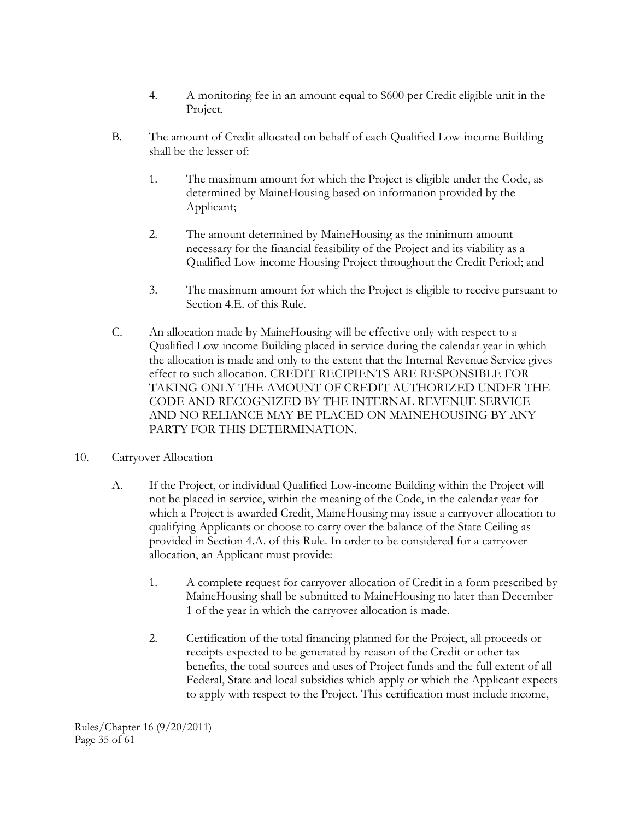- 4. A monitoring fee in an amount equal to \$600 per Credit eligible unit in the Project.
- B. The amount of Credit allocated on behalf of each Qualified Low-income Building shall be the lesser of:
	- 1. The maximum amount for which the Project is eligible under the Code, as determined by MaineHousing based on information provided by the Applicant;
	- 2. The amount determined by MaineHousing as the minimum amount necessary for the financial feasibility of the Project and its viability as a Qualified Low-income Housing Project throughout the Credit Period; and
	- 3. The maximum amount for which the Project is eligible to receive pursuant to Section 4.E. of this Rule.
- C. An allocation made by MaineHousing will be effective only with respect to a Qualified Low-income Building placed in service during the calendar year in which the allocation is made and only to the extent that the Internal Revenue Service gives effect to such allocation. CREDIT RECIPIENTS ARE RESPONSIBLE FOR TAKING ONLY THE AMOUNT OF CREDIT AUTHORIZED UNDER THE CODE AND RECOGNIZED BY THE INTERNAL REVENUE SERVICE AND NO RELIANCE MAY BE PLACED ON MAINEHOUSING BY ANY PARTY FOR THIS DETERMINATION.

#### 10. Carryover Allocation

- A. If the Project, or individual Qualified Low-income Building within the Project will not be placed in service, within the meaning of the Code, in the calendar year for which a Project is awarded Credit, MaineHousing may issue a carryover allocation to qualifying Applicants or choose to carry over the balance of the State Ceiling as provided in Section 4.A. of this Rule. In order to be considered for a carryover allocation, an Applicant must provide:
	- 1. A complete request for carryover allocation of Credit in a form prescribed by MaineHousing shall be submitted to MaineHousing no later than December 1 of the year in which the carryover allocation is made.
	- 2. Certification of the total financing planned for the Project, all proceeds or receipts expected to be generated by reason of the Credit or other tax benefits, the total sources and uses of Project funds and the full extent of all Federal, State and local subsidies which apply or which the Applicant expects to apply with respect to the Project. This certification must include income,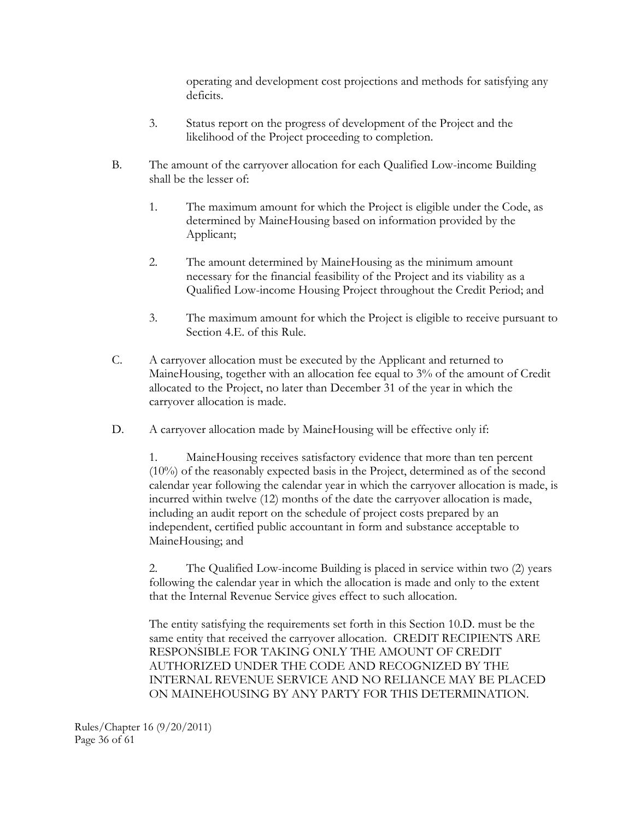operating and development cost projections and methods for satisfying any deficits.

- 3. Status report on the progress of development of the Project and the likelihood of the Project proceeding to completion.
- B. The amount of the carryover allocation for each Qualified Low-income Building shall be the lesser of:
	- 1. The maximum amount for which the Project is eligible under the Code, as determined by MaineHousing based on information provided by the Applicant;
	- 2. The amount determined by MaineHousing as the minimum amount necessary for the financial feasibility of the Project and its viability as a Qualified Low-income Housing Project throughout the Credit Period; and
	- 3. The maximum amount for which the Project is eligible to receive pursuant to Section 4.E. of this Rule.
- C. A carryover allocation must be executed by the Applicant and returned to MaineHousing, together with an allocation fee equal to 3% of the amount of Credit allocated to the Project, no later than December 31 of the year in which the carryover allocation is made.
- D. A carryover allocation made by MaineHousing will be effective only if:

1. MaineHousing receives satisfactory evidence that more than ten percent (10%) of the reasonably expected basis in the Project, determined as of the second calendar year following the calendar year in which the carryover allocation is made, is incurred within twelve (12) months of the date the carryover allocation is made, including an audit report on the schedule of project costs prepared by an independent, certified public accountant in form and substance acceptable to MaineHousing; and

2. The Qualified Low-income Building is placed in service within two (2) years following the calendar year in which the allocation is made and only to the extent that the Internal Revenue Service gives effect to such allocation.

The entity satisfying the requirements set forth in this Section 10.D. must be the same entity that received the carryover allocation. CREDIT RECIPIENTS ARE RESPONSIBLE FOR TAKING ONLY THE AMOUNT OF CREDIT AUTHORIZED UNDER THE CODE AND RECOGNIZED BY THE INTERNAL REVENUE SERVICE AND NO RELIANCE MAY BE PLACED ON MAINEHOUSING BY ANY PARTY FOR THIS DETERMINATION.

Rules/Chapter 16 (9/20/2011) Page 36 of 61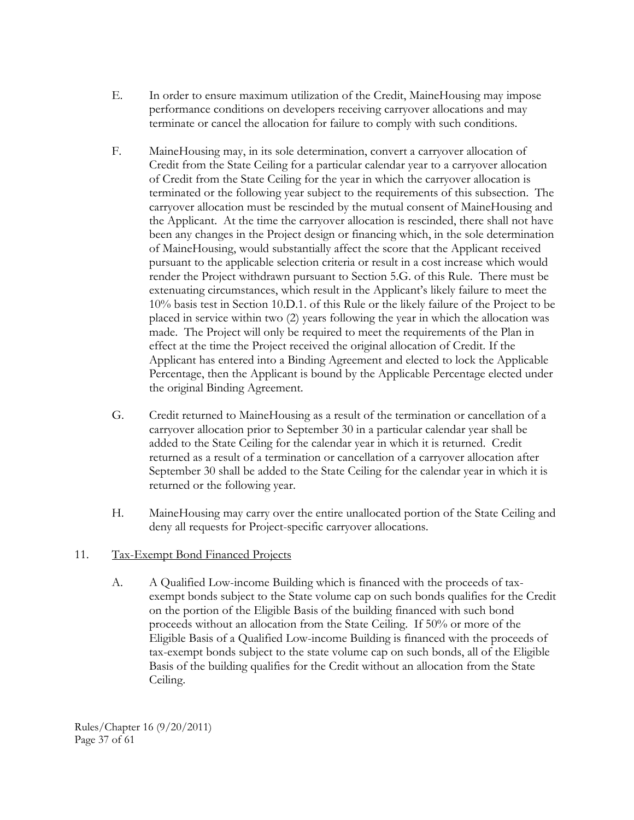- E. In order to ensure maximum utilization of the Credit, MaineHousing may impose performance conditions on developers receiving carryover allocations and may terminate or cancel the allocation for failure to comply with such conditions.
- F. MaineHousing may, in its sole determination, convert a carryover allocation of Credit from the State Ceiling for a particular calendar year to a carryover allocation of Credit from the State Ceiling for the year in which the carryover allocation is terminated or the following year subject to the requirements of this subsection. The carryover allocation must be rescinded by the mutual consent of MaineHousing and the Applicant. At the time the carryover allocation is rescinded, there shall not have been any changes in the Project design or financing which, in the sole determination of MaineHousing, would substantially affect the score that the Applicant received pursuant to the applicable selection criteria or result in a cost increase which would render the Project withdrawn pursuant to Section 5.G. of this Rule. There must be extenuating circumstances, which result in the Applicant's likely failure to meet the 10% basis test in Section 10.D.1. of this Rule or the likely failure of the Project to be placed in service within two (2) years following the year in which the allocation was made. The Project will only be required to meet the requirements of the Plan in effect at the time the Project received the original allocation of Credit. If the Applicant has entered into a Binding Agreement and elected to lock the Applicable Percentage, then the Applicant is bound by the Applicable Percentage elected under the original Binding Agreement.
- G. Credit returned to MaineHousing as a result of the termination or cancellation of a carryover allocation prior to September 30 in a particular calendar year shall be added to the State Ceiling for the calendar year in which it is returned. Credit returned as a result of a termination or cancellation of a carryover allocation after September 30 shall be added to the State Ceiling for the calendar year in which it is returned or the following year.
- H. MaineHousing may carry over the entire unallocated portion of the State Ceiling and deny all requests for Project-specific carryover allocations.

#### 11. Tax-Exempt Bond Financed Projects

A. A Qualified Low-income Building which is financed with the proceeds of taxexempt bonds subject to the State volume cap on such bonds qualifies for the Credit on the portion of the Eligible Basis of the building financed with such bond proceeds without an allocation from the State Ceiling. If 50% or more of the Eligible Basis of a Qualified Low-income Building is financed with the proceeds of tax-exempt bonds subject to the state volume cap on such bonds, all of the Eligible Basis of the building qualifies for the Credit without an allocation from the State Ceiling.

Rules/Chapter 16 (9/20/2011) Page 37 of 61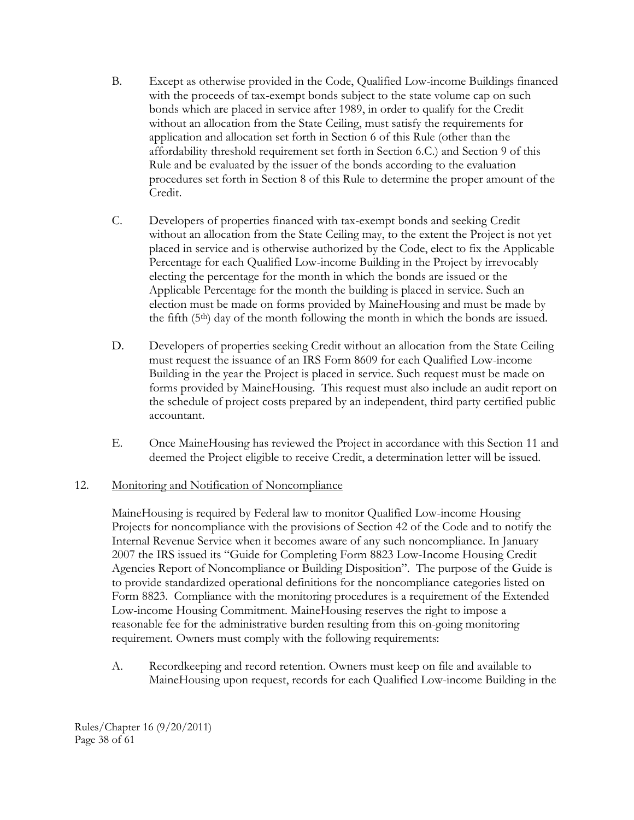- B. Except as otherwise provided in the Code, Qualified Low-income Buildings financed with the proceeds of tax-exempt bonds subject to the state volume cap on such bonds which are placed in service after 1989, in order to qualify for the Credit without an allocation from the State Ceiling, must satisfy the requirements for application and allocation set forth in Section 6 of this Rule (other than the affordability threshold requirement set forth in Section 6.C.) and Section 9 of this Rule and be evaluated by the issuer of the bonds according to the evaluation procedures set forth in Section 8 of this Rule to determine the proper amount of the Credit.
- C. Developers of properties financed with tax-exempt bonds and seeking Credit without an allocation from the State Ceiling may, to the extent the Project is not yet placed in service and is otherwise authorized by the Code, elect to fix the Applicable Percentage for each Qualified Low-income Building in the Project by irrevocably electing the percentage for the month in which the bonds are issued or the Applicable Percentage for the month the building is placed in service. Such an election must be made on forms provided by MaineHousing and must be made by the fifth (5th) day of the month following the month in which the bonds are issued.
- D. Developers of properties seeking Credit without an allocation from the State Ceiling must request the issuance of an IRS Form 8609 for each Qualified Low-income Building in the year the Project is placed in service. Such request must be made on forms provided by MaineHousing. This request must also include an audit report on the schedule of project costs prepared by an independent, third party certified public accountant.
- E. Once MaineHousing has reviewed the Project in accordance with this Section 11 and deemed the Project eligible to receive Credit, a determination letter will be issued.

#### 12. Monitoring and Notification of Noncompliance

MaineHousing is required by Federal law to monitor Qualified Low-income Housing Projects for noncompliance with the provisions of Section 42 of the Code and to notify the Internal Revenue Service when it becomes aware of any such noncompliance. In January 2007 the IRS issued its "Guide for Completing Form 8823 Low-Income Housing Credit Agencies Report of Noncompliance or Building Disposition". The purpose of the Guide is to provide standardized operational definitions for the noncompliance categories listed on Form 8823. Compliance with the monitoring procedures is a requirement of the Extended Low-income Housing Commitment. MaineHousing reserves the right to impose a reasonable fee for the administrative burden resulting from this on-going monitoring requirement. Owners must comply with the following requirements:

A. Recordkeeping and record retention. Owners must keep on file and available to MaineHousing upon request, records for each Qualified Low-income Building in the

Rules/Chapter 16 (9/20/2011) Page 38 of 61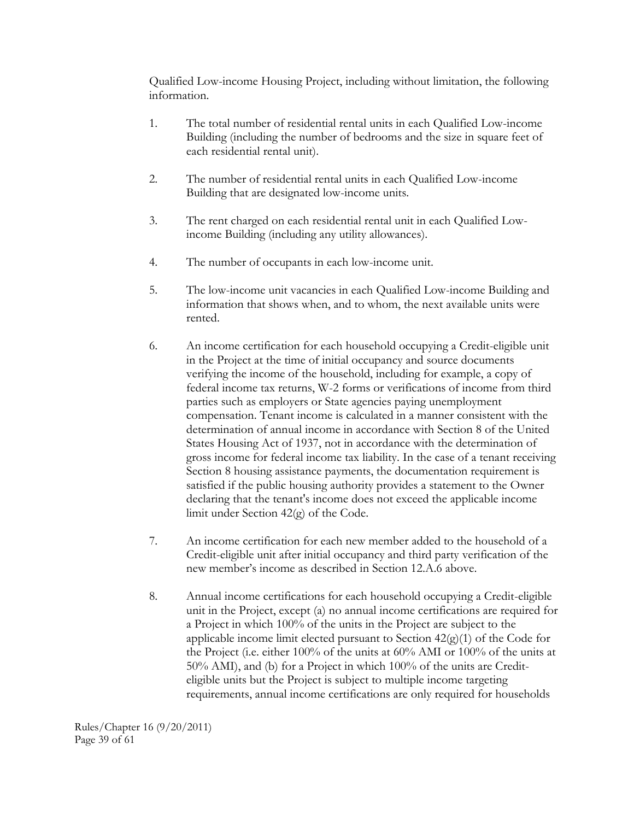Qualified Low-income Housing Project, including without limitation, the following information.

- 1. The total number of residential rental units in each Qualified Low-income Building (including the number of bedrooms and the size in square feet of each residential rental unit).
- 2. The number of residential rental units in each Qualified Low-income Building that are designated low-income units.
- 3. The rent charged on each residential rental unit in each Qualified Lowincome Building (including any utility allowances).
- 4. The number of occupants in each low-income unit.
- 5. The low-income unit vacancies in each Qualified Low-income Building and information that shows when, and to whom, the next available units were rented.
- 6. An income certification for each household occupying a Credit-eligible unit in the Project at the time of initial occupancy and source documents verifying the income of the household, including for example, a copy of federal income tax returns, W-2 forms or verifications of income from third parties such as employers or State agencies paying unemployment compensation. Tenant income is calculated in a manner consistent with the determination of annual income in accordance with Section 8 of the United States Housing Act of 1937, not in accordance with the determination of gross income for federal income tax liability. In the case of a tenant receiving Section 8 housing assistance payments, the documentation requirement is satisfied if the public housing authority provides a statement to the Owner declaring that the tenant's income does not exceed the applicable income limit under Section 42(g) of the Code.
- 7. An income certification for each new member added to the household of a Credit-eligible unit after initial occupancy and third party verification of the new member's income as described in Section 12.A.6 above.
- 8. Annual income certifications for each household occupying a Credit-eligible unit in the Project, except (a) no annual income certifications are required for a Project in which 100% of the units in the Project are subject to the applicable income limit elected pursuant to Section  $42(g)(1)$  of the Code for the Project (i.e. either 100% of the units at 60% AMI or 100% of the units at 50% AMI), and (b) for a Project in which 100% of the units are Crediteligible units but the Project is subject to multiple income targeting requirements, annual income certifications are only required for households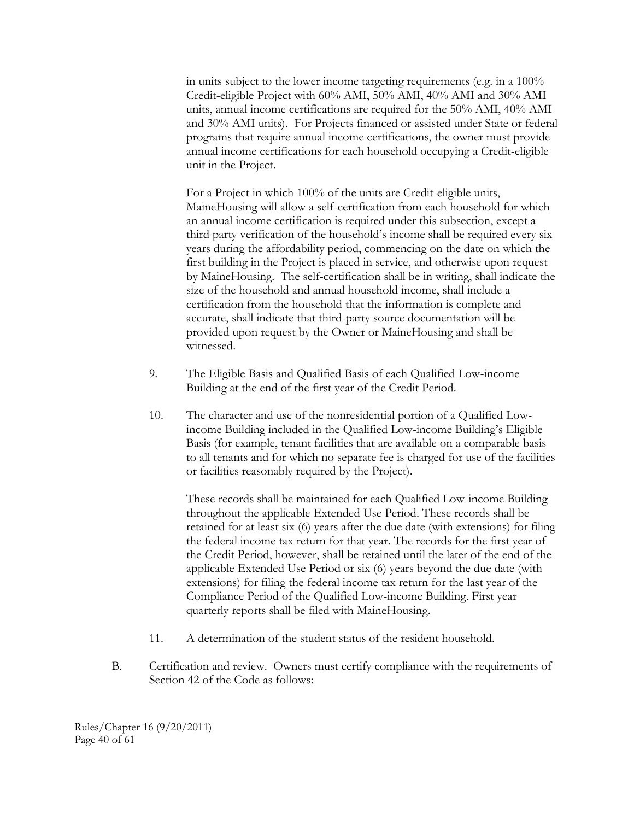in units subject to the lower income targeting requirements (e.g. in a 100% Credit-eligible Project with 60% AMI, 50% AMI, 40% AMI and 30% AMI units, annual income certifications are required for the 50% AMI, 40% AMI and 30% AMI units). For Projects financed or assisted under State or federal programs that require annual income certifications, the owner must provide annual income certifications for each household occupying a Credit-eligible unit in the Project.

For a Project in which 100% of the units are Credit-eligible units, MaineHousing will allow a self-certification from each household for which an annual income certification is required under this subsection, except a third party verification of the household's income shall be required every six years during the affordability period, commencing on the date on which the first building in the Project is placed in service, and otherwise upon request by MaineHousing. The self-certification shall be in writing, shall indicate the size of the household and annual household income, shall include a certification from the household that the information is complete and accurate, shall indicate that third-party source documentation will be provided upon request by the Owner or MaineHousing and shall be witnessed.

- 9. The Eligible Basis and Qualified Basis of each Qualified Low-income Building at the end of the first year of the Credit Period.
- 10. The character and use of the nonresidential portion of a Qualified Lowincome Building included in the Qualified Low-income Building's Eligible Basis (for example, tenant facilities that are available on a comparable basis to all tenants and for which no separate fee is charged for use of the facilities or facilities reasonably required by the Project).

These records shall be maintained for each Qualified Low-income Building throughout the applicable Extended Use Period. These records shall be retained for at least six (6) years after the due date (with extensions) for filing the federal income tax return for that year. The records for the first year of the Credit Period, however, shall be retained until the later of the end of the applicable Extended Use Period or six (6) years beyond the due date (with extensions) for filing the federal income tax return for the last year of the Compliance Period of the Qualified Low-income Building. First year quarterly reports shall be filed with MaineHousing.

- 11. A determination of the student status of the resident household.
- B. Certification and review. Owners must certify compliance with the requirements of Section 42 of the Code as follows:

Rules/Chapter 16 (9/20/2011) Page 40 of 61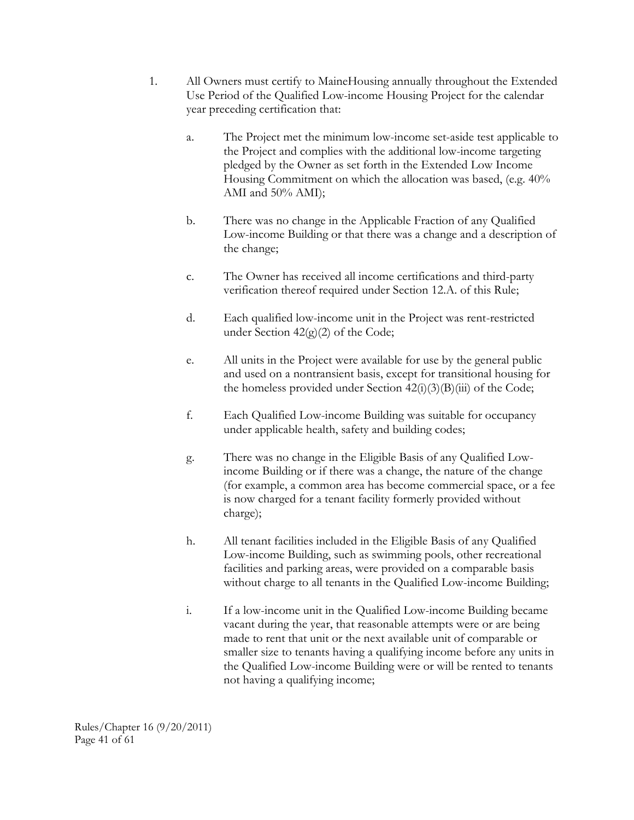- 1. All Owners must certify to MaineHousing annually throughout the Extended Use Period of the Qualified Low-income Housing Project for the calendar year preceding certification that:
	- a. The Project met the minimum low-income set-aside test applicable to the Project and complies with the additional low-income targeting pledged by the Owner as set forth in the Extended Low Income Housing Commitment on which the allocation was based, (e.g. 40% AMI and 50% AMI);
	- b. There was no change in the Applicable Fraction of any Qualified Low-income Building or that there was a change and a description of the change;
	- c. The Owner has received all income certifications and third-party verification thereof required under Section 12.A. of this Rule;
	- d. Each qualified low-income unit in the Project was rent-restricted under Section  $42(g)(2)$  of the Code;
	- e. All units in the Project were available for use by the general public and used on a nontransient basis, except for transitional housing for the homeless provided under Section  $42(i)(3)(B(iii))$  of the Code;
	- f. Each Qualified Low-income Building was suitable for occupancy under applicable health, safety and building codes;
	- g. There was no change in the Eligible Basis of any Qualified Lowincome Building or if there was a change, the nature of the change (for example, a common area has become commercial space, or a fee is now charged for a tenant facility formerly provided without charge);
	- h. All tenant facilities included in the Eligible Basis of any Qualified Low-income Building, such as swimming pools, other recreational facilities and parking areas, were provided on a comparable basis without charge to all tenants in the Qualified Low-income Building;
	- i. If a low-income unit in the Qualified Low-income Building became vacant during the year, that reasonable attempts were or are being made to rent that unit or the next available unit of comparable or smaller size to tenants having a qualifying income before any units in the Qualified Low-income Building were or will be rented to tenants not having a qualifying income;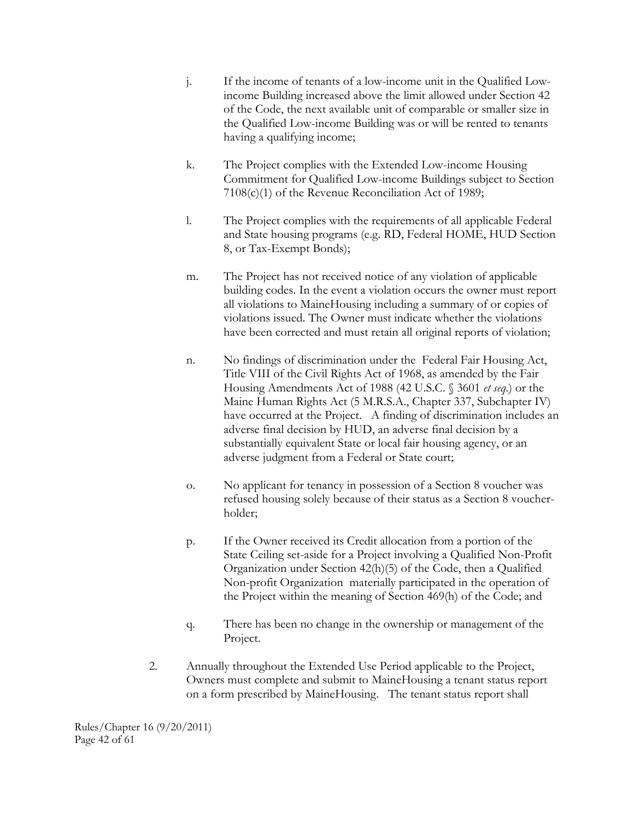- j. If the income of tenants of a low-income unit in the Qualified Lowincome Building increased above the limit allowed under Section 42 of the Code, the next available unit of comparable or smaller size in the Qualified Low-income Building was or will be rented to tenants having a qualifying income;
- k. The Project complies with the Extended Low-income Housing Commitment for Qualified Low-income Buildings subject to Section 7108(c)(1) of the Revenue Reconciliation Act of 1989;
- l. The Project complies with the requirements of all applicable Federal and State housing programs (e.g. RD, Federal HOME, HUD Section 8, or Tax-Exempt Bonds);
- m. The Project has not received notice of any violation of applicable building codes. In the event a violation occurs the owner must report all violations to MaineHousing including a summary of or copies of violations issued. The Owner must indicate whether the violations have been corrected and must retain all original reports of violation;
- n. No findings of discrimination under the Federal Fair Housing Act, Title VIII of the Civil Rights Act of 1968, as amended by the Fair Housing Amendments Act of 1988 (42 U.S.C. § 3601 *et seq.*) or the Maine Human Rights Act (5 M.R.S.A., Chapter 337, Subchapter IV) have occurred at the Project. A finding of discrimination includes an adverse final decision by HUD, an adverse final decision by a substantially equivalent State or local fair housing agency, or an adverse judgment from a Federal or State court;
- o. No applicant for tenancy in possession of a Section 8 voucher was refused housing solely because of their status as a Section 8 voucherholder;
- p. If the Owner received its Credit allocation from a portion of the State Ceiling set-aside for a Project involving a Qualified Non-Profit Organization under Section 42(h)(5) of the Code, then a Qualified Non-profit Organization materially participated in the operation of the Project within the meaning of Section 469(h) of the Code; and
- q. There has been no change in the ownership or management of the Project.
- 2. Annually throughout the Extended Use Period applicable to the Project, Owners must complete and submit to MaineHousing a tenant status report on a form prescribed by MaineHousing. The tenant status report shall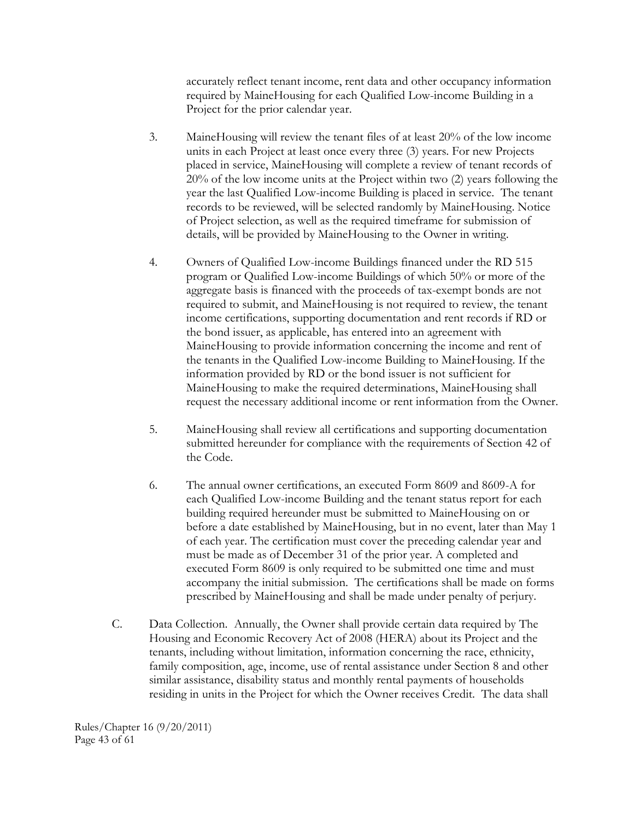accurately reflect tenant income, rent data and other occupancy information required by MaineHousing for each Qualified Low-income Building in a Project for the prior calendar year.

- 3. MaineHousing will review the tenant files of at least 20% of the low income units in each Project at least once every three (3) years. For new Projects placed in service, MaineHousing will complete a review of tenant records of 20% of the low income units at the Project within two (2) years following the year the last Qualified Low-income Building is placed in service. The tenant records to be reviewed, will be selected randomly by MaineHousing. Notice of Project selection, as well as the required timeframe for submission of details, will be provided by MaineHousing to the Owner in writing.
- 4. Owners of Qualified Low-income Buildings financed under the RD 515 program or Qualified Low-income Buildings of which 50% or more of the aggregate basis is financed with the proceeds of tax-exempt bonds are not required to submit, and MaineHousing is not required to review, the tenant income certifications, supporting documentation and rent records if RD or the bond issuer, as applicable, has entered into an agreement with MaineHousing to provide information concerning the income and rent of the tenants in the Qualified Low-income Building to MaineHousing. If the information provided by RD or the bond issuer is not sufficient for MaineHousing to make the required determinations, MaineHousing shall request the necessary additional income or rent information from the Owner.
- 5. MaineHousing shall review all certifications and supporting documentation submitted hereunder for compliance with the requirements of Section 42 of the Code.
- 6. The annual owner certifications, an executed Form 8609 and 8609-A for each Qualified Low-income Building and the tenant status report for each building required hereunder must be submitted to MaineHousing on or before a date established by MaineHousing, but in no event, later than May 1 of each year. The certification must cover the preceding calendar year and must be made as of December 31 of the prior year. A completed and executed Form 8609 is only required to be submitted one time and must accompany the initial submission. The certifications shall be made on forms prescribed by MaineHousing and shall be made under penalty of perjury.
- C. Data Collection. Annually, the Owner shall provide certain data required by The Housing and Economic Recovery Act of 2008 (HERA) about its Project and the tenants, including without limitation, information concerning the race, ethnicity, family composition, age, income, use of rental assistance under Section 8 and other similar assistance, disability status and monthly rental payments of households residing in units in the Project for which the Owner receives Credit. The data shall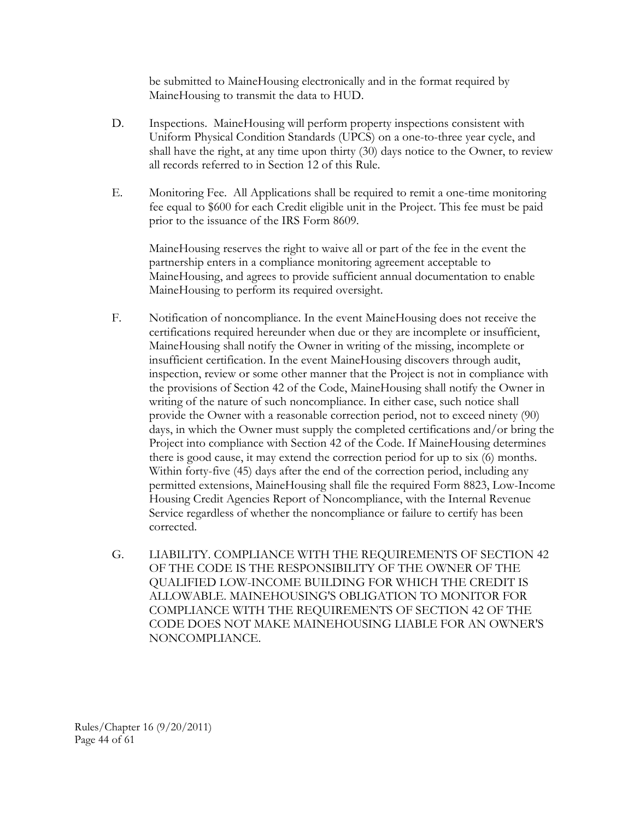be submitted to MaineHousing electronically and in the format required by MaineHousing to transmit the data to HUD.

- D. Inspections. MaineHousing will perform property inspections consistent with Uniform Physical Condition Standards (UPCS) on a one-to-three year cycle, and shall have the right, at any time upon thirty (30) days notice to the Owner, to review all records referred to in Section 12 of this Rule.
- E. Monitoring Fee. All Applications shall be required to remit a one-time monitoring fee equal to \$600 for each Credit eligible unit in the Project. This fee must be paid prior to the issuance of the IRS Form 8609.

MaineHousing reserves the right to waive all or part of the fee in the event the partnership enters in a compliance monitoring agreement acceptable to MaineHousing, and agrees to provide sufficient annual documentation to enable MaineHousing to perform its required oversight.

- F. Notification of noncompliance. In the event MaineHousing does not receive the certifications required hereunder when due or they are incomplete or insufficient, MaineHousing shall notify the Owner in writing of the missing, incomplete or insufficient certification. In the event MaineHousing discovers through audit, inspection, review or some other manner that the Project is not in compliance with the provisions of Section 42 of the Code, MaineHousing shall notify the Owner in writing of the nature of such noncompliance. In either case, such notice shall provide the Owner with a reasonable correction period, not to exceed ninety (90) days, in which the Owner must supply the completed certifications and/or bring the Project into compliance with Section 42 of the Code. If MaineHousing determines there is good cause, it may extend the correction period for up to six (6) months. Within forty-five (45) days after the end of the correction period, including any permitted extensions, MaineHousing shall file the required Form 8823, Low-Income Housing Credit Agencies Report of Noncompliance, with the Internal Revenue Service regardless of whether the noncompliance or failure to certify has been corrected.
- G. LIABILITY. COMPLIANCE WITH THE REQUIREMENTS OF SECTION 42 OF THE CODE IS THE RESPONSIBILITY OF THE OWNER OF THE QUALIFIED LOW-INCOME BUILDING FOR WHICH THE CREDIT IS ALLOWABLE. MAINEHOUSING'S OBLIGATION TO MONITOR FOR COMPLIANCE WITH THE REQUIREMENTS OF SECTION 42 OF THE CODE DOES NOT MAKE MAINEHOUSING LIABLE FOR AN OWNER'S NONCOMPLIANCE.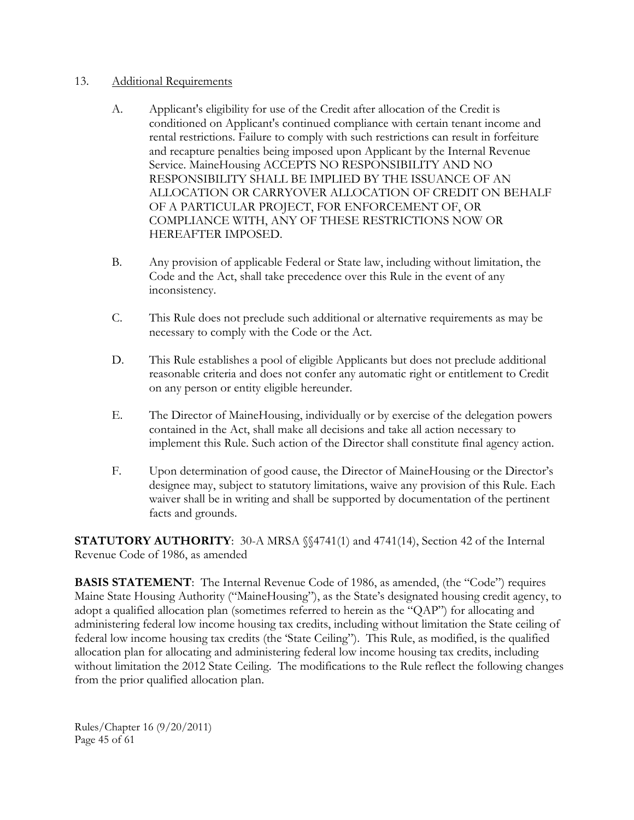#### 13. Additional Requirements

- A. Applicant's eligibility for use of the Credit after allocation of the Credit is conditioned on Applicant's continued compliance with certain tenant income and rental restrictions. Failure to comply with such restrictions can result in forfeiture and recapture penalties being imposed upon Applicant by the Internal Revenue Service. MaineHousing ACCEPTS NO RESPONSIBILITY AND NO RESPONSIBILITY SHALL BE IMPLIED BY THE ISSUANCE OF AN ALLOCATION OR CARRYOVER ALLOCATION OF CREDIT ON BEHALF OF A PARTICULAR PROJECT, FOR ENFORCEMENT OF, OR COMPLIANCE WITH, ANY OF THESE RESTRICTIONS NOW OR HEREAFTER IMPOSED.
- B. Any provision of applicable Federal or State law, including without limitation, the Code and the Act, shall take precedence over this Rule in the event of any inconsistency.
- C. This Rule does not preclude such additional or alternative requirements as may be necessary to comply with the Code or the Act.
- D. This Rule establishes a pool of eligible Applicants but does not preclude additional reasonable criteria and does not confer any automatic right or entitlement to Credit on any person or entity eligible hereunder.
- E. The Director of MaineHousing, individually or by exercise of the delegation powers contained in the Act, shall make all decisions and take all action necessary to implement this Rule. Such action of the Director shall constitute final agency action.
- F. Upon determination of good cause, the Director of MaineHousing or the Director's designee may, subject to statutory limitations, waive any provision of this Rule. Each waiver shall be in writing and shall be supported by documentation of the pertinent facts and grounds.

**STATUTORY AUTHORITY**: 30-A MRSA §§4741(1) and 4741(14), Section 42 of the Internal Revenue Code of 1986, as amended

**BASIS STATEMENT**: The Internal Revenue Code of 1986, as amended, (the "Code") requires Maine State Housing Authority ("MaineHousing"), as the State's designated housing credit agency, to adopt a qualified allocation plan (sometimes referred to herein as the "QAP") for allocating and administering federal low income housing tax credits, including without limitation the State ceiling of federal low income housing tax credits (the 'State Ceiling"). This Rule, as modified, is the qualified allocation plan for allocating and administering federal low income housing tax credits, including without limitation the 2012 State Ceiling. The modifications to the Rule reflect the following changes from the prior qualified allocation plan.

Rules/Chapter 16 (9/20/2011) Page 45 of 61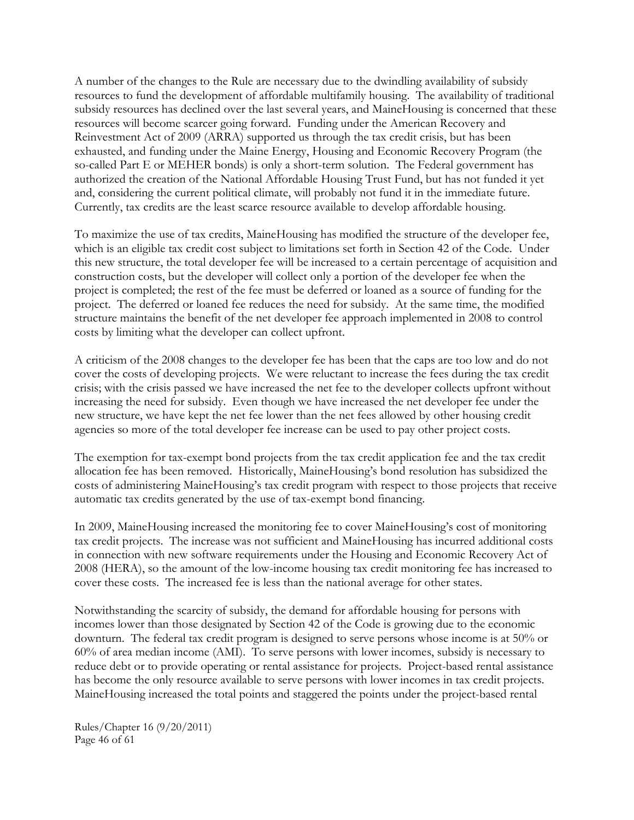A number of the changes to the Rule are necessary due to the dwindling availability of subsidy resources to fund the development of affordable multifamily housing. The availability of traditional subsidy resources has declined over the last several years, and MaineHousing is concerned that these resources will become scarcer going forward. Funding under the American Recovery and Reinvestment Act of 2009 (ARRA) supported us through the tax credit crisis, but has been exhausted, and funding under the Maine Energy, Housing and Economic Recovery Program (the so-called Part E or MEHER bonds) is only a short-term solution. The Federal government has authorized the creation of the National Affordable Housing Trust Fund, but has not funded it yet and, considering the current political climate, will probably not fund it in the immediate future. Currently, tax credits are the least scarce resource available to develop affordable housing.

To maximize the use of tax credits, MaineHousing has modified the structure of the developer fee, which is an eligible tax credit cost subject to limitations set forth in Section 42 of the Code. Under this new structure, the total developer fee will be increased to a certain percentage of acquisition and construction costs, but the developer will collect only a portion of the developer fee when the project is completed; the rest of the fee must be deferred or loaned as a source of funding for the project. The deferred or loaned fee reduces the need for subsidy. At the same time, the modified structure maintains the benefit of the net developer fee approach implemented in 2008 to control costs by limiting what the developer can collect upfront.

A criticism of the 2008 changes to the developer fee has been that the caps are too low and do not cover the costs of developing projects. We were reluctant to increase the fees during the tax credit crisis; with the crisis passed we have increased the net fee to the developer collects upfront without increasing the need for subsidy. Even though we have increased the net developer fee under the new structure, we have kept the net fee lower than the net fees allowed by other housing credit agencies so more of the total developer fee increase can be used to pay other project costs.

The exemption for tax-exempt bond projects from the tax credit application fee and the tax credit allocation fee has been removed. Historically, MaineHousing's bond resolution has subsidized the costs of administering MaineHousing's tax credit program with respect to those projects that receive automatic tax credits generated by the use of tax-exempt bond financing.

In 2009, MaineHousing increased the monitoring fee to cover MaineHousing's cost of monitoring tax credit projects. The increase was not sufficient and MaineHousing has incurred additional costs in connection with new software requirements under the Housing and Economic Recovery Act of 2008 (HERA), so the amount of the low-income housing tax credit monitoring fee has increased to cover these costs. The increased fee is less than the national average for other states.

Notwithstanding the scarcity of subsidy, the demand for affordable housing for persons with incomes lower than those designated by Section 42 of the Code is growing due to the economic downturn. The federal tax credit program is designed to serve persons whose income is at 50% or 60% of area median income (AMI). To serve persons with lower incomes, subsidy is necessary to reduce debt or to provide operating or rental assistance for projects. Project-based rental assistance has become the only resource available to serve persons with lower incomes in tax credit projects. MaineHousing increased the total points and staggered the points under the project-based rental

Rules/Chapter 16 (9/20/2011) Page 46 of 61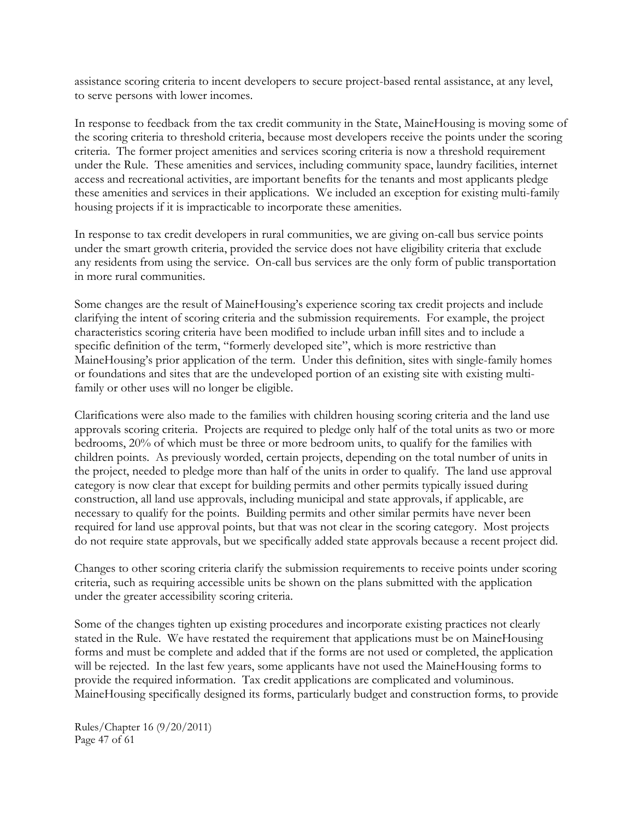assistance scoring criteria to incent developers to secure project-based rental assistance, at any level, to serve persons with lower incomes.

In response to feedback from the tax credit community in the State, MaineHousing is moving some of the scoring criteria to threshold criteria, because most developers receive the points under the scoring criteria. The former project amenities and services scoring criteria is now a threshold requirement under the Rule. These amenities and services, including community space, laundry facilities, internet access and recreational activities, are important benefits for the tenants and most applicants pledge these amenities and services in their applications. We included an exception for existing multi-family housing projects if it is impracticable to incorporate these amenities.

In response to tax credit developers in rural communities, we are giving on-call bus service points under the smart growth criteria, provided the service does not have eligibility criteria that exclude any residents from using the service. On-call bus services are the only form of public transportation in more rural communities.

Some changes are the result of MaineHousing's experience scoring tax credit projects and include clarifying the intent of scoring criteria and the submission requirements. For example, the project characteristics scoring criteria have been modified to include urban infill sites and to include a specific definition of the term, "formerly developed site", which is more restrictive than MaineHousing's prior application of the term. Under this definition, sites with single-family homes or foundations and sites that are the undeveloped portion of an existing site with existing multifamily or other uses will no longer be eligible.

Clarifications were also made to the families with children housing scoring criteria and the land use approvals scoring criteria. Projects are required to pledge only half of the total units as two or more bedrooms, 20% of which must be three or more bedroom units, to qualify for the families with children points. As previously worded, certain projects, depending on the total number of units in the project, needed to pledge more than half of the units in order to qualify. The land use approval category is now clear that except for building permits and other permits typically issued during construction, all land use approvals, including municipal and state approvals, if applicable, are necessary to qualify for the points. Building permits and other similar permits have never been required for land use approval points, but that was not clear in the scoring category. Most projects do not require state approvals, but we specifically added state approvals because a recent project did.

Changes to other scoring criteria clarify the submission requirements to receive points under scoring criteria, such as requiring accessible units be shown on the plans submitted with the application under the greater accessibility scoring criteria.

Some of the changes tighten up existing procedures and incorporate existing practices not clearly stated in the Rule. We have restated the requirement that applications must be on MaineHousing forms and must be complete and added that if the forms are not used or completed, the application will be rejected. In the last few years, some applicants have not used the MaineHousing forms to provide the required information. Tax credit applications are complicated and voluminous. MaineHousing specifically designed its forms, particularly budget and construction forms, to provide

Rules/Chapter 16 (9/20/2011) Page 47 of 61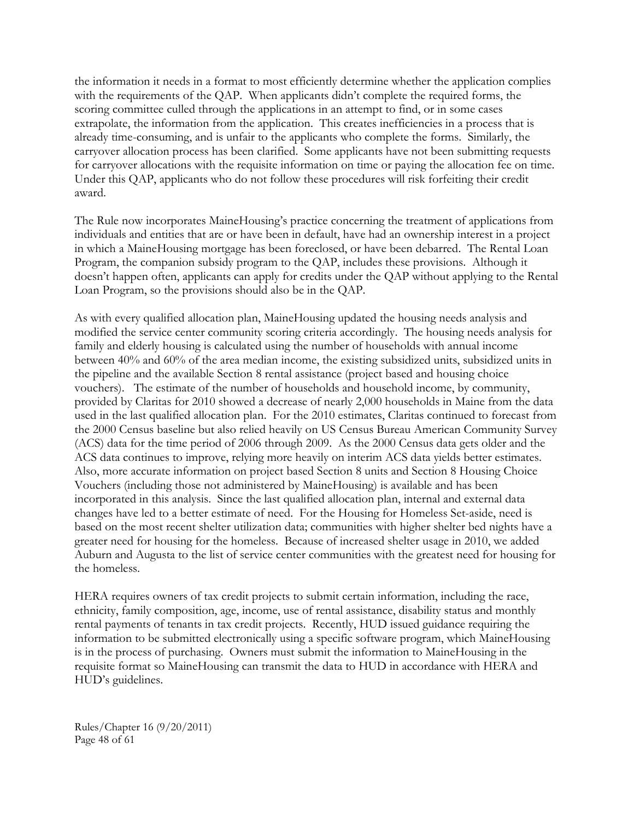the information it needs in a format to most efficiently determine whether the application complies with the requirements of the QAP. When applicants didn't complete the required forms, the scoring committee culled through the applications in an attempt to find, or in some cases extrapolate, the information from the application. This creates inefficiencies in a process that is already time-consuming, and is unfair to the applicants who complete the forms. Similarly, the carryover allocation process has been clarified. Some applicants have not been submitting requests for carryover allocations with the requisite information on time or paying the allocation fee on time. Under this QAP, applicants who do not follow these procedures will risk forfeiting their credit award.

The Rule now incorporates MaineHousing's practice concerning the treatment of applications from individuals and entities that are or have been in default, have had an ownership interest in a project in which a MaineHousing mortgage has been foreclosed, or have been debarred. The Rental Loan Program, the companion subsidy program to the QAP, includes these provisions. Although it doesn't happen often, applicants can apply for credits under the QAP without applying to the Rental Loan Program, so the provisions should also be in the QAP.

As with every qualified allocation plan, MaineHousing updated the housing needs analysis and modified the service center community scoring criteria accordingly. The housing needs analysis for family and elderly housing is calculated using the number of households with annual income between 40% and 60% of the area median income, the existing subsidized units, subsidized units in the pipeline and the available Section 8 rental assistance (project based and housing choice vouchers). The estimate of the number of households and household income, by community, provided by Claritas for 2010 showed a decrease of nearly 2,000 households in Maine from the data used in the last qualified allocation plan. For the 2010 estimates, Claritas continued to forecast from the 2000 Census baseline but also relied heavily on US Census Bureau American Community Survey (ACS) data for the time period of 2006 through 2009. As the 2000 Census data gets older and the ACS data continues to improve, relying more heavily on interim ACS data yields better estimates. Also, more accurate information on project based Section 8 units and Section 8 Housing Choice Vouchers (including those not administered by MaineHousing) is available and has been incorporated in this analysis. Since the last qualified allocation plan, internal and external data changes have led to a better estimate of need. For the Housing for Homeless Set-aside, need is based on the most recent shelter utilization data; communities with higher shelter bed nights have a greater need for housing for the homeless. Because of increased shelter usage in 2010, we added Auburn and Augusta to the list of service center communities with the greatest need for housing for the homeless.

HERA requires owners of tax credit projects to submit certain information, including the race, ethnicity, family composition, age, income, use of rental assistance, disability status and monthly rental payments of tenants in tax credit projects. Recently, HUD issued guidance requiring the information to be submitted electronically using a specific software program, which MaineHousing is in the process of purchasing. Owners must submit the information to MaineHousing in the requisite format so MaineHousing can transmit the data to HUD in accordance with HERA and HUD's guidelines.

Rules/Chapter 16 (9/20/2011) Page 48 of 61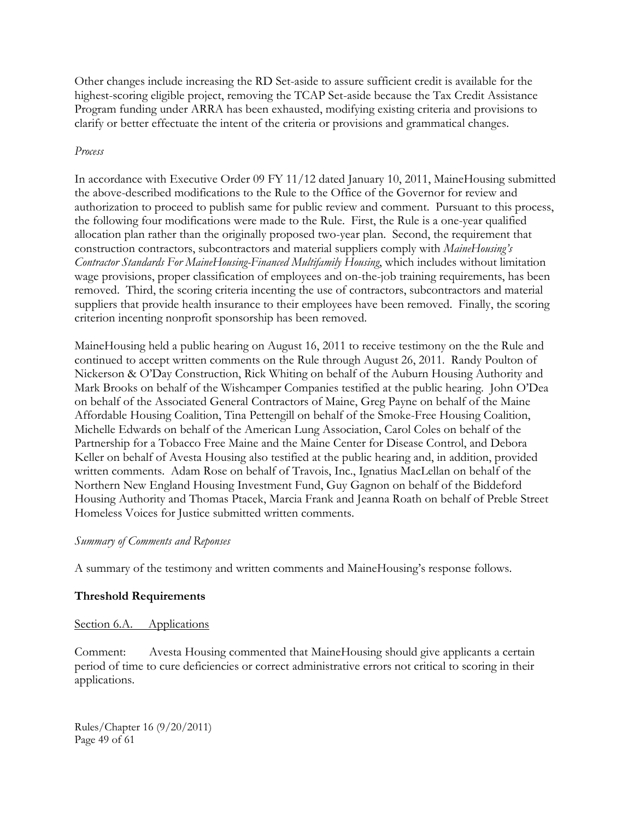Other changes include increasing the RD Set-aside to assure sufficient credit is available for the highest-scoring eligible project, removing the TCAP Set-aside because the Tax Credit Assistance Program funding under ARRA has been exhausted, modifying existing criteria and provisions to clarify or better effectuate the intent of the criteria or provisions and grammatical changes.

#### *Process*

In accordance with Executive Order 09 FY 11/12 dated January 10, 2011, MaineHousing submitted the above-described modifications to the Rule to the Office of the Governor for review and authorization to proceed to publish same for public review and comment. Pursuant to this process, the following four modifications were made to the Rule. First, the Rule is a one-year qualified allocation plan rather than the originally proposed two-year plan. Second, the requirement that construction contractors, subcontractors and material suppliers comply with *MaineHousing's Contractor Standards For MaineHousing-Financed Multifamily Housing*, which includes without limitation wage provisions, proper classification of employees and on-the-job training requirements, has been removed. Third, the scoring criteria incenting the use of contractors, subcontractors and material suppliers that provide health insurance to their employees have been removed. Finally, the scoring criterion incenting nonprofit sponsorship has been removed.

MaineHousing held a public hearing on August 16, 2011 to receive testimony on the the Rule and continued to accept written comments on the Rule through August 26, 2011. Randy Poulton of Nickerson & O'Day Construction, Rick Whiting on behalf of the Auburn Housing Authority and Mark Brooks on behalf of the Wishcamper Companies testified at the public hearing. John O'Dea on behalf of the Associated General Contractors of Maine, Greg Payne on behalf of the Maine Affordable Housing Coalition, Tina Pettengill on behalf of the Smoke-Free Housing Coalition, Michelle Edwards on behalf of the American Lung Association, Carol Coles on behalf of the Partnership for a Tobacco Free Maine and the Maine Center for Disease Control, and Debora Keller on behalf of Avesta Housing also testified at the public hearing and, in addition, provided written comments. Adam Rose on behalf of Travois, Inc., Ignatius MacLellan on behalf of the Northern New England Housing Investment Fund, Guy Gagnon on behalf of the Biddeford Housing Authority and Thomas Ptacek, Marcia Frank and Jeanna Roath on behalf of Preble Street Homeless Voices for Justice submitted written comments.

#### *Summary of Comments and Reponses*

A summary of the testimony and written comments and MaineHousing's response follows.

#### **Threshold Requirements**

#### Section 6.A. Applications

Comment: Avesta Housing commented that MaineHousing should give applicants a certain period of time to cure deficiencies or correct administrative errors not critical to scoring in their applications.

Rules/Chapter 16 (9/20/2011) Page 49 of 61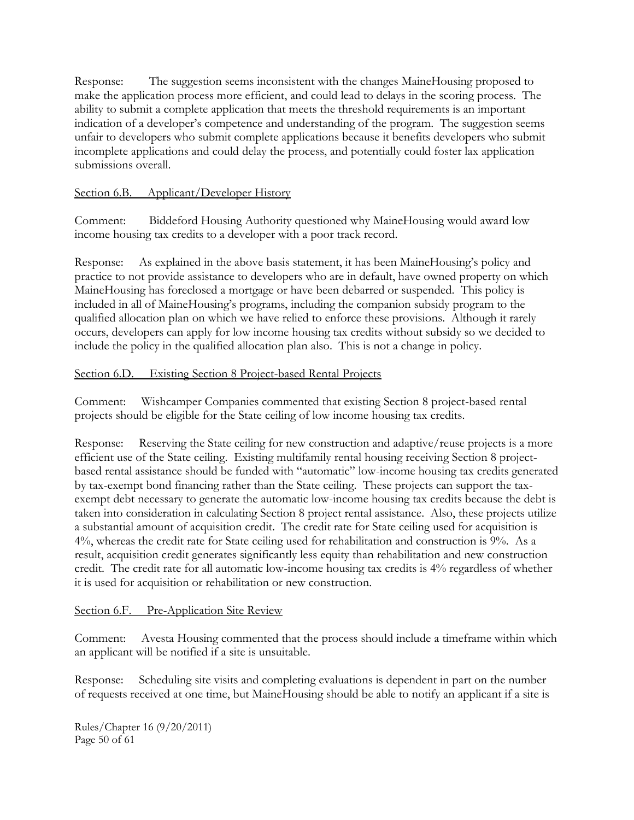Response: The suggestion seems inconsistent with the changes MaineHousing proposed to make the application process more efficient, and could lead to delays in the scoring process. The ability to submit a complete application that meets the threshold requirements is an important indication of a developer's competence and understanding of the program. The suggestion seems unfair to developers who submit complete applications because it benefits developers who submit incomplete applications and could delay the process, and potentially could foster lax application submissions overall.

## Section 6.B. Applicant/Developer History

Comment: Biddeford Housing Authority questioned why MaineHousing would award low income housing tax credits to a developer with a poor track record.

Response: As explained in the above basis statement, it has been MaineHousing's policy and practice to not provide assistance to developers who are in default, have owned property on which MaineHousing has foreclosed a mortgage or have been debarred or suspended. This policy is included in all of MaineHousing's programs, including the companion subsidy program to the qualified allocation plan on which we have relied to enforce these provisions. Although it rarely occurs, developers can apply for low income housing tax credits without subsidy so we decided to include the policy in the qualified allocation plan also. This is not a change in policy.

## Section 6.D. Existing Section 8 Project-based Rental Projects

Comment: Wishcamper Companies commented that existing Section 8 project-based rental projects should be eligible for the State ceiling of low income housing tax credits.

Response: Reserving the State ceiling for new construction and adaptive/reuse projects is a more efficient use of the State ceiling. Existing multifamily rental housing receiving Section 8 projectbased rental assistance should be funded with "automatic" low-income housing tax credits generated by tax-exempt bond financing rather than the State ceiling. These projects can support the taxexempt debt necessary to generate the automatic low-income housing tax credits because the debt is taken into consideration in calculating Section 8 project rental assistance. Also, these projects utilize a substantial amount of acquisition credit. The credit rate for State ceiling used for acquisition is 4%, whereas the credit rate for State ceiling used for rehabilitation and construction is 9%. As a result, acquisition credit generates significantly less equity than rehabilitation and new construction credit. The credit rate for all automatic low-income housing tax credits is 4% regardless of whether it is used for acquisition or rehabilitation or new construction.

# Section 6.F. Pre-Application Site Review

Comment: Avesta Housing commented that the process should include a timeframe within which an applicant will be notified if a site is unsuitable.

Response: Scheduling site visits and completing evaluations is dependent in part on the number of requests received at one time, but MaineHousing should be able to notify an applicant if a site is

Rules/Chapter 16 (9/20/2011) Page 50 of 61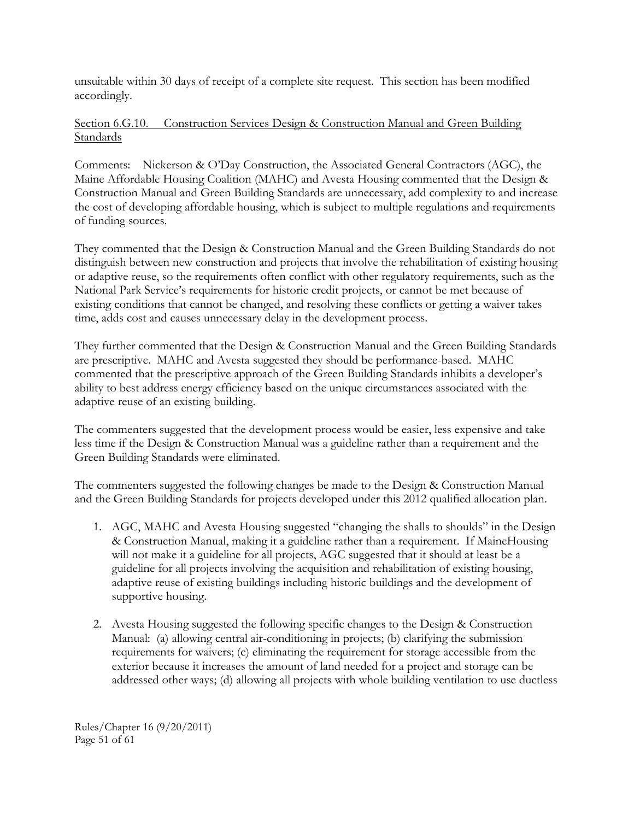unsuitable within 30 days of receipt of a complete site request. This section has been modified accordingly.

## Section 6.G.10. Construction Services Design & Construction Manual and Green Building **Standards**

Comments: Nickerson & O'Day Construction, the Associated General Contractors (AGC), the Maine Affordable Housing Coalition (MAHC) and Avesta Housing commented that the Design & Construction Manual and Green Building Standards are unnecessary, add complexity to and increase the cost of developing affordable housing, which is subject to multiple regulations and requirements of funding sources.

They commented that the Design & Construction Manual and the Green Building Standards do not distinguish between new construction and projects that involve the rehabilitation of existing housing or adaptive reuse, so the requirements often conflict with other regulatory requirements, such as the National Park Service's requirements for historic credit projects, or cannot be met because of existing conditions that cannot be changed, and resolving these conflicts or getting a waiver takes time, adds cost and causes unnecessary delay in the development process.

They further commented that the Design & Construction Manual and the Green Building Standards are prescriptive. MAHC and Avesta suggested they should be performance-based. MAHC commented that the prescriptive approach of the Green Building Standards inhibits a developer's ability to best address energy efficiency based on the unique circumstances associated with the adaptive reuse of an existing building.

The commenters suggested that the development process would be easier, less expensive and take less time if the Design & Construction Manual was a guideline rather than a requirement and the Green Building Standards were eliminated.

The commenters suggested the following changes be made to the Design & Construction Manual and the Green Building Standards for projects developed under this 2012 qualified allocation plan.

- 1. AGC, MAHC and Avesta Housing suggested "changing the shalls to shoulds" in the Design & Construction Manual, making it a guideline rather than a requirement. If MaineHousing will not make it a guideline for all projects, AGC suggested that it should at least be a guideline for all projects involving the acquisition and rehabilitation of existing housing, adaptive reuse of existing buildings including historic buildings and the development of supportive housing.
- 2. Avesta Housing suggested the following specific changes to the Design & Construction Manual: (a) allowing central air-conditioning in projects; (b) clarifying the submission requirements for waivers; (c) eliminating the requirement for storage accessible from the exterior because it increases the amount of land needed for a project and storage can be addressed other ways; (d) allowing all projects with whole building ventilation to use ductless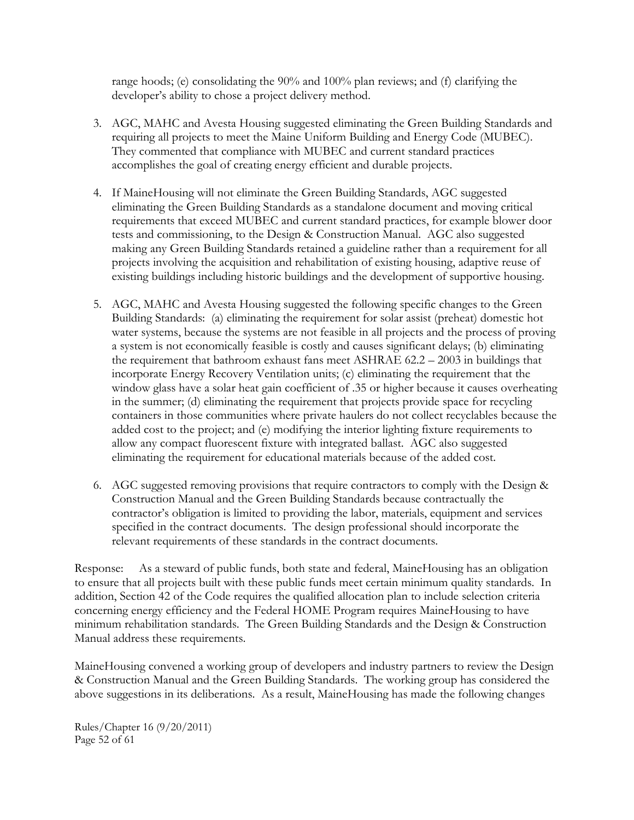range hoods; (e) consolidating the 90% and 100% plan reviews; and (f) clarifying the developer's ability to chose a project delivery method.

- 3. AGC, MAHC and Avesta Housing suggested eliminating the Green Building Standards and requiring all projects to meet the Maine Uniform Building and Energy Code (MUBEC). They commented that compliance with MUBEC and current standard practices accomplishes the goal of creating energy efficient and durable projects.
- 4. If MaineHousing will not eliminate the Green Building Standards, AGC suggested eliminating the Green Building Standards as a standalone document and moving critical requirements that exceed MUBEC and current standard practices, for example blower door tests and commissioning, to the Design & Construction Manual. AGC also suggested making any Green Building Standards retained a guideline rather than a requirement for all projects involving the acquisition and rehabilitation of existing housing, adaptive reuse of existing buildings including historic buildings and the development of supportive housing.
- 5. AGC, MAHC and Avesta Housing suggested the following specific changes to the Green Building Standards: (a) eliminating the requirement for solar assist (preheat) domestic hot water systems, because the systems are not feasible in all projects and the process of proving a system is not economically feasible is costly and causes significant delays; (b) eliminating the requirement that bathroom exhaust fans meet ASHRAE 62.2 – 2003 in buildings that incorporate Energy Recovery Ventilation units; (c) eliminating the requirement that the window glass have a solar heat gain coefficient of .35 or higher because it causes overheating in the summer; (d) eliminating the requirement that projects provide space for recycling containers in those communities where private haulers do not collect recyclables because the added cost to the project; and (e) modifying the interior lighting fixture requirements to allow any compact fluorescent fixture with integrated ballast. AGC also suggested eliminating the requirement for educational materials because of the added cost.
- 6. AGC suggested removing provisions that require contractors to comply with the Design & Construction Manual and the Green Building Standards because contractually the contractor's obligation is limited to providing the labor, materials, equipment and services specified in the contract documents. The design professional should incorporate the relevant requirements of these standards in the contract documents.

Response: As a steward of public funds, both state and federal, MaineHousing has an obligation to ensure that all projects built with these public funds meet certain minimum quality standards. In addition, Section 42 of the Code requires the qualified allocation plan to include selection criteria concerning energy efficiency and the Federal HOME Program requires MaineHousing to have minimum rehabilitation standards. The Green Building Standards and the Design & Construction Manual address these requirements.

MaineHousing convened a working group of developers and industry partners to review the Design & Construction Manual and the Green Building Standards. The working group has considered the above suggestions in its deliberations. As a result, MaineHousing has made the following changes

Rules/Chapter 16 (9/20/2011) Page 52 of 61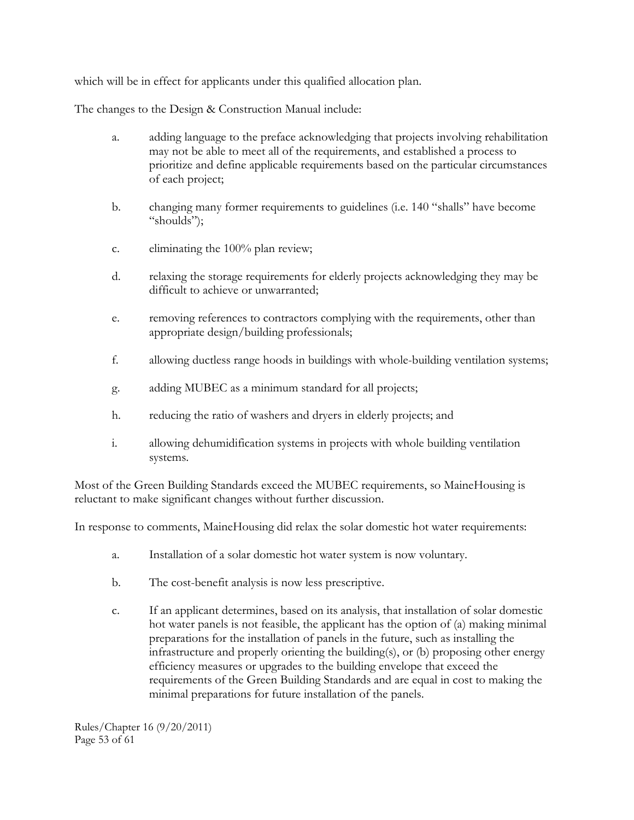which will be in effect for applicants under this qualified allocation plan.

The changes to the Design & Construction Manual include:

- a. adding language to the preface acknowledging that projects involving rehabilitation may not be able to meet all of the requirements, and established a process to prioritize and define applicable requirements based on the particular circumstances of each project;
- b. changing many former requirements to guidelines (i.e. 140 "shalls" have become "shoulds");
- c. eliminating the 100% plan review;
- d. relaxing the storage requirements for elderly projects acknowledging they may be difficult to achieve or unwarranted;
- e. removing references to contractors complying with the requirements, other than appropriate design/building professionals;
- f. allowing ductless range hoods in buildings with whole-building ventilation systems;
- g. adding MUBEC as a minimum standard for all projects;
- h. reducing the ratio of washers and dryers in elderly projects; and
- i. allowing dehumidification systems in projects with whole building ventilation systems.

Most of the Green Building Standards exceed the MUBEC requirements, so MaineHousing is reluctant to make significant changes without further discussion.

In response to comments, MaineHousing did relax the solar domestic hot water requirements:

- a. Installation of a solar domestic hot water system is now voluntary.
- b. The cost-benefit analysis is now less prescriptive.
- c. If an applicant determines, based on its analysis, that installation of solar domestic hot water panels is not feasible, the applicant has the option of (a) making minimal preparations for the installation of panels in the future, such as installing the infrastructure and properly orienting the building(s), or (b) proposing other energy efficiency measures or upgrades to the building envelope that exceed the requirements of the Green Building Standards and are equal in cost to making the minimal preparations for future installation of the panels.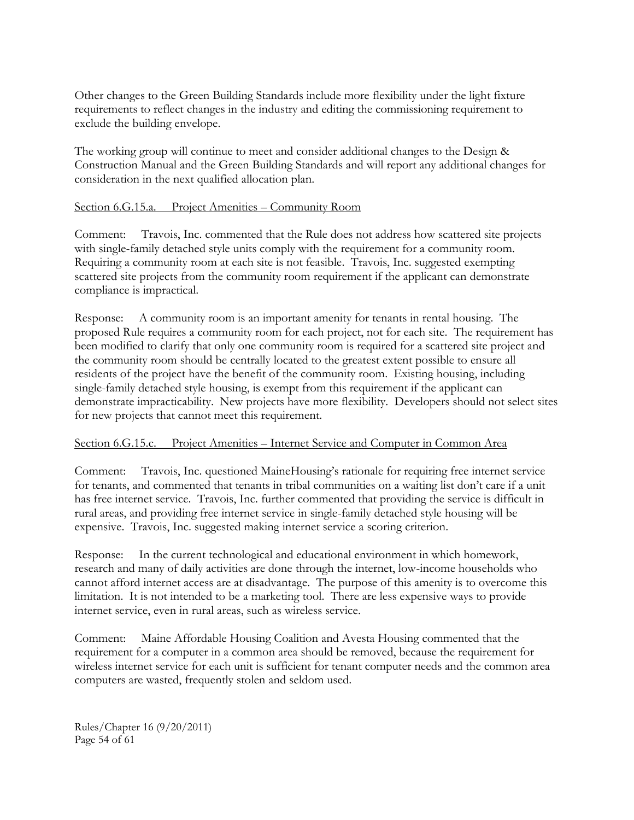Other changes to the Green Building Standards include more flexibility under the light fixture requirements to reflect changes in the industry and editing the commissioning requirement to exclude the building envelope.

The working group will continue to meet and consider additional changes to the Design & Construction Manual and the Green Building Standards and will report any additional changes for consideration in the next qualified allocation plan.

#### Section 6.G.15.a. Project Amenities – Community Room

Comment: Travois, Inc. commented that the Rule does not address how scattered site projects with single-family detached style units comply with the requirement for a community room. Requiring a community room at each site is not feasible. Travois, Inc. suggested exempting scattered site projects from the community room requirement if the applicant can demonstrate compliance is impractical.

Response: A community room is an important amenity for tenants in rental housing. The proposed Rule requires a community room for each project, not for each site. The requirement has been modified to clarify that only one community room is required for a scattered site project and the community room should be centrally located to the greatest extent possible to ensure all residents of the project have the benefit of the community room. Existing housing, including single-family detached style housing, is exempt from this requirement if the applicant can demonstrate impracticability. New projects have more flexibility. Developers should not select sites for new projects that cannot meet this requirement.

#### Section 6.G.15.c. Project Amenities – Internet Service and Computer in Common Area

Comment: Travois, Inc. questioned MaineHousing's rationale for requiring free internet service for tenants, and commented that tenants in tribal communities on a waiting list don't care if a unit has free internet service. Travois, Inc. further commented that providing the service is difficult in rural areas, and providing free internet service in single-family detached style housing will be expensive. Travois, Inc. suggested making internet service a scoring criterion.

Response: In the current technological and educational environment in which homework, research and many of daily activities are done through the internet, low-income households who cannot afford internet access are at disadvantage. The purpose of this amenity is to overcome this limitation. It is not intended to be a marketing tool. There are less expensive ways to provide internet service, even in rural areas, such as wireless service.

Comment: Maine Affordable Housing Coalition and Avesta Housing commented that the requirement for a computer in a common area should be removed, because the requirement for wireless internet service for each unit is sufficient for tenant computer needs and the common area computers are wasted, frequently stolen and seldom used.

Rules/Chapter 16 (9/20/2011) Page 54 of 61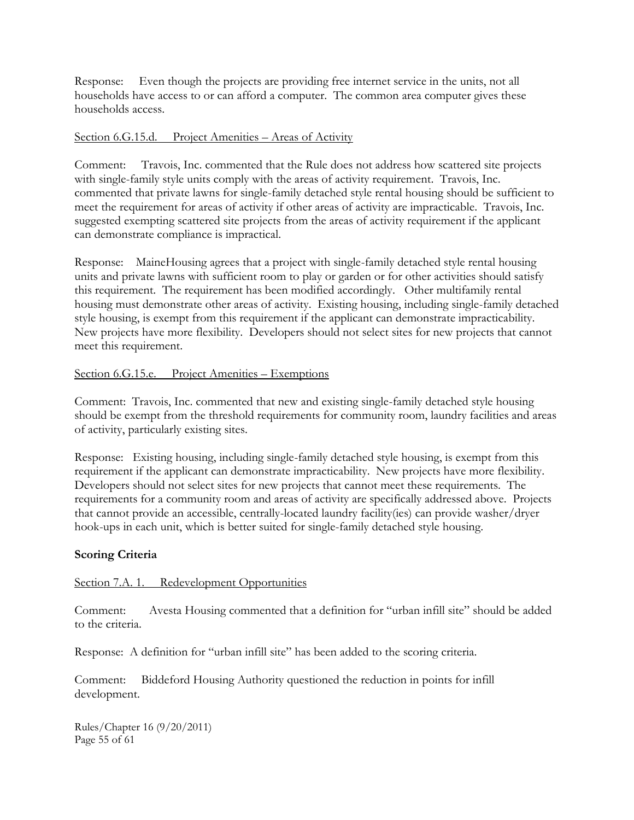Response: Even though the projects are providing free internet service in the units, not all households have access to or can afford a computer. The common area computer gives these households access.

#### Section 6.G.15.d. Project Amenities – Areas of Activity

Comment: Travois, Inc. commented that the Rule does not address how scattered site projects with single-family style units comply with the areas of activity requirement. Travois, Inc. commented that private lawns for single-family detached style rental housing should be sufficient to meet the requirement for areas of activity if other areas of activity are impracticable. Travois, Inc. suggested exempting scattered site projects from the areas of activity requirement if the applicant can demonstrate compliance is impractical.

Response: MaineHousing agrees that a project with single-family detached style rental housing units and private lawns with sufficient room to play or garden or for other activities should satisfy this requirement. The requirement has been modified accordingly. Other multifamily rental housing must demonstrate other areas of activity. Existing housing, including single-family detached style housing, is exempt from this requirement if the applicant can demonstrate impracticability. New projects have more flexibility. Developers should not select sites for new projects that cannot meet this requirement.

#### Section 6.G.15.e. Project Amenities – Exemptions

Comment: Travois, Inc. commented that new and existing single-family detached style housing should be exempt from the threshold requirements for community room, laundry facilities and areas of activity, particularly existing sites.

Response: Existing housing, including single-family detached style housing, is exempt from this requirement if the applicant can demonstrate impracticability. New projects have more flexibility. Developers should not select sites for new projects that cannot meet these requirements. The requirements for a community room and areas of activity are specifically addressed above. Projects that cannot provide an accessible, centrally-located laundry facility(ies) can provide washer/dryer hook-ups in each unit, which is better suited for single-family detached style housing.

#### **Scoring Criteria**

#### Section 7.A. 1. Redevelopment Opportunities

Comment: Avesta Housing commented that a definition for "urban infill site" should be added to the criteria.

Response: A definition for "urban infill site" has been added to the scoring criteria.

Comment: Biddeford Housing Authority questioned the reduction in points for infill development.

Rules/Chapter 16 (9/20/2011) Page 55 of 61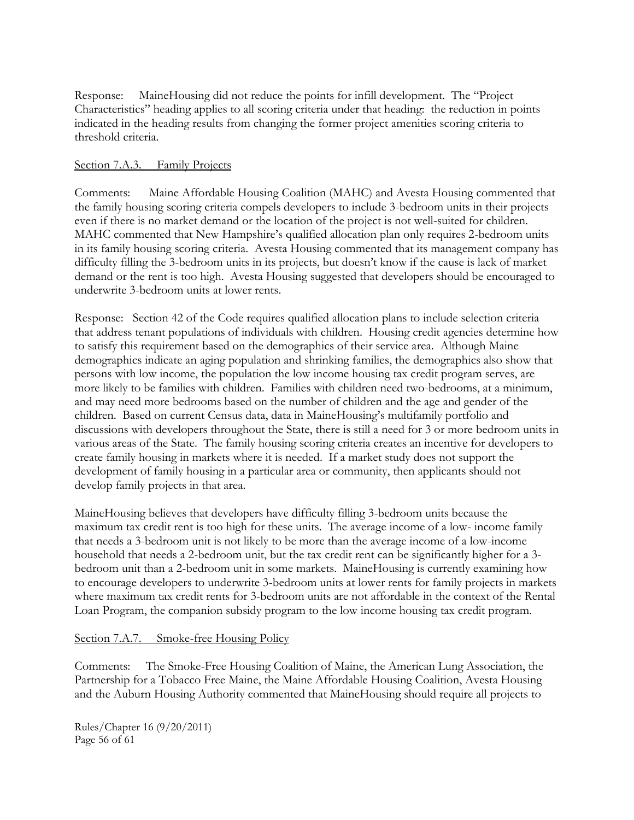Response: MaineHousing did not reduce the points for infill development. The "Project Characteristics" heading applies to all scoring criteria under that heading: the reduction in points indicated in the heading results from changing the former project amenities scoring criteria to threshold criteria.

#### Section 7.A.3. Family Projects

Comments: Maine Affordable Housing Coalition (MAHC) and Avesta Housing commented that the family housing scoring criteria compels developers to include 3-bedroom units in their projects even if there is no market demand or the location of the project is not well-suited for children. MAHC commented that New Hampshire's qualified allocation plan only requires 2-bedroom units in its family housing scoring criteria. Avesta Housing commented that its management company has difficulty filling the 3-bedroom units in its projects, but doesn't know if the cause is lack of market demand or the rent is too high. Avesta Housing suggested that developers should be encouraged to underwrite 3-bedroom units at lower rents.

Response: Section 42 of the Code requires qualified allocation plans to include selection criteria that address tenant populations of individuals with children. Housing credit agencies determine how to satisfy this requirement based on the demographics of their service area. Although Maine demographics indicate an aging population and shrinking families, the demographics also show that persons with low income, the population the low income housing tax credit program serves, are more likely to be families with children. Families with children need two-bedrooms, at a minimum, and may need more bedrooms based on the number of children and the age and gender of the children. Based on current Census data, data in MaineHousing's multifamily portfolio and discussions with developers throughout the State, there is still a need for 3 or more bedroom units in various areas of the State. The family housing scoring criteria creates an incentive for developers to create family housing in markets where it is needed. If a market study does not support the development of family housing in a particular area or community, then applicants should not develop family projects in that area.

MaineHousing believes that developers have difficulty filling 3-bedroom units because the maximum tax credit rent is too high for these units. The average income of a low- income family that needs a 3-bedroom unit is not likely to be more than the average income of a low-income household that needs a 2-bedroom unit, but the tax credit rent can be significantly higher for a 3 bedroom unit than a 2-bedroom unit in some markets. MaineHousing is currently examining how to encourage developers to underwrite 3-bedroom units at lower rents for family projects in markets where maximum tax credit rents for 3-bedroom units are not affordable in the context of the Rental Loan Program, the companion subsidy program to the low income housing tax credit program.

#### Section 7.A.7. Smoke-free Housing Policy

Comments: The Smoke-Free Housing Coalition of Maine, the American Lung Association, the Partnership for a Tobacco Free Maine, the Maine Affordable Housing Coalition, Avesta Housing and the Auburn Housing Authority commented that MaineHousing should require all projects to

Rules/Chapter 16 (9/20/2011) Page 56 of 61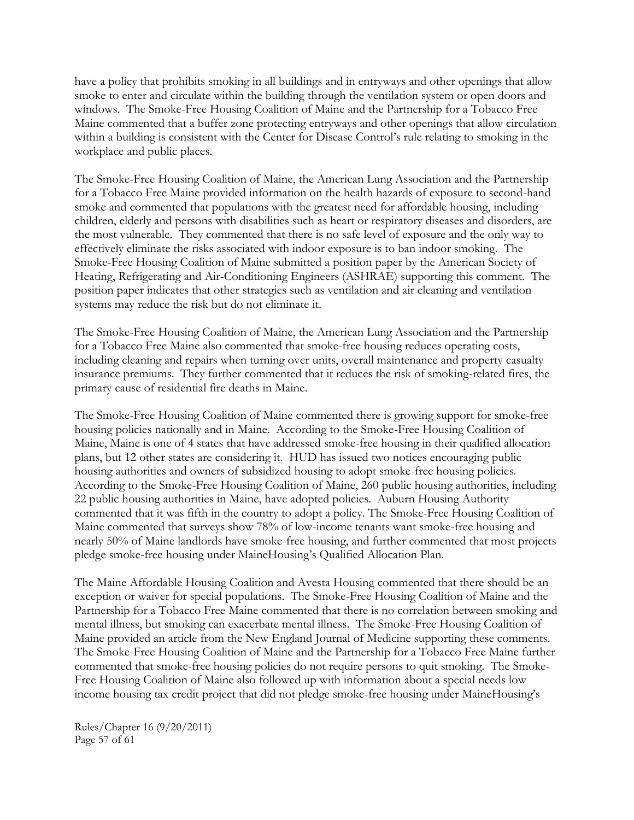have a policy that prohibits smoking in all buildings and in entryways and other openings that allow smoke to enter and circulate within the building through the ventilation system or open doors and windows. The Smoke-Free Housing Coalition of Maine and the Partnership for a Tobacco Free Maine commented that a buffer zone protecting entryways and other openings that allow circulation within a building is consistent with the Center for Disease Control's rule relating to smoking in the workplace and public places.

The Smoke-Free Housing Coalition of Maine, the American Lung Association and the Partnership for a Tobacco Free Maine provided information on the health hazards of exposure to second-hand smoke and commented that populations with the greatest need for affordable housing, including children, elderly and persons with disabilities such as heart or respiratory diseases and disorders, are the most vulnerable. They commented that there is no safe level of exposure and the only way to effectively eliminate the risks associated with indoor exposure is to ban indoor smoking. The Smoke-Free Housing Coalition of Maine submitted a position paper by the American Society of Heating, Refrigerating and Air-Conditioning Engineers (ASHRAE) supporting this comment. The position paper indicates that other strategies such as ventilation and air cleaning and ventilation systems may reduce the risk but do not eliminate it.

The Smoke-Free Housing Coalition of Maine, the American Lung Association and the Partnership for a Tobacco Free Maine also commented that smoke-free housing reduces operating costs, including cleaning and repairs when turning over units, overall maintenance and property casualty insurance premiums. They further commented that it reduces the risk of smoking-related fires, the primary cause of residential fire deaths in Maine.

The Smoke-Free Housing Coalition of Maine commented there is growing support for smoke-free housing policies nationally and in Maine. According to the Smoke-Free Housing Coalition of Maine, Maine is one of 4 states that have addressed smoke-free housing in their qualified allocation plans, but 12 other states are considering it. HUD has issued two notices encouraging public housing authorities and owners of subsidized housing to adopt smoke-free housing policies. According to the Smoke-Free Housing Coalition of Maine, 260 public housing authorities, including 22 public housing authorities in Maine, have adopted policies. Auburn Housing Authority commented that it was fifth in the country to adopt a policy. The Smoke-Free Housing Coalition of Maine commented that surveys show 78% of low-income tenants want smoke-free housing and nearly 50% of Maine landlords have smoke-free housing, and further commented that most projects pledge smoke-free housing under MaineHousing's Qualified Allocation Plan.

The Maine Affordable Housing Coalition and Avesta Housing commented that there should be an exception or waiver for special populations. The Smoke-Free Housing Coalition of Maine and the Partnership for a Tobacco Free Maine commented that there is no correlation between smoking and mental illness, but smoking can exacerbate mental illness. The Smoke-Free Housing Coalition of Maine provided an article from the New England Journal of Medicine supporting these comments. The Smoke-Free Housing Coalition of Maine and the Partnership for a Tobacco Free Maine further commented that smoke-free housing policies do not require persons to quit smoking. The Smoke-Free Housing Coalition of Maine also followed up with information about a special needs low income housing tax credit project that did not pledge smoke-free housing under MaineHousing's

Rules/Chapter 16 (9/20/2011) Page 57 of 61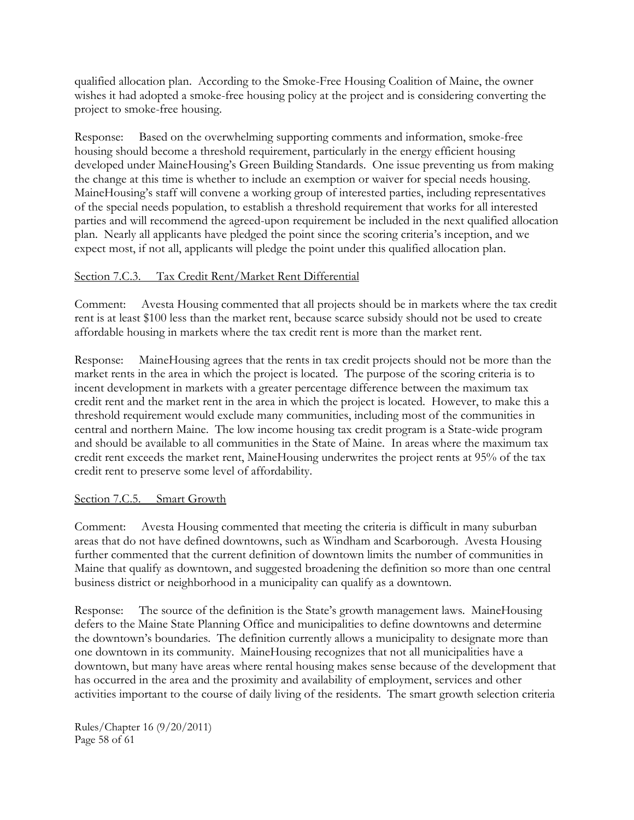qualified allocation plan. According to the Smoke-Free Housing Coalition of Maine, the owner wishes it had adopted a smoke-free housing policy at the project and is considering converting the project to smoke-free housing.

Response: Based on the overwhelming supporting comments and information, smoke-free housing should become a threshold requirement, particularly in the energy efficient housing developed under MaineHousing's Green Building Standards. One issue preventing us from making the change at this time is whether to include an exemption or waiver for special needs housing. MaineHousing's staff will convene a working group of interested parties, including representatives of the special needs population, to establish a threshold requirement that works for all interested parties and will recommend the agreed-upon requirement be included in the next qualified allocation plan. Nearly all applicants have pledged the point since the scoring criteria's inception, and we expect most, if not all, applicants will pledge the point under this qualified allocation plan.

#### Section 7.C.3. Tax Credit Rent/Market Rent Differential

Comment: Avesta Housing commented that all projects should be in markets where the tax credit rent is at least \$100 less than the market rent, because scarce subsidy should not be used to create affordable housing in markets where the tax credit rent is more than the market rent.

Response: MaineHousing agrees that the rents in tax credit projects should not be more than the market rents in the area in which the project is located. The purpose of the scoring criteria is to incent development in markets with a greater percentage difference between the maximum tax credit rent and the market rent in the area in which the project is located. However, to make this a threshold requirement would exclude many communities, including most of the communities in central and northern Maine. The low income housing tax credit program is a State-wide program and should be available to all communities in the State of Maine. In areas where the maximum tax credit rent exceeds the market rent, MaineHousing underwrites the project rents at 95% of the tax credit rent to preserve some level of affordability.

#### Section 7.C.5. Smart Growth

Comment: Avesta Housing commented that meeting the criteria is difficult in many suburban areas that do not have defined downtowns, such as Windham and Scarborough. Avesta Housing further commented that the current definition of downtown limits the number of communities in Maine that qualify as downtown, and suggested broadening the definition so more than one central business district or neighborhood in a municipality can qualify as a downtown.

Response: The source of the definition is the State's growth management laws. MaineHousing defers to the Maine State Planning Office and municipalities to define downtowns and determine the downtown's boundaries. The definition currently allows a municipality to designate more than one downtown in its community. MaineHousing recognizes that not all municipalities have a downtown, but many have areas where rental housing makes sense because of the development that has occurred in the area and the proximity and availability of employment, services and other activities important to the course of daily living of the residents. The smart growth selection criteria

Rules/Chapter 16 (9/20/2011) Page 58 of 61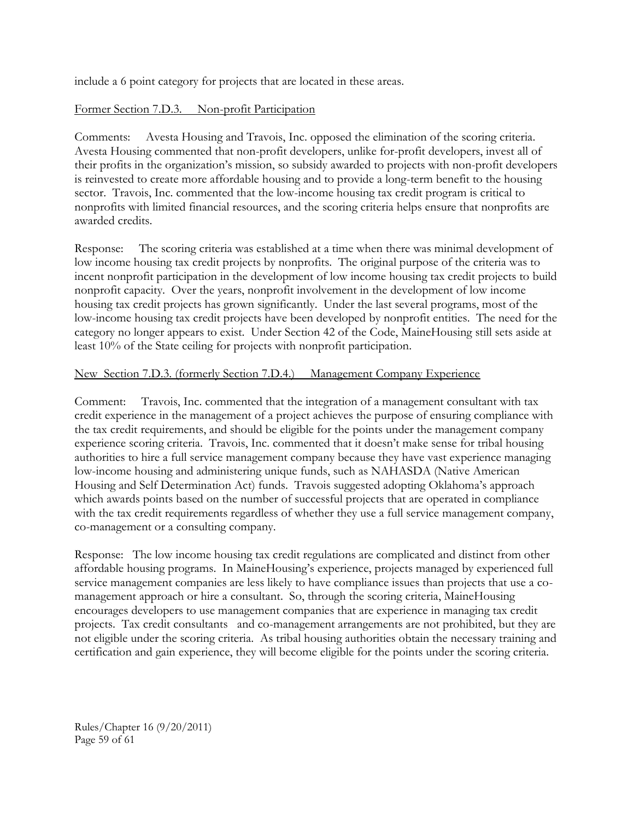include a 6 point category for projects that are located in these areas.

#### Former Section 7.D.3. Non-profit Participation

Comments: Avesta Housing and Travois, Inc. opposed the elimination of the scoring criteria. Avesta Housing commented that non-profit developers, unlike for-profit developers, invest all of their profits in the organization's mission, so subsidy awarded to projects with non-profit developers is reinvested to create more affordable housing and to provide a long-term benefit to the housing sector. Travois, Inc. commented that the low-income housing tax credit program is critical to nonprofits with limited financial resources, and the scoring criteria helps ensure that nonprofits are awarded credits.

Response: The scoring criteria was established at a time when there was minimal development of low income housing tax credit projects by nonprofits. The original purpose of the criteria was to incent nonprofit participation in the development of low income housing tax credit projects to build nonprofit capacity. Over the years, nonprofit involvement in the development of low income housing tax credit projects has grown significantly. Under the last several programs, most of the low-income housing tax credit projects have been developed by nonprofit entities. The need for the category no longer appears to exist. Under Section 42 of the Code, MaineHousing still sets aside at least 10% of the State ceiling for projects with nonprofit participation.

#### New Section 7.D.3. (formerly Section 7.D.4.) Management Company Experience

Comment: Travois, Inc. commented that the integration of a management consultant with tax credit experience in the management of a project achieves the purpose of ensuring compliance with the tax credit requirements, and should be eligible for the points under the management company experience scoring criteria. Travois, Inc. commented that it doesn't make sense for tribal housing authorities to hire a full service management company because they have vast experience managing low-income housing and administering unique funds, such as NAHASDA (Native American Housing and Self Determination Act) funds. Travois suggested adopting Oklahoma's approach which awards points based on the number of successful projects that are operated in compliance with the tax credit requirements regardless of whether they use a full service management company, co-management or a consulting company.

Response: The low income housing tax credit regulations are complicated and distinct from other affordable housing programs. In MaineHousing's experience, projects managed by experienced full service management companies are less likely to have compliance issues than projects that use a comanagement approach or hire a consultant. So, through the scoring criteria, MaineHousing encourages developers to use management companies that are experience in managing tax credit projects. Tax credit consultants and co-management arrangements are not prohibited, but they are not eligible under the scoring criteria. As tribal housing authorities obtain the necessary training and certification and gain experience, they will become eligible for the points under the scoring criteria.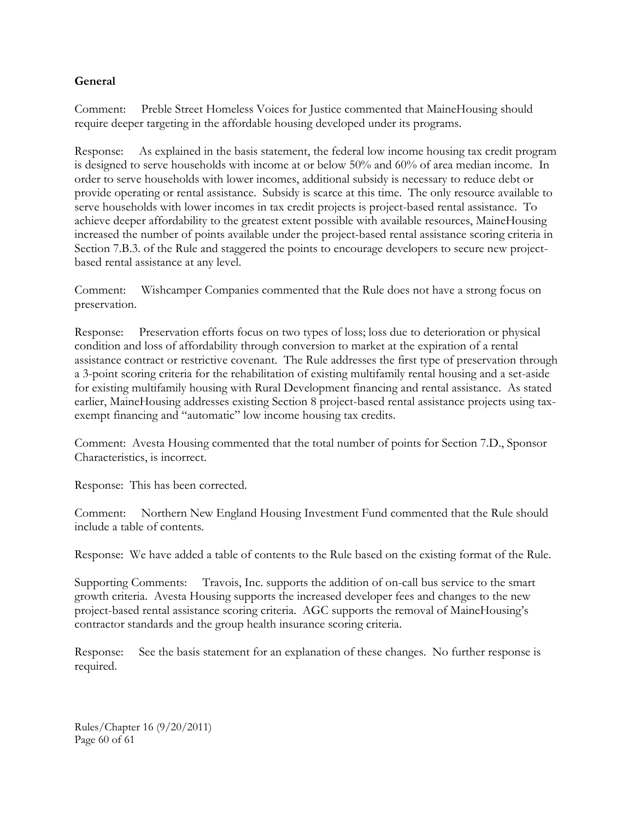## **General**

Comment: Preble Street Homeless Voices for Justice commented that MaineHousing should require deeper targeting in the affordable housing developed under its programs.

Response: As explained in the basis statement, the federal low income housing tax credit program is designed to serve households with income at or below 50% and 60% of area median income. In order to serve households with lower incomes, additional subsidy is necessary to reduce debt or provide operating or rental assistance. Subsidy is scarce at this time. The only resource available to serve households with lower incomes in tax credit projects is project-based rental assistance. To achieve deeper affordability to the greatest extent possible with available resources, MaineHousing increased the number of points available under the project-based rental assistance scoring criteria in Section 7.B.3. of the Rule and staggered the points to encourage developers to secure new projectbased rental assistance at any level.

Comment: Wishcamper Companies commented that the Rule does not have a strong focus on preservation.

Response: Preservation efforts focus on two types of loss; loss due to deterioration or physical condition and loss of affordability through conversion to market at the expiration of a rental assistance contract or restrictive covenant. The Rule addresses the first type of preservation through a 3-point scoring criteria for the rehabilitation of existing multifamily rental housing and a set-aside for existing multifamily housing with Rural Development financing and rental assistance. As stated earlier, MaineHousing addresses existing Section 8 project-based rental assistance projects using taxexempt financing and "automatic" low income housing tax credits.

Comment: Avesta Housing commented that the total number of points for Section 7.D., Sponsor Characteristics, is incorrect.

Response: This has been corrected.

Comment: Northern New England Housing Investment Fund commented that the Rule should include a table of contents.

Response: We have added a table of contents to the Rule based on the existing format of the Rule.

Supporting Comments: Travois, Inc. supports the addition of on-call bus service to the smart growth criteria. Avesta Housing supports the increased developer fees and changes to the new project-based rental assistance scoring criteria. AGC supports the removal of MaineHousing's contractor standards and the group health insurance scoring criteria.

Response: See the basis statement for an explanation of these changes. No further response is required.

Rules/Chapter 16 (9/20/2011) Page 60 of 61